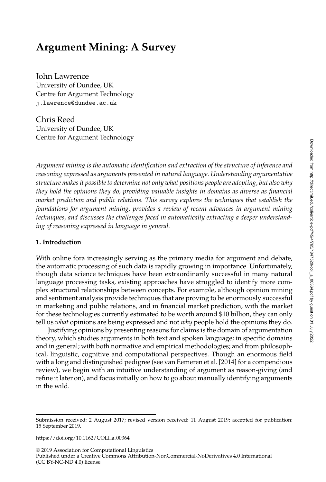# <span id="page-0-0"></span>**Argument Mining: A Survey**

John Lawrence University of Dundee, UK Centre for Argument Technology j.lawrence@dundee.ac.uk

Chris Reed University of Dundee, UK Centre for Argument Technology

*Argument mining is the automatic identification and extraction of the structure of inference and reasoning expressed as arguments presented in natural language. Understanding argumentative structure makes it possible to determine not only what positions people are adopting, but also why they hold the opinions they do, providing valuable insights in domains as diverse as financial market prediction and public relations. This survey explores the techniques that establish the foundations for argument mining, provides a review of recent advances in argument mining techniques, and discusses the challenges faced in automatically extracting a deeper understanding of reasoning expressed in language in general.*

#### **1. Introduction**

With online fora increasingly serving as the primary media for argument and debate, the automatic processing of such data is rapidly growing in importance. Unfortunately, though data science techniques have been extraordinarily successful in many natural language processing tasks, existing approaches have struggled to identify more complex structural relationships between concepts. For example, although opinion mining and sentiment analysis provide techniques that are proving to be enormously successful in marketing and public relations, and in financial market prediction, with the market for these technologies currently estimated to be worth around \$10 billion, they can only tell us *what* opinions are being expressed and not *why* people hold the opinions they do.

Justifying opinions by presenting reasons for claims is the domain of argumentation theory, which studies arguments in both text and spoken language; in specific domains and in general; with both normative and empirical methodologies; and from philosophical, linguistic, cognitive and computational perspectives. Though an enormous field with a long and distinguished pedigree (see van Eemeren et al. [2014] for a compendious review), we begin with an intuitive understanding of argument as reason-giving (and refine it later on), and focus initially on how to go about manually identifying arguments in the wild.

https://doi.org/10.1162/COLI\_a\_00364

Submission received: 2 August 2017; revised version received: 11 August 2019; accepted for publication: 15 September 2019.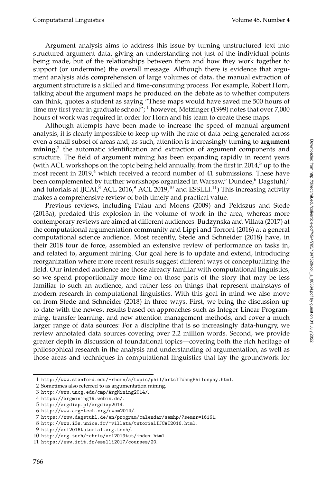Argument analysis aims to address this issue by turning unstructured text into structured argument data, giving an understanding not just of the individual points being made, but of the relationships between them and how they work together to support (or undermine) the overall message. Although there is evidence that argument analysis aids comprehension of large volumes of data, the manual extraction of argument structure is a skilled and time-consuming process. For example, Robert Horn, talking about the argument maps he produced on the debate as to whether computers can think, quotes a student as saying "These maps would have saved me 500 hours of time my first year in graduate school"; <sup>[1](#page-1-0)</sup> however, [Metzinger \(1999\)](#page-0-0) notes that over 7,000 hours of work was required in order for Horn and his team to create these maps.

Although attempts have been made to increase the speed of manual argument analysis, it is clearly impossible to keep up with the rate of data being generated across even a small subset of areas and, as such, attention is increasingly turning to **argument mining**, [2](#page-1-1) the automatic identification and extraction of argument components and structure. The field of argument mining has been expanding rapidly in recent years (with ACL workshops on the topic being held annually, from the first in 2014, $3$  up to the most recent in  $2019<sup>4</sup>$  $2019<sup>4</sup>$  $2019<sup>4</sup>$  which received a record number of 41 submissions. These have been complemented by further workshops organized in Warsaw,<sup>[5](#page-1-4)</sup> Dundee,<sup>[6](#page-1-5)</sup> Dagstuhl,<sup>[7](#page-1-6)</sup> and tutorials at IJCAI, $^8$  $^8$  ACL 2016, $^9$  $^9$  ACL 2019, $^{10}$  $^{10}$  $^{10}$  and ESSLLI.<sup>[11](#page-1-10)</sup>) This increasing activity makes a comprehensive review of both timely and practical value.

Previous reviews, including [Palau and Moens \(2009\)](#page-0-0) and [Peldszus and Stede](#page-0-0) [\(2013a\)](#page-0-0), predated this explosion in the volume of work in the area, whereas more contemporary reviews are aimed at different audiences: [Budzynska and Villata \(2017\)](#page-0-0) at the computational argumentation community and [Lippi and Torroni \(2016\)](#page-0-0) at a general computational science audience. Most recently, [Stede and Schneider \(2018\)](#page-0-0) have, in their 2018 tour de force, assembled an extensive review of performance on tasks in, and related to, argument mining. Our goal here is to update and extend, introducing reorganization where more recent results suggest different ways of conceptualizing the field. Our intended audience are those already familiar with computational linguistics, so we spend proportionally more time on those parts of the story that may be less familiar to such an audience, and rather less on things that represent mainstays of modern research in computational linguistics. With this goal in mind we also move on from [Stede and Schneider \(2018\)](#page-0-0) in three ways. First, we bring the discussion up to date with the newest results based on approaches such as Integer Linear Programming, transfer learning, and new attention management methods, and cover a much larger range of data sources: For a discipline that is so increasingly data-hungry, we review annotated data sources covering over 2.2 million words. Second, we provide greater depth in discussion of foundational topics—covering both the rich heritage of philosophical research in the analysis and understanding of argumentation, as well as those areas and techniques in computational linguistics that lay the groundwork for

<span id="page-1-0"></span><sup>1</sup> <http://www.stanford.edu/~rhorn/a/topic/phil/artclTchngPhilosphy.html>.

<span id="page-1-1"></span><sup>2</sup> Sometimes also referred to as argumentation mining.

<span id="page-1-2"></span><sup>3</sup> <http://www.uncg.edu/cmp/ArgMining2014/>.

<span id="page-1-3"></span><sup>4</sup> <https://argmining19.webis.de/>.

<span id="page-1-4"></span><sup>5</sup> <http://argdiap.pl/argdiap2014>.

<span id="page-1-5"></span><sup>6</sup> <http://www.arg-tech.org/swam2014/>.

<span id="page-1-6"></span><sup>7</sup> <https://www.dagstuhl.de/en/program/calendar/semhp/?semnr=16161>.

<span id="page-1-7"></span><sup>8</sup> <http://www.i3s.unice.fr/~villata/tutorialIJCAI2016.html>.

<span id="page-1-9"></span><span id="page-1-8"></span><sup>9</sup> <http://acl2016tutorial.arg.tech/>.

<sup>10</sup> <http://arg.tech/~chris/acl2019tut/index.html>.

<span id="page-1-10"></span><sup>11</sup> <https://www.irit.fr/esslli2017/courses/20>.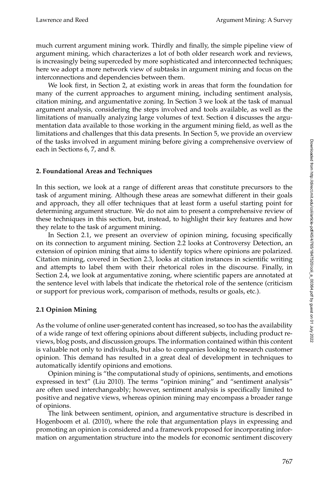much current argument mining work. Thirdly and finally, the simple pipeline view of argument mining, which characterizes a lot of both older research work and reviews, is increasingly being superceded by more sophisticated and interconnected techniques; here we adopt a more network view of subtasks in argument mining and focus on the interconnections and dependencies between them.

We look first, in Section [2,](#page-2-0) at existing work in areas that form the foundation for many of the current approaches to argument mining, including sentiment analysis, citation mining, and argumentative zoning. In Section [3](#page-9-0) we look at the task of manual argument analysis, considering the steps involved and tools available, as well as the limitations of manually analyzing large volumes of text. Section [4](#page-15-0) discusses the argumentation data available to those working in the argument mining field, as well as the limitations and challenges that this data presents. In Section [5,](#page-21-0) we provide an overview of the tasks involved in argument mining before giving a comprehensive overview of each in Sections [6,](#page-23-0) [7,](#page-26-0) and [8.](#page-34-0)

# <span id="page-2-0"></span>**2. Foundational Areas and Techniques**

In this section, we look at a range of different areas that constitute precursors to the task of argument mining. Although these areas are somewhat different in their goals and approach, they all offer techniques that at least form a useful starting point for determining argument structure. We do not aim to present a comprehensive review of these techniques in this section, but, instead, to highlight their key features and how they relate to the task of argument mining.

In Section [2.1,](#page-2-1) we present an overview of opinion mining, focusing specifically on its connection to argument mining. Section [2.2](#page-4-0) looks at Controversy Detection, an extension of opinion mining that aims to identify topics where opinions are polarized. Citation mining, covered in Section [2.3,](#page-6-0) looks at citation instances in scientific writing and attempts to label them with their rhetorical roles in the discourse. Finally, in Section [2.4,](#page-8-0) we look at argumentative zoning, where scientific papers are annotated at the sentence level with labels that indicate the rhetorical role of the sentence (criticism or support for previous work, comparison of methods, results or goals, etc.).

# <span id="page-2-1"></span>**2.1 Opinion Mining**

As the volume of online user-generated content has increased, so too has the availability of a wide range of text offering opinions about different subjects, including product reviews, blog posts, and discussion groups. The information contained within this content is valuable not only to individuals, but also to companies looking to research customer opinion. This demand has resulted in a great deal of development in techniques to automatically identify opinions and emotions.

Opinion mining is "the computational study of opinions, sentiments, and emotions expressed in text" [\(Liu 2010\)](#page-0-0). The terms "opinion mining" and "sentiment analysis" are often used interchangeably; however, sentiment analysis is specifically limited to positive and negative views, whereas opinion mining may encompass a broader range of opinions.

The link between sentiment, opinion, and argumentative structure is described in [Hogenboom et al. \(2010\)](#page-0-0), where the role that argumentation plays in expressing and promoting an opinion is considered and a framework proposed for incorporating information on argumentation structure into the models for economic sentiment discovery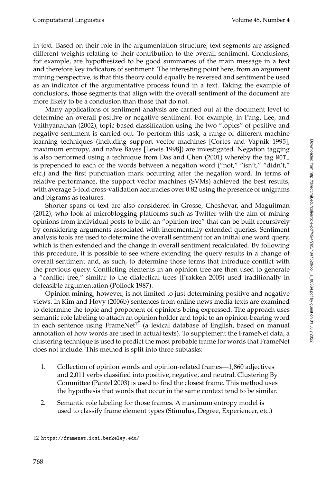in text. Based on their role in the argumentation structure, text segments are assigned different weights relating to their contribution to the overall sentiment. Conclusions, for example, are hypothesized to be good summaries of the main message in a text and therefore key indicators of sentiment. The interesting point here, from an argument mining perspective, is that this theory could equally be reversed and sentiment be used as an indicator of the argumentative process found in a text. Taking the example of conclusions, those segments that align with the overall sentiment of the document are more likely to be a conclusion than those that do not.

Many applications of sentiment analysis are carried out at the document level to determine an overall positive or negative sentiment. For example, in [Pang, Lee, and](#page-0-0) [Vaithyanathan \(2002\)](#page-0-0), topic-based classification using the two "topics" of positive and negative sentiment is carried out. To perform this task, a range of different machine learning techniques (including support vector machines [\[Cortes and Vapnik 1995\]](#page-0-0), maximum entropy, and naïve Bayes [\[Lewis 1998\]](#page-0-0)) are investigated. Negation tagging is also performed using a technique from [Das and Chen \(2001\)](#page-0-0) whereby the tag NOT\_ is prepended to each of the words between a negation word ("not," "isn't," "didn't," etc.) and the first punctuation mark occurring after the negation word. In terms of relative performance, the support vector machines (SVMs) achieved the best results, with average 3-fold cross-validation accuracies over 0.82 using the presence of unigrams and bigrams as features.

Shorter spans of text are also considered in Grosse, Chesñevar, and Maguitman [\(2012\)](#page-0-0), who look at microblogging platforms such as Twitter with the aim of mining opinions from individual posts to build an "opinion tree" that can be built recursively by considering arguments associated with incrementally extended queries. Sentiment analysis tools are used to determine the overall sentiment for an initial one word query, which is then extended and the change in overall sentiment recalculated. By following this procedure, it is possible to see where extending the query results in a change of overall sentiment and, as such, to determine those terms that introduce conflict with the previous query. Conflicting elements in an opinion tree are then used to generate a "conflict tree," similar to the dialectical trees [\(Prakken 2005\)](#page-0-0) used traditionally in defeasible argumentation [\(Pollock 1987\)](#page-0-0).

Opinion mining, however, is not limited to just determining positive and negative views. In [Kim and Hovy \(2006b\)](#page-0-0) sentences from online news media texts are examined to determine the topic and proponent of opinions being expressed. The approach uses semantic role labeling to attach an opinion holder and topic to an opinion-bearing word in each sentence using  $FrameNet^{12}$  $FrameNet^{12}$  $FrameNet^{12}$  (a lexical database of English, based on manual annotation of how words are used in actual texts). To supplement the FrameNet data, a clustering technique is used to predict the most probable frame for words that FrameNet does not include. This method is split into three subtasks:

- 1. Collection of opinion words and opinion-related frames—1,860 adjectives and 2,011 verbs classified into positive, negative, and neutral. Clustering By Committee [\(Pantel 2003\)](#page-0-0) is used to find the closest frame. This method uses the hypothesis that words that occur in the same context tend to be similar.
- 2. Semantic role labeling for those frames. A maximum entropy model is used to classify frame element types (Stimulus, Degree, Experiencer, etc.)

<span id="page-3-0"></span><sup>12</sup> <https://framenet.icsi.berkeley.edu/>.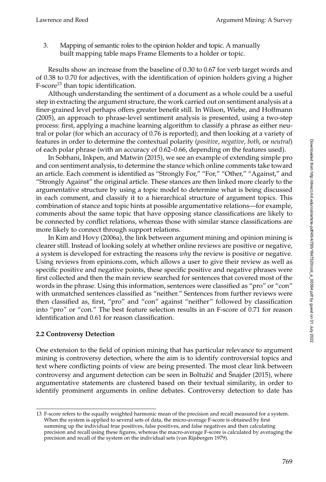3. Mapping of semantic roles to the opinion holder and topic. A manually built mapping table maps Frame Elements to a holder or topic.

Results show an increase from the baseline of 0.30 to 0.67 for verb target words and of 0.38 to 0.70 for adjectives, with the identification of opinion holders giving a higher  $F-score<sup>13</sup>$  $F-score<sup>13</sup>$  $F-score<sup>13</sup>$  than topic identification.

Although understanding the sentiment of a document as a whole could be a useful step in extracting the argument structure, the work carried out on sentiment analysis at a finer-grained level perhaps offers greater benefit still. In [Wilson, Wiebe, and Hoffmann](#page-0-0) [\(2005\)](#page-0-0), an approach to phrase-level sentiment analysis is presented, using a two-step process: first, applying a machine learning algorithm to classify a phrase as either neutral or polar (for which an accuracy of 0.76 is reported); and then looking at a variety of features in order to determine the contextual polarity (*positive*, *negative*, *both*, or *neutral*) of each polar phrase (with an accuracy of 0.62–0.66, depending on the features used).

In [Sobhani, Inkpen, and Matwin \(2015\)](#page-0-0), we see an example of extending simple pro and con sentiment analysis, to determine the stance which online comments take toward an article. Each comment is identified as "Strongly For," "For," "Other," "Against," and "Strongly Against" the original article. These stances are then linked more clearly to the argumentative structure by using a topic model to determine what is being discussed in each comment, and classify it to a hierarchical structure of argument topics. This combination of stance and topic hints at possible argumentative relations—for example, comments about the same topic that have opposing stance classifications are likely to be connected by conflict relations, whereas those with similar stance classifications are more likely to connect through support relations.

In [Kim and Hovy \(2006a\)](#page-0-0), the link between argument mining and opinion mining is clearer still. Instead of looking solely at whether online reviews are positive or negative, a system is developed for extracting the reasons *why* the review is positive or negative. Using reviews from epinions.com, which allows a user to give their review as well as specific positive and negative points, these specific positive and negative phrases were first collected and then the main review searched for sentences that covered most of the words in the phrase. Using this information, sentences were classified as "pro" or "con" with unmatched sentences classified as "neither." Sentences from further reviews were then classified as, first, "pro" and "con" against "neither" followed by classification into "pro" or "con." The best feature selection results in an F-score of 0.71 for reason identification and 0.61 for reason classification.

## <span id="page-4-0"></span>**2.2 Controversy Detection**

One extension to the field of opinion mining that has particular relevance to argument mining is controversy detection, where the aim is to identify controversial topics and text where conflicting points of view are being presented. The most clear link between controversy and argument detection can be seen in Boltužić and Šnajder (2015), where argumentative statements are clustered based on their textual similarity, in order to identify prominent arguments in online debates. Controversy detection to date has

<span id="page-4-1"></span><sup>13</sup> F-score refers to the equally weighted harmonic mean of the precision and recall measured for a system. When the system is applied to several sets of data, the micro-average F-score is obtained by first summing up the individual true positives, false positives, and false negatives and then calculating precision and recall using these figures, whereas the macro-average F-score is calculated by averaging the precision and recall of the system on the individual sets [\(van Rijsbergen 1979\)](#page-0-0).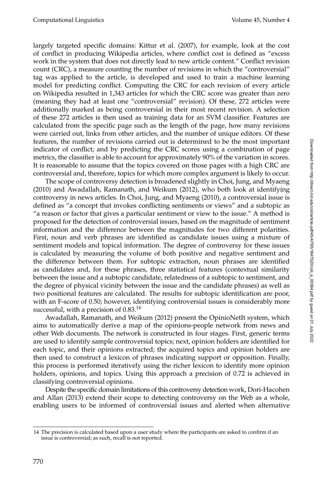largely targeted specific domains: [Kittur et al. \(2007\)](#page-0-0), for example, look at the cost of conflict in producing Wikipedia articles, where conflict cost is defined as "excess work in the system that does not directly lead to new article content." Conflict revision count (CRC), a measure counting the number of revisions in which the "controversial" tag was applied to the article, is developed and used to train a machine learning model for predicting conflict. Computing the CRC for each revision of every article on Wikipedia resulted in 1,343 articles for which the CRC score was greater than zero (meaning they had at least one "controversial" revision). Of these, 272 articles were additionally marked as being controversial in their most recent revision. A selection of these 272 articles is then used as training data for an SVM classifier. Features are calculated from the specific page such as the length of the page, how many revisions were carried out, links from other articles, and the number of unique editors. Of these features, the number of revisions carried out is determined to be the most important indicator of conflict; and by predicting the CRC scores using a combination of page metrics, the classifier is able to account for approximately 90% of the variation in scores. It is reasonable to assume that the topics covered on those pages with a high CRC are controversial and, therefore, topics for which more complex argument is likely to occur.

The scope of controversy detection is broadened slightly in [Choi, Jung, and Myaeng](#page-0-0) [\(2010\)](#page-0-0) and [Awadallah, Ramanath, and Weikum \(2012\)](#page-0-0), who both look at identifying controversy in news articles. In [Choi, Jung, and Myaeng \(2010\)](#page-0-0), a controversial issue is defined as "a concept that invokes conflicting sentiments or views" and a subtopic as "a reason or factor that gives a particular sentiment or view to the issue." A method is proposed for the detection of controversial issues, based on the magnitude of sentiment information and the difference between the magnitudes for two different polarities. First, noun and verb phrases are identified as candidate issues using a mixture of sentiment models and topical information. The degree of controversy for these issues is calculated by measuring the volume of both positive and negative sentiment and the difference between them. For subtopic extraction, noun phrases are identified as candidates and, for these phrases, three statistical features (contextual similarity between the issue and a subtopic candidate, relatedness of a subtopic to sentiment, and the degree of physical vicinity between the issue and the candidate phrases) as well as two positional features are calculated. The results for subtopic identification are poor, with an F-score of 0.50; however, identifying controversial issues is considerably more successful, with a precision of  $0.83^{14}$  $0.83^{14}$  $0.83^{14}$ 

[Awadallah, Ramanath, and Weikum \(2012\)](#page-0-0) present the OpinioNetIt system, which aims to automatically derive a map of the opinions-people network from news and other Web documents. The network is constructed in four stages. First, generic terms are used to identify sample controversial topics; next, opinion holders are identified for each topic, and their opinions extracted; the acquired topics and opinion holders are then used to construct a lexicon of phrases indicating support or opposition. Finally, this process is performed iteratively using the richer lexicon to identify more opinion holders, opinions, and topics. Using this approach a precision of 0.72 is achieved in classifying controversial opinions.

Despite the specific domain limitations of this controversy detection work, [Dori-Hacohen](#page-0-0) [and Allan \(2013\)](#page-0-0) extend their scope to detecting controversy on the Web as a whole, enabling users to be informed of controversial issues and alerted when alternative

<span id="page-5-0"></span><sup>14</sup> The precision is calculated based upon a user study where the participants are asked to confirm if an issue is controversial; as such, recall is not reported.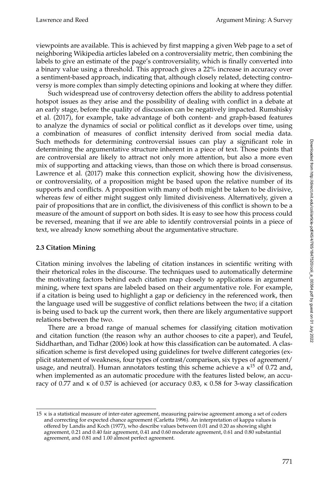viewpoints are available. This is achieved by first mapping a given Web page to a set of neighboring Wikipedia articles labeled on a controversiality metric, then combining the labels to give an estimate of the page's controversiality, which is finally converted into a binary value using a threshold. This approach gives a 22% increase in accuracy over a sentiment-based approach, indicating that, although closely related, detecting controversy is more complex than simply detecting opinions and looking at where they differ.

Such widespread use of controversy detection offers the ability to address potential hotspot issues as they arise and the possibility of dealing with conflict in a debate at an early stage, before the quality of discussion can be negatively impacted. [Rumshisky](#page-0-0) [et al. \(2017\)](#page-0-0), for example, take advantage of both content- and graph-based features to analyze the dynamics of social or political conflict as it develops over time, using a combination of measures of conflict intensity derived from social media data. Such methods for determining controversial issues can play a significant role in determining the argumentative structure inherent in a piece of text. Those points that are controversial are likely to attract not only more attention, but also a more even mix of supporting and attacking views, than those on which there is broad consensus. [Lawrence et al. \(2017\)](#page-0-0) make this connection explicit, showing how the divisiveness, or controversiality, of a proposition might be based upon the relative number of its supports and conflicts. A proposition with many of both might be taken to be divisive, whereas few of either might suggest only limited divisiveness. Alternatively, given a pair of propositions that are in conflict, the divisiveness of this conflict is shown to be a measure of the amount of support on both sides. It is easy to see how this process could be reversed, meaning that if we are able to identify controversial points in a piece of text, we already know something about the argumentative structure.

# <span id="page-6-0"></span>**2.3 Citation Mining**

Citation mining involves the labeling of citation instances in scientific writing with their rhetorical roles in the discourse. The techniques used to automatically determine the motivating factors behind each citation map closely to applications in argument mining, where text spans are labeled based on their argumentative role. For example, if a citation is being used to highlight a gap or deficiency in the referenced work, then the language used will be suggestive of conflict relations between the two; if a citation is being used to back up the current work, then there are likely argumentative support relations between the two.

There are a broad range of manual schemes for classifying citation motivation and citation function (the reason why an author chooses to cite a paper), and [Teufel,](#page-0-0) [Siddharthan, and Tidhar \(2006\)](#page-0-0) look at how this classification can be automated. A classification scheme is first developed using guidelines for twelve different categories (explicit statement of weakness, four types of contrast/comparison, six types of agreement/ usage, and neutral). Human annotators testing this scheme achieve a  $\kappa^{15}$  $\kappa^{15}$  $\kappa^{15}$  of 0.72 and, when implemented as an automatic procedure with the features listed below, an accuracy of 0.77 and  $\kappa$  of 0.57 is achieved (or accuracy 0.83,  $\kappa$  0.58 for 3-way classification

<span id="page-6-1"></span><sup>15</sup> κ is a statistical measure of inter-rater agreement, measuring pairwise agreement among a set of coders and correcting for expected chance agreement [\(Carletta 1996\)](#page-0-0). An interpretation of kappa values is offered by [Landis and Koch \(1977\)](#page-0-0), who describe values between 0.01 and 0.20 as showing slight agreement, 0.21 and 0.40 fair agreement, 0.41 and 0.60 moderate agreement, 0.61 and 0.80 substantial agreement, and 0.81 and 1.00 almost perfect agreement.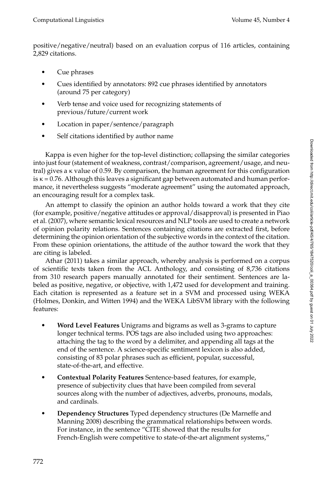positive/negative/neutral) based on an evaluation corpus of 116 articles, containing 2,829 citations.

- Cue phrases
- Cues identified by annotators: 892 cue phrases identified by annotators (around 75 per category)
- Verb tense and voice used for recognizing statements of previous/future/current work
- Location in paper/sentence/paragraph
- Self citations identified by author name

Kappa is even higher for the top-level distinction; collapsing the similar categories into just four (statement of weakness, contrast/comparison, agreement/usage, and neutral) gives a κ value of 0.59. By comparison, the human agreement for this configuration is  $\kappa = 0.76$ . Although this leaves a significant gap between automated and human performance, it nevertheless suggests "moderate agreement" using the automated approach, an encouraging result for a complex task.

An attempt to classify the opinion an author holds toward a work that they cite (for example, positive/negative attitudes or approval/disapproval) is presented in [Piao](#page-0-0) [et al. \(2007\)](#page-0-0), where semantic lexical resources and NLP tools are used to create a network of opinion polarity relations. Sentences containing citations are extracted first, before determining the opinion orientation of the subjective words in the context of the citation. From these opinion orientations, the attitude of the author toward the work that they are citing is labeled.

[Athar \(2011\)](#page-0-0) takes a similar approach, whereby analysis is performed on a corpus of scientific texts taken from the ACL Anthology, and consisting of 8,736 citations from 310 research papers manually annotated for their sentiment. Sentences are labeled as positive, negative, or objective, with 1,472 used for development and training. Each citation is represented as a feature set in a SVM and processed using WEKA [\(Holmes, Donkin, and Witten 1994\)](#page-0-0) and the WEKA LibSVM library with the following features:

- **Word Level Features** Unigrams and bigrams as well as 3-grams to capture longer technical terms. POS tags are also included using two approaches: attaching the tag to the word by a delimiter, and appending all tags at the end of the sentence. A science-specific sentiment lexicon is also added, consisting of 83 polar phrases such as efficient, popular, successful, state-of-the-art, and effective.
- **Contextual Polarity Features** Sentence-based features, for example, presence of subjectivity clues that have been compiled from several sources along with the number of adjectives, adverbs, pronouns, modals, and cardinals.
- **Dependency Structures** Typed dependency structures [\(De Marneffe and](#page-0-0) [Manning 2008\)](#page-0-0) describing the grammatical relationships between words. For instance, in the sentence "CITE showed that the results for French-English were competitive to state-of-the-art alignment systems,"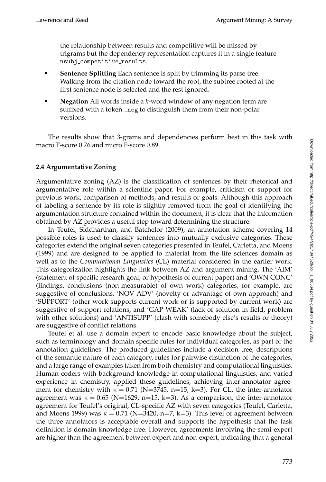the relationship between results and competitive will be missed by trigrams but the dependency representation captures it in a single feature nsubj competitive results.

- **Sentence Splitting** Each sentence is split by trimming its parse tree. Walking from the citation node toward the root, the subtree rooted at the first sentence node is selected and the rest ignored.
- **Negation** All words inside a *k*-word window of any negation term are suffixed with a token \_neg to distinguish them from their non-polar versions.

The results show that 3-grams and dependencies perform best in this task with macro F-score 0.76 and micro F-score 0.89.

# <span id="page-8-0"></span>**2.4 Argumentative Zoning**

Argumentative zoning (AZ) is the classification of sentences by their rhetorical and argumentative role within a scientific paper. For example, criticism or support for previous work, comparison of methods, and results or goals. Although this approach of labeling a sentence by its role is slightly removed from the goal of identifying the argumentation structure contained within the document, it is clear that the information obtained by AZ provides a useful step toward determining the structure.

In [Teufel, Siddharthan, and Batchelor \(2009\)](#page-0-0), an annotation scheme covering 14 possible roles is used to classify sentences into mutually exclusive categories. These categories extend the original seven categories presented in [Teufel, Carletta, and Moens](#page-0-0) [\(1999\)](#page-0-0) and are designed to be applied to material from the life sciences domain as well as to the *Computational Linguistics* (CL) material considered in the earlier work. This categorization highlights the link between AZ and argument mining. The 'AIM' (statement of specific research goal, or hypothesis of current paper) and 'OWN CONC' (findings, conclusions (non-measurable) of own work) categories, for example, are suggestive of conclusions. 'NOV ADV' (novelty or advantage of own approach) and 'SUPPORT' (other work supports current work or is supported by current work) are suggestive of support relations, and 'GAP WEAK' (lack of solution in field, problem with other solutions) and 'ANTISUPP' (clash with somebody else's results or theory) are suggestive of conflict relations.

Teufel et al. use a domain expert to encode basic knowledge about the subject, such as terminology and domain specific rules for individual categories, as part of the annotation guidelines. The produced guidelines include a decision tree, descriptions of the semantic nature of each category, rules for pairwise distinction of the categories, and a large range of examples taken from both chemistry and computational linguistics. Human coders with background knowledge in computational linguistics, and varied experience in chemistry, applied these guidelines, achieving inter-annotator agreement for chemistry with  $\kappa = 0.71$  (N=3745, n=15, k=3). For CL, the inter-annotator agreement was  $\kappa = 0.65$  (N=1629, n=15, k=3). As a comparison, the inter-annotator agreement for Teufel's original, CL-specific AZ with seven categories [\(Teufel, Carletta,](#page-0-0) [and Moens 1999\)](#page-0-0) was  $\kappa = 0.71$  (N=3420, n=7, k=3). This level of agreement between the three annotators is acceptable overall and supports the hypothesis that the task definition is domain-knowledge free. However, agreements involving the semi-expert are higher than the agreement between expert and non-expert, indicating that a general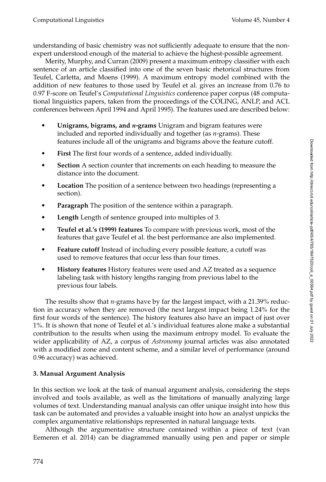understanding of basic chemistry was not sufficiently adequate to ensure that the nonexpert understood enough of the material to achieve the highest-possible agreement.

[Merity, Murphy, and Curran \(2009\)](#page-0-0) present a maximum entropy classifier with each sentence of an article classified into one of the seven basic rhetorical structures from [Teufel, Carletta, and Moens \(1999\)](#page-0-0). A maximum entropy model combined with the addition of new features to those used by Teufel et al. gives an increase from 0.76 to 0.97 F-score on Teufel's *Computational Linguistics* conference paper corpus (48 computational linguistics papers, taken from the proceedings of the COLING, ANLP, and ACL conferences between April 1994 and April 1995). The features used are described below:

- **Unigrams, bigrams, and** *n***-grams** Unigram and bigram features were included and reported individually and together (as *n*-grams). These features include all of the unigrams and bigrams above the feature cutoff.
- **First** The first four words of a sentence, added individually.
- **Section** A section counter that increments on each heading to measure the distance into the document.
- **Location** The position of a sentence between two headings (representing a section).
- **Paragraph** The position of the sentence within a paragraph.
- **Length** Length of sentence grouped into multiples of 3.
- **Teufel et al.'s [\(1999\)](#page-0-0) features** To compare with previous work, most of the features that gave Teufel et al. the best performance are also implemented.
- **Feature cutoff** Instead of including every possible feature, a cutoff was used to remove features that occur less than four times.
- **History features** History features were used and AZ treated as a sequence labeling task with history lengths ranging from previous label to the previous four labels.

The results show that *n*-grams have by far the largest impact, with a 21.39% reduction in accuracy when they are removed (the next largest impact being 1.24% for the first four words of the sentence). The history features also have an impact of just over 1%. It is shown that none of Teufel et al.'s individual features alone make a substantial contribution to the results when using the maximum entropy model. To evaluate the wider applicability of AZ, a corpus of *Astronomy* journal articles was also annotated with a modified zone and content scheme, and a similar level of performance (around 0.96 accuracy) was achieved.

# <span id="page-9-0"></span>**3. Manual Argument Analysis**

In this section we look at the task of manual argument analysis, considering the steps involved and tools available, as well as the limitations of manually analyzing large volumes of text. Understanding manual analysis can offer unique insight into how this task can be automated and provides a valuable insight into how an analyst unpicks the complex argumentative relationships represented in natural language texts.

Although the argumentative structure contained within a piece of text [\(van](#page-0-0) [Eemeren et al. 2014\)](#page-0-0) can be diagrammed manually using pen and paper or simple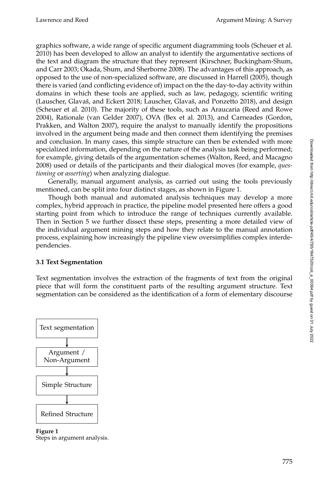graphics software, a wide range of specific argument diagramming tools [\(Scheuer et al.](#page-0-0) [2010\)](#page-0-0) has been developed to allow an analyst to identify the argumentative sections of the text and diagram the structure that they represent [\(Kirschner, Buckingham-Shum,](#page-0-0) [and Carr 2003; Okada, Shum, and Sherborne 2008\)](#page-0-0). The advantages of this approach, as opposed to the use of non-specialized software, are discussed in [Harrell \(2005\)](#page-0-0), though there is varied (and conflicting evidence of) impact on the the day-to-day activity within domains in which these tools are applied, such as law, pedagogy, scientific writing (Lauscher, Glavaš, and Eckert 2018; Lauscher, Glavaš, and Ponzetto 2018), and design [\(Scheuer et al. 2010\)](#page-0-0). The majority of these tools, such as Araucaria [\(Reed and Rowe](#page-0-0) [2004\)](#page-0-0), Rationale [\(van Gelder 2007\)](#page-0-0), OVA [\(Bex et al. 2013\)](#page-0-0), and Carneades [\(Gordon,](#page-0-0) [Prakken, and Walton 2007\)](#page-0-0), require the analyst to manually identify the propositions involved in the argument being made and then connect them identifying the premises and conclusion. In many cases, this simple structure can then be extended with more specialized information, depending on the nature of the analysis task being performed; for example, giving details of the argumentation schemes [\(Walton, Reed, and Macagno](#page-0-0) [2008\)](#page-0-0) used or details of the participants and their dialogical moves (for example, *questioning* or *asserting*) when analyzing dialogue.

Generally, manual argument analysis, as carried out using the tools previously mentioned, can be split into four distinct stages, as shown in Figure [1.](#page-10-0)

Though both manual and automated analysis techniques may develop a more complex, hybrid approach in practice, the pipeline model presented here offers a good starting point from which to introduce the range of techniques currently available. Then in Section [5](#page-21-0) we further dissect these steps, presenting a more detailed view of the individual argument mining steps and how they relate to the manual annotation process, explaining how increasingly the pipeline view oversimplifies complex interdependencies.

# **3.1 Text Segmentation**

Text segmentation involves the extraction of the fragments of text from the original piece that will form the constituent parts of the resulting argument structure. Text segmentation can be considered as the identification of a form of elementary discourse



<span id="page-10-0"></span>**Figure 1** Steps in argument analysis.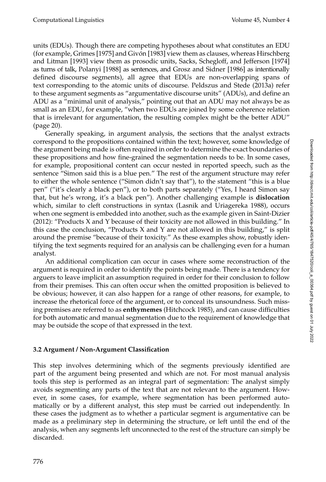units (EDUs). Though there are competing hypotheses about what constitutes an EDU (for example, [Grimes \[1975\]](#page-0-0) and [Givon \[1983\]](#page-0-0) view them as clauses, whereas [Hirschberg](#page-0-0) ´ [and Litman \[1993\]](#page-0-0) view them as prosodic units, [Sacks, Schegloff, and Jefferson \[1974\]](#page-0-0) as turns of talk, [Polanyi \[1988\]](#page-0-0) as sentences, and [Grosz and Sidner \[1986\]](#page-0-0) as intentionally defined discourse segments), all agree that EDUs are non-overlapping spans of text corresponding to the atomic units of discourse. [Peldszus and Stede \(2013a\)](#page-0-0) refer to these argument segments as "argumentative discourse units" (ADUs), and define an ADU as a "minimal unit of analysis," pointing out that an ADU may not always be as small as an EDU, for example, "when two EDUs are joined by some coherence relation that is irrelevant for argumentation, the resulting complex might be the better ADU" (page 20).

Generally speaking, in argument analysis, the sections that the analyst extracts correspond to the propositions contained within the text; however, some knowledge of the argument being made is often required in order to determine the exact boundaries of these propositions and how fine-grained the segmentation needs to be. In some cases, for example, propositional content can occur nested in reported speech, such as the sentence "Simon said this is a blue pen." The rest of the argument structure may refer to either the whole sentence ("Simon didn't say that"), to the statement "this is a blue pen" ("it's clearly a black pen"), or to both parts separately ("Yes, I heard Simon say that, but he's wrong, it's a black pen"). Another challenging example is **dislocation** which, similar to cleft constructions in syntax [\(Lasnik and Uriagereka 1988\)](#page-0-0), occurs when one segment is embedded into another, such as the example given in [Saint-Dizier](#page-0-0) [\(2012\)](#page-0-0): "Products X and Y because of their toxicity are not allowed in this building." In this case the conclusion, "Products  $X$  and  $Y$  are not allowed in this building," is split around the premise "because of their toxicity." As these examples show, robustly identifying the text segments required for an analysis can be challenging even for a human analyst.

An additional complication can occur in cases where some reconstruction of the argument is required in order to identify the points being made. There is a tendency for arguers to leave implicit an assumption required in order for their conclusion to follow from their premises. This can often occur when the omitted proposition is believed to be obvious; however, it can also happen for a range of other reasons, for example, to increase the rhetorical force of the argument, or to conceal its unsoundness. Such missing premises are referred to as **enthymemes** [\(Hitchcock 1985\)](#page-0-0), and can cause difficulties for both automatic and manual segmentation due to the requirement of knowledge that may be outside the scope of that expressed in the text.

# <span id="page-11-0"></span>**3.2 Argument / Non-Argument Classification**

This step involves determining which of the segments previously identified are part of the argument being presented and which are not. For most manual analysis tools this step is performed as an integral part of segmentation: The analyst simply avoids segmenting any parts of the text that are not relevant to the argument. However, in some cases, for example, where segmentation has been performed automatically or by a different analyst, this step must be carried out independently. In these cases the judgment as to whether a particular segment is argumentative can be made as a preliminary step in determining the structure, or left until the end of the analysis, when any segments left unconnected to the rest of the structure can simply be discarded.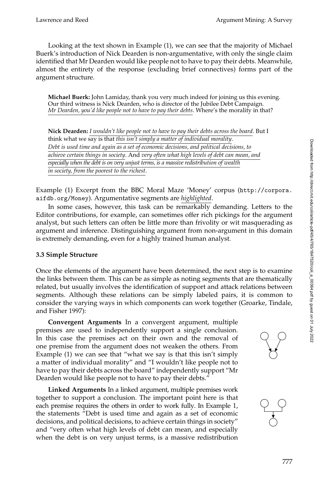Looking at the text shown in Example (1), we can see that the majority of Michael Buerk's introduction of Nick Dearden is non-argumentative, with only the single claim identified that Mr Dearden would like people not to have to pay their debts. Meanwhile, almost the entirety of the response (excluding brief connectives) forms part of the argument structure.

**Michael Buerk:** John Lamiday, thank you very much indeed for joining us this evening. Our third witness is Nick Dearden, who is director of the Jubilee Debt Campaign. *Mr Dearden, you'd like people not to have to pay their debts*. Where's the morality in that?

**Nick Dearden:** *I wouldn't like people not to have to pay their debts across the board*. But I think what we say is that *this isn't simply a matter of individual morality*. *Debt is used time and again as a set of economic decisions, and political decisions, to achieve certain things in society*. And *very often what high levels of debt can mean, and especially when the debt is on very unjust terms, is a massive redistribution of wealth in society, from the poorest to the richest*.

Example (1) Excerpt from the BBC Moral Maze 'Money' corpus ([http://corpora.](http://corpora.aifdb.org/Money) [aifdb.org/Money](http://corpora.aifdb.org/Money)). Argumentative segments are *highlighted*.

In some cases, however, this task can be remarkably demanding. Letters to the Editor contributions, for example, can sometimes offer rich pickings for the argument analyst, but such letters can often be little more than frivolity or wit masquerading as argument and inference. Distinguishing argument from non-argument in this domain is extremely demanding, even for a highly trained human analyst.

## **3.3 Simple Structure**

Once the elements of the argument have been determined, the next step is to examine the links between them. This can be as simple as noting segments that are thematically related, but usually involves the identification of support and attack relations between segments. Although these relations can be simply labeled pairs, it is common to consider the varying ways in which components can work together [\(Groarke, Tindale,](#page-0-0) [and Fisher 1997\)](#page-0-0):

**Convergent Arguments** In a convergent argument, multiple premises are used to independently support a single conclusion. In this case the premises act on their own and the removal of one premise from the argument does not weaken the others. From Example (1) we can see that "what we say is that this isn't simply a matter of individual morality" and "I wouldn't like people not to have to pay their debts across the board" independently support "Mr Dearden would like people not to have to pay their debts."

**Linked Arguments** In a linked argument, multiple premises work together to support a conclusion. The important point here is that each premise requires the others in order to work fully. In Example 1, the statements "Debt is used time and again as a set of economic decisions, and political decisions, to achieve certain things in society" and "very often what high levels of debt can mean, and especially when the debt is on very unjust terms, is a massive redistribution



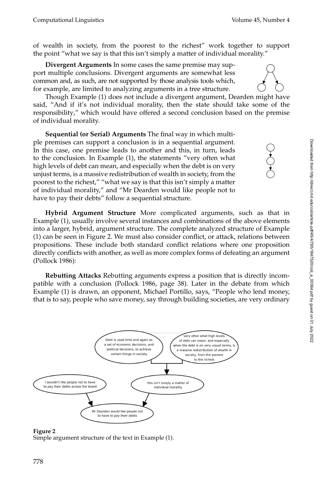of wealth in society, from the poorest to the richest" work together to support the point "what we say is that this isn't simply a matter of individual morality."

**Divergent Arguments** In some cases the same premise may support multiple conclusions. Divergent arguments are somewhat less common and, as such, are not supported by those analysis tools which, for example, are limited to analyzing arguments in a tree structure.

Though Example (1) does not include a divergent argument, Dearden might have said, "And if it's not individual morality, then the state should take some of the responsibility," which would have offered a second conclusion based on the premise of individual morality.

**Sequential (or Serial) Arguments** The final way in which multiple premises can support a conclusion is in a sequential argument. In this case, one premise leads to another and this, in turn, leads to the conclusion. In Example (1), the statements "very often what high levels of debt can mean, and especially when the debt is on very unjust terms, is a massive redistribution of wealth in society, from the poorest to the richest," "what we say is that this isn't simply a matter of individual morality," and "Mr Dearden would like people not to have to pay their debts" follow a sequential structure.

**Hybrid Argument Structure** More complicated arguments, such as that in Example (1), usually involve several instances and combinations of the above elements into a larger, hybrid, argument structure. The complete analyzed structure of Example (1) can be seen in Figure [2.](#page-13-0) We must also consider conflict, or attack, relations between propositions. These include both standard conflict relations where one proposition directly conflicts with another, as well as more complex forms of defeating an argument [\(Pollock 1986\)](#page-0-0):

**Rebutting Attacks** Rebutting arguments express a position that is directly incompatible with a conclusion [\(Pollock 1986,](#page-0-0) page 38). Later in the debate from which Example (1) is drawn, an opponent, Michael Portillo, says, "People who lend money, that is to say, people who save money, say through building societies, are very ordinary





<span id="page-13-0"></span>Simple argument structure of the text in Example (1).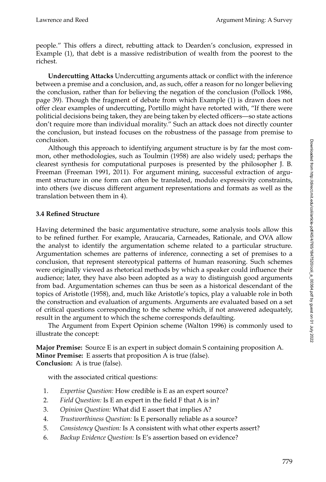people." This offers a direct, rebutting attack to Dearden's conclusion, expressed in Example (1), that debt is a massive redistribution of wealth from the poorest to the richest.

**Undercutting Attacks** Undercutting arguments attack or conflict with the inference between a premise and a conclusion, and, as such, offer a reason for no longer believing the conclusion, rather than for believing the negation of the conclusion [\(Pollock 1986,](#page-0-0) page 39). Though the fragment of debate from which Example (1) is drawn does not offer clear examples of undercutting, Portillo might have retorted with, "If there were politicial decisions being taken, they are being taken by elected officers—so state actions don't require more than individual morality." Such an attack does not directly counter the conclusion, but instead focuses on the robustness of the passage from premise to conclusion.

Although this approach to identifying argument structure is by far the most common, other methodologies, such as [Toulmin \(1958\)](#page-0-0) are also widely used; perhaps the clearest synthesis for computational purposes is presented by the philosopher J. B. Freeman [\(Freeman 1991, 2011\)](#page-0-0). For argument mining, successful extraction of argument structure in one form can often be translated, modulo expressivity constraints, into others (we discuss different argument representations and formats as well as the translation between them in [4\)](#page-15-0).

# <span id="page-14-0"></span>**3.4 Refined Structure**

Having determined the basic argumentative structure, some analysis tools allow this to be refined further. For example, Araucaria, Carneades, Rationale, and OVA allow the analyst to identify the argumentation scheme related to a particular structure. Argumentation schemes are patterns of inference, connecting a set of premises to a conclusion, that represent stereotypical patterns of human reasoning. Such schemes were originally viewed as rhetorical methods by which a speaker could influence their audience; later, they have also been adopted as a way to distinguish good arguments from bad. Argumentation schemes can thus be seen as a historical descendant of the topics of [Aristotle \(1958\)](#page-0-0), and, much like Aristotle's topics, play a valuable role in both the construction and evaluation of arguments. Arguments are evaluated based on a set of critical questions corresponding to the scheme which, if not answered adequately, result in the argument to which the scheme corresponds defaulting.

The Argument from Expert Opinion scheme [\(Walton 1996\)](#page-0-0) is commonly used to illustrate the concept:

**Major Premise:** Source E is an expert in subject domain S containing proposition A. **Minor Premise:** E asserts that proposition A is true (false). **Conclusion:** A is true (false).

with the associated critical questions:

- 1. *Expertise Question:* How credible is E as an expert source?
- 2. *Field Question:* Is E an expert in the field F that A is in?
- 3. *Opinion Question:* What did E assert that implies A?
- 4. *Trustworthiness Question:* Is E personally reliable as a source?
- 5. *Consistency Question:* Is A consistent with what other experts assert?
- 6. *Backup Evidence Question:* Is E's assertion based on evidence?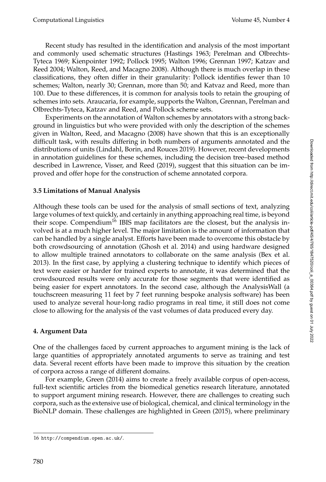Recent study has resulted in the identification and analysis of the most important and commonly used schematic structures (Hastings [1963;](#page-0-0) Perelman and Olbrechts-Tyteca [1969;](#page-0-0) Kienpointer [1992;](#page-0-0) Pollock [1995;](#page-0-0) Walton [1996;](#page-0-0) Grennan [1997;](#page-0-0) Katzav and Reed [2004;](#page-0-0) Walton, Reed, and Macagno [2008\)](#page-0-0). Although there is much overlap in these classifications, they often differ in their granularity: Pollock identifies fewer than 10 schemes; Walton, nearly 30; Grennan, more than 50; and Katvaz and Reed, more than 100. Due to these differences, it is common for analysis tools to retain the grouping of schemes into sets. Araucaria, for example, supports the Walton, Grennan, Perelman and Olbrechts-Tyteca, Katzav and Reed, and Pollock scheme sets.

Experiments on the annotation of Walton schemes by annotators with a strong background in linguistics but who were provided with only the description of the schemes given in [Walton, Reed, and Macagno \(2008\)](#page-0-0) have shown that this is an exceptionally difficult task, with results differing in both numbers of arguments annotated and the distributions of units [\(Lindahl, Borin, and Rouces 2019\)](#page-0-0). However, recent developments in annotation guidelines for these schemes, including the decision tree–based method described in [Lawrence, Visser, and Reed \(2019\)](#page-0-0), suggest that this situation can be improved and offer hope for the construction of scheme annotated corpora.

## **3.5 Limitations of Manual Analysis**

Although these tools can be used for the analysis of small sections of text, analyzing large volumes of text quickly, and certainly in anything approaching real time, is beyond their scope. Compendium<sup>[16](#page-15-1)</sup> IBIS map facilitators are the closest, but the analysis involved is at a much higher level. The major limitation is the amount of information that can be handled by a single analyst. Efforts have been made to overcome this obstacle by both crowdsourcing of annotation [\(Ghosh et al. 2014\)](#page-0-0) and using hardware designed to allow multiple trained annotators to collaborate on the same analysis [\(Bex et al.](#page-0-0) [2013\)](#page-0-0). In the first case, by applying a clustering technique to identify which pieces of text were easier or harder for trained experts to annotate, it was determined that the crowdsourced results were only accurate for those segments that were identified as being easier for expert annotators. In the second case, although the AnalysisWall (a touchscreen measuring 11 feet by 7 feet running bespoke analysis software) has been used to analyze several hour-long radio programs in real time, it still does not come close to allowing for the analysis of the vast volumes of data produced every day.

## <span id="page-15-0"></span>**4. Argument Data**

One of the challenges faced by current approaches to argument mining is the lack of large quantities of appropriately annotated arguments to serve as training and test data. Several recent efforts have been made to improve this situation by the creation of corpora across a range of different domains.

For example, [Green \(2014\)](#page-0-0) aims to create a freely available corpus of open-access, full-text scientific articles from the biomedical genetics research literature, annotated to support argument mining research. However, there are challenges to creating such corpora, such as the extensive use of biological, chemical, and clinical terminology in the BioNLP domain. These challenges are highlighted in [Green \(2015\)](#page-0-0), where preliminary

<span id="page-15-1"></span><sup>16</sup> <http://compendium.open.ac.uk/>.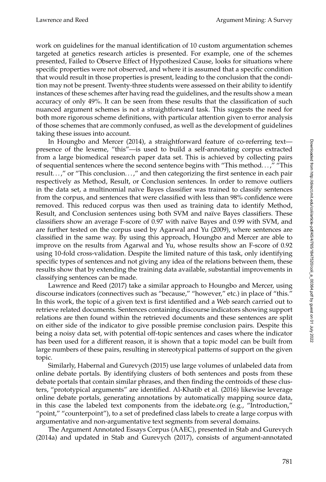work on guidelines for the manual identification of 10 custom argumentation schemes targeted at genetics research articles is presented. For example, one of the schemes presented, Failed to Observe Effect of Hypothesized Cause, looks for situations where specific properties were not observed, and where it is assumed that a specific condition that would result in those properties is present, leading to the conclusion that the condition may not be present. Twenty-three students were assessed on their ability to identify instances of these schemes after having read the guidelines, and the results show a mean accuracy of only 49%. It can be seen from these results that the classification of such nuanced argument schemes is not a straightforward task. This suggests the need for both more rigorous scheme definitions, with particular attention given to error analysis of those schemes that are commonly confused, as well as the development of guidelines taking these issues into account.

In [Houngbo and Mercer \(2014\)](#page-0-0), a straightforward feature of co-referring text presence of the lexeme, "this"—is used to build a self-annotating corpus extracted from a large biomedical research paper data set. This is achieved by collecting pairs of sequential sentences where the second sentence begins with "This method. . . ," "This result...," or "This conclusion...," and then categorizing the first sentence in each pair respectively as Method, Result, or Conclusion sentences. In order to remove outliers in the data set, a multinomial naïve Bayes classifier was trained to classify sentences from the corpus, and sentences that were classified with less than 98% confidence were removed. This reduced corpus was then used as training data to identify Method, Result, and Conclusion sentences using both SVM and naïve Bayes classifiers. These classifiers show an average F-score of 0.97 with naïve Bayes and 0.99 with SVM, and are further tested on the corpus used by [Agarwal and Yu \(2009\)](#page-0-0), where sentences are classified in the same way. By using this approach, Houngbo and Mercer are able to improve on the results from Agarwal and Yu, whose results show an F-score of 0.92 using 10-fold cross-validation. Despite the limited nature of this task, only identifying specific types of sentences and not giving any idea of the relations between them, these results show that by extending the training data available, substantial improvements in classifying sentences can be made.

[Lawrence and Reed \(2017\)](#page-0-0) take a similar approach to Houngbo and Mercer, using discourse indicators (connectives such as "because," "however," etc.) in place of "this." In this work, the topic of a given text is first identified and a Web search carried out to retrieve related documents. Sentences containing discourse indicators showing support relations are then found within the retrieved documents and these sentences are split on either side of the indicator to give possible premise conclusion pairs. Despite this being a noisy data set, with potential off-topic sentences and cases where the indicator has been used for a different reason, it is shown that a topic model can be built from large numbers of these pairs, resulting in stereotypical patterns of support on the given topic.

Similarly, [Habernal and Gurevych \(2015\)](#page-0-0) use large volumes of unlabeled data from online debate portals. By identifying clusters of both sentences and posts from these debate portals that contain similar phrases, and then finding the centroids of these clusters, "prototypical arguments" are identified. [Al-Khatib et al. \(2016\)](#page-0-0) likewise leverage online debate portals, generating annotations by automatically mapping source data, in this case the labeled text components from the idebate.org (e.g., "Introduction," "point," "counterpoint"), to a set of predefined class labels to create a large corpus with argumentative and non-argumentative text segments from several domains.

The Argument Annotated Essays Corpus (AAEC), presented in [Stab and Gurevych](#page-0-0) [\(2014a\)](#page-0-0) and updated in [Stab and Gurevych \(2017\)](#page-0-0), consists of argument-annotated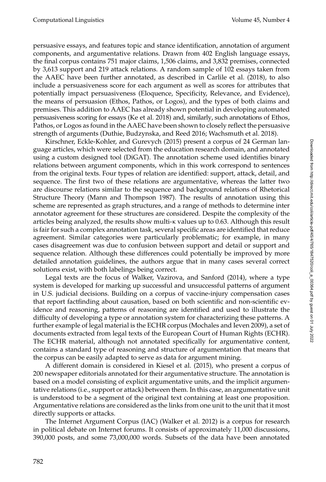persuasive essays, and features topic and stance identification, annotation of argument components, and argumentative relations. Drawn from 402 English language essays, the final corpus contains 751 major claims, 1,506 claims, and 3,832 premises, connected by 3,613 support and 219 attack relations. A random sample of 102 essays taken from the AAEC have been further annotated, as described in [Carlile et al. \(2018\)](#page-0-0), to also include a persuasiveness score for each argument as well as scores for attributes that potentially impact persuasiveness (Eloquence, Specificity, Relevance, and Evidence), the means of persuasion (Ethos, Pathos, or Logos), and the types of both claims and premises. This addition to AAEC has already shown potential in developing automated persuasiveness scoring for essays [\(Ke et al. 2018\)](#page-0-0) and, similarly, such annotations of Ethos, Pathos, or Logos as found in the AAEC have been shown to closely reflect the persuasive strength of arguments [\(Duthie, Budzynska, and Reed 2016; Wachsmuth et al. 2018\)](#page-0-0).

[Kirschner, Eckle-Kohler, and Gurevych \(2015\)](#page-0-0) present a corpus of 24 German language articles, which were selected from the education research domain, and annotated using a custom designed tool (DiGAT). The annotation scheme used identifies binary relations between argument components, which in this work correspond to sentences from the original texts. Four types of relation are identified: support, attack, detail, and sequence. The first two of these relations are argumentative, whereas the latter two are discourse relations similar to the sequence and background relations of Rhetorical Structure Theory [\(Mann and Thompson 1987\)](#page-0-0). The results of annotation using this scheme are represented as graph structures, and a range of methods to determine inter annotator agreement for these structures are considered. Despite the complexity of the articles being analyzed, the results show multi-κ values up to 0.63. Although this result is fair for such a complex annotation task, several specific areas are identified that reduce agreement. Similar categories were particularly problematic; for example, in many cases disagreement was due to confusion between support and detail or support and sequence relation. Although these differences could potentially be improved by more detailed annotation guidelines, the authors argue that in many cases several correct solutions exist, with both labelings being correct.

Legal texts are the focus of [Walker, Vazirova, and Sanford \(2014\)](#page-0-0), where a type system is developed for marking up successful and unsuccessful patterns of argument in U.S. judicial decisions. Building on a corpus of vaccine-injury compensation cases that report factfinding about causation, based on both scientific and non-scientific evidence and reasoning, patterns of reasoning are identified and used to illustrate the difficulty of developing a type or annotation system for characterizing these patterns. A further example of legal material is the ECHR corpus [\(Mochales and Ieven 2009\)](#page-0-0), a set of documents extracted from legal texts of the European Court of Human Rights (ECHR). The ECHR material, although not annotated specifically for argumentative content, contains a standard type of reasoning and structure of argumentation that means that the corpus can be easily adapted to serve as data for argument mining.

A different domain is considered in [Kiesel et al. \(2015\)](#page-0-0), who present a corpus of 200 newspaper editorials annotated for their argumentative structure. The annotation is based on a model consisting of explicit argumentative units, and the implicit argumentative relations (i.e., support or attack) between them. In this case, an argumentative unit is understood to be a segment of the original text containing at least one proposition. Argumentative relations are considered as the links from one unit to the unit that it most directly supports or attacks.

The Internet Argument Corpus (IAC) [\(Walker et al. 2012\)](#page-0-0) is a corpus for research in political debate on Internet forums. It consists of approximately 11,000 discussions, 390,000 posts, and some 73,000,000 words. Subsets of the data have been annotated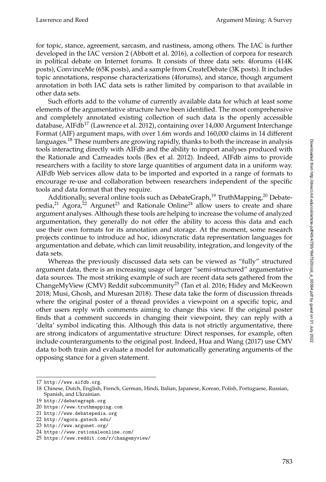for topic, stance, agreement, sarcasm, and nastiness, among others. The IAC is further developed in the IAC version 2 [\(Abbott et al. 2016\)](#page-0-0), a collection of corpora for research in political debate on Internet forums. It consists of three data sets: 4forums (414K posts), ConvinceMe (65K posts), and a sample from CreateDebate (3K posts). It includes topic annotations, response characterizations (4forums), and stance, though argument annotation in both IAC data sets is rather limited by comparison to that available in other data sets.

Such efforts add to the volume of currently available data for which at least some elements of the argumentative structure have been identified. The most comprehensive and completely annotated existing collection of such data is the openly accessible database, AIFdb<sup>[17](#page-18-0)</sup> [\(Lawrence et al. 2012\)](#page-0-0), containing over 14,000 Argument Interchange Format (AIF) argument maps, with over 1.6m words and 160,000 claims in 14 different languages.<sup>[18](#page-18-1)</sup> These numbers are growing rapidly, thanks to both the increase in analysis tools interacting directly with AIFdb and the ability to import analyses produced with the Rationale and Carneades tools [\(Bex et al. 2012\)](#page-0-0). Indeed, AIFdb aims to provide researchers with a facility to store large quantities of argument data in a uniform way. AIFdb Web services allow data to be imported and exported in a range of formats to encourage re-use and collaboration between researchers independent of the specific tools and data format that they require.

Additionally, several online tools such as DebateGraph,<sup>[19](#page-18-2)</sup> TruthMapping,<sup>[20](#page-18-3)</sup> Debate-pedia,<sup>[21](#page-18-4)</sup> Agora,<sup>[22](#page-18-5)</sup> Argunet<sup>[23](#page-18-6)</sup> and Rationale Online<sup>[24](#page-18-7)</sup> allow users to create and share argument analyses. Although these tools are helping to increase the volume of analyzed argumentation, they generally do not offer the ability to access this data and each use their own formats for its annotation and storage. At the moment, some research projects continue to introduce ad hoc, idiosyncratic data representation languages for argumentation and debate, which can limit reusability, integration, and longevity of the data sets.

Whereas the previously discussed data sets can be viewed as "fully" structured argument data, there is an increasing usage of larger "semi-structured" argumentative data sources. The most striking example of such are recent data sets gathered from the ChangeMyView (CMV) Reddit subcommunity<sup>[25](#page-18-8)</sup> [\(Tan et al. 2016; Hidey and McKeown](#page-0-0) [2018; Musi, Ghosh, and Muresan 2018\)](#page-0-0). These data take the form of discussion threads where the original poster of a thread provides a viewpoint on a specific topic, and other users reply with comments aiming to change this view. If the original poster finds that a comment succeeds in changing their viewpoint, they can reply with a 'delta' symbol indicating this. Although this data is not strictly argumentative, there are strong indicators of argumentative structure: Direct responses, for example, often include counterarguments to the original post. Indeed, [Hua and Wang \(2017\)](#page-0-0) use CMV data to both train and evaluate a model for automatically generating arguments of the opposing stance for a given statement.

<span id="page-18-0"></span><sup>17</sup> <http://www.aifdb.org>.

<span id="page-18-1"></span><sup>18</sup> Chinese, Dutch, English, French, German, Hindi, Italian, Japanese, Korean, Polish, Portuguese, Russian, Spanish, and Ukrainian.

<span id="page-18-2"></span><sup>19</sup> <http://debategraph.org>

<span id="page-18-3"></span><sup>20</sup> <https://www.truthmapping.com>

<span id="page-18-4"></span><sup>21</sup> <http://www.debatepedia.org>

<span id="page-18-5"></span><sup>22</sup> <http://agora.gatech.edu/>

<span id="page-18-6"></span><sup>23</sup> <http://www.argunet.org/>

<span id="page-18-7"></span><sup>24</sup> <https://www.rationaleonline.com/>

<span id="page-18-8"></span><sup>25</sup> <https://www.reddit.com/r/changemyview/>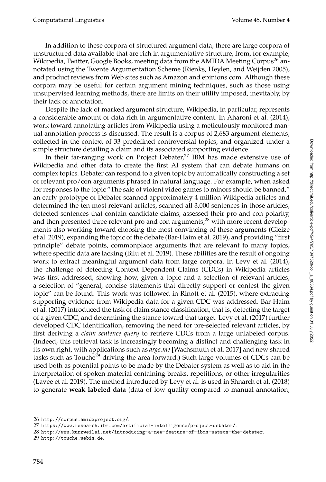In addition to these corpora of structured argument data, there are large corpora of unstructured data available that are rich in argumentative structure, from, for example, Wikipedia, Twitter, Google Books, meeting data from the AMIDA Meeting Corpus<sup>[26](#page-19-0)</sup> annotated using the Twente Argumentation Scheme [\(Rienks, Heylen, and Weijden 2005\)](#page-0-0), and product reviews from Web sites such as Amazon and [epinions.com.](http://epinions.com) Although these corpora may be useful for certain argument mining techniques, such as those using unsupervised learning methods, there are limits on their utility imposed, inevitably, by their lack of annotation.

Despite the lack of marked argument structure, Wikipedia, in particular, represents a considerable amount of data rich in argumentative content. In [Aharoni et al. \(2014\)](#page-0-0), work toward annotating articles from Wikipedia using a meticulously monitored manual annotation process is discussed. The result is a corpus of 2,683 argument elements, collected in the context of 33 predefined controversial topics, and organized under a simple structure detailing a claim and its associated supporting evidence.

In their far-ranging work on Project Debater, $27$  IBM has made extensive use of Wikipedia and other data to create the first AI system that can debate humans on complex topics. Debater can respond to a given topic by automatically constructing a set of relevant pro/con arguments phrased in natural language. For example, when asked for responses to the topic "The sale of violent video games to minors should be banned," an early prototype of Debater scanned approximately 4 million Wikipedia articles and determined the ten most relevant articles, scanned all 3,000 sentences in those articles, detected sentences that contain candidate claims, assessed their pro and con polarity, and then presented three relevant pro and con arguments,<sup>[28](#page-19-2)</sup> with more recent developments also working toward choosing the most convincing of these arguments (Gleize et al. [2019\)](#page-0-0), expanding the topic of the debate [\(Bar-Haim et al. 2019\)](#page-0-0), and providing "first principle" debate points, commonplace arguments that are relevant to many topics, where specific data are lacking [\(Bilu et al. 2019\)](#page-0-0). These abilities are the result of ongoing work to extract meaningful argument data from large corpora. In [Levy et al. \(2014\)](#page-0-0), the challenge of detecting Context Dependent Claims (CDCs) in Wikipedia articles was first addressed, showing how, given a topic and a selection of relevant articles, a selection of "general, concise statements that directly support or contest the given topic" can be found. This work was followed in [Rinott et al. \(2015\)](#page-0-0), where extracting supporting evidence from Wikipedia data for a given CDC was addressed. [Bar-Haim](#page-0-0) [et al. \(2017\)](#page-0-0) introduced the task of claim stance classification, that is, detecting the target of a given CDC, and determining the stance toward that target. [Levy et al. \(2017\)](#page-0-0) further developed CDC identification, removing the need for pre-selected relevant articles, by first deriving a *claim sentence query* to retrieve CDCs from a large unlabeled corpus. (Indeed, this retrieval task is increasingly becoming a distinct and challenging task in its own right, with applications such as *args.me* [\[Wachsmuth et al. 2017\]](#page-0-0) and new shared tasks such as Touche<sup>[29](#page-19-3)</sup> driving the area forward.) Such large volumes of CDCs can be used both as potential points to be made by the Debater system as well as to aid in the interpretation of spoken material containing breaks, repetitions, or other irregularities [\(Lavee et al. 2019\)](#page-0-0). The method introduced by Levy et al. is used in [Shnarch et al. \(2018\)](#page-0-0) to generate **weak labeled data** (data of low quality compared to manual annotation,

<span id="page-19-0"></span><sup>26</sup> <http://corpus.amidaproject.org/>.

<span id="page-19-1"></span><sup>27</sup> <https://www.research.ibm.com/artificial-intelligence/project-debater/>.

<span id="page-19-2"></span><sup>28</sup> <http://www.kurzweilai.net/introducing-a-new-feature-of-ibms-watson-the-debater>.

<span id="page-19-3"></span><sup>29</sup> <http://touche.webis.de>.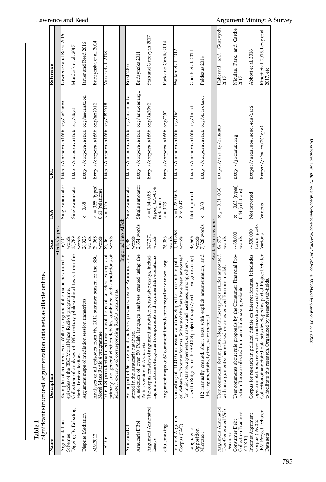| Table 1                                               | Significant structured argumentation data sets available online.                                                                                                                                    |                               |                                                        |                                      |                                               |
|-------------------------------------------------------|-----------------------------------------------------------------------------------------------------------------------------------------------------------------------------------------------------|-------------------------------|--------------------------------------------------------|--------------------------------------|-----------------------------------------------|
| Name                                                  | Description                                                                                                                                                                                         | Size                          | <b>AA</b>                                              | ē                                    | Reference                                     |
|                                                       |                                                                                                                                                                                                     | AIFdb Corpora                 |                                                        |                                      |                                               |
| Argumentation<br>Schemes                              | s argumentation schemes found in<br>episodes of the BBC Moral Maze Radio 4 programme.<br>Examples of occurrences of Walton                                                                          | words<br>$-6,704$             | Single annotator                                       | http://corpora.aifdb.org/schemes     | Lawrence and Reed 2016                        |
| Digging By Debating                                   | Collection of analyses of 19th century philosophical texts from the<br>Hathi Trust collection                                                                                                       | words<br>35,789               | Single annotator                                       | http://corpora.aifdb.org/dbyd        | Murdock et al. 2017                           |
| Dispute Mediation                                     | Argument maps of mediation session transcripts.                                                                                                                                                     | words<br>26,923               | $k = 0.68$                                             | http://corpora.aifdb.org/mediation   | Janier and Reed 2016                          |
| <b>MM2012</b>                                         | 2012 summer season of the BBC<br>Analyses of all episodes from the<br>Moral Maze Radio 4 programme.                                                                                                 | words<br>29,068               | $k = 0.55$ (types),<br>0.61 (relations)                | http://corpora.aifdb.org/mm2012      | Budzynska et al. 2014                         |
| US2016                                                | primary and general election debates, combined with annotations of<br>2016 US presidential elections: annotations of selected excerpts of<br>Reddit comments.<br>selected excerpts of corresponding | words<br>87,064               | $K = 0.75$                                             | http://corpora.aifdb.org/US2016      | Visser et al. 2018                            |
|                                                       |                                                                                                                                                                                                     | Imported into AIFdb           |                                                        |                                      |                                               |
| AraucariaDB                                           | An import of 661 argument analyses produced using Araucaria and<br>stored in the Araucaria database.                                                                                                | words<br>62,881               | Single annotator                                       | http://corpora.aifdb.org/araucaria   | Reed 2006                                     |
| AraucariaDBp.                                         | A selection of over 50 Polish language analyses created using the<br>Polish version of Araucaria.                                                                                                   | 2,654 words                   | Single annotator                                       | http://corpora.aifdb.org/araucariapl | Budzynzka 201.                                |
| Argument Annotated<br>Essays                          | The corpus consists of argument annotated persuasive essays, includ-<br>ing annotations of argument components and argumentative relations.                                                         | words<br>147,271              | (types), 0.71-0.74<br>$k = 0.64 - 0.88$<br>(relations) | http://corpora.aifdb.org/AAECv2      | Stab and Gurevych 2017                        |
| eRulemaking                                           | Argument maps of 67 comment threads from regulationroom.org.                                                                                                                                        | words<br>26,083               | $k = 0.73$                                             | http://corpora.aifdb.org/RRD         | Park and Cardie 2014                          |
| Internet Argument<br>Corpus (IAC)                     | Consisting of 11,000 discussions and developed for research in politi-<br>cal debate on Internet forums. Subsets of the data have been annotated                                                    | 1,031,398<br>words            | $\kappa = 0.22 - 0.60,$<br>$\bar{k} \approx 0.47$      | http://corpora.aifdb.org/IAC         | Walker et al. 2012                            |
|                                                       | for topic, stance, agreement, sarcasm, and nastiness, among others.                                                                                                                                 |                               |                                                        |                                      |                                               |
| $\rm{L}$ anguage of<br>Opposition                     | Used in Rutgers for the SALTS project (http://salts.rutgers.edu/).                                                                                                                                  | words<br>48,666               | Not reported                                           | http://corpora.aifdb.org/looc1       | Chosh et al. 2014                             |
| Microtext                                             | with explicit argumentation, and<br>little argumentatively irrelevant material.<br>112 manually created, short texts                                                                                | 7,828 words                   | $x = 0.83$                                             | http://corpora.aifdb.org/Microtext   | Peldszus 2014                                 |
|                                                       |                                                                                                                                                                                                     | Available elsewhere           |                                                        |                                      |                                               |
| Argument Annotated<br>User-Generated Web<br>Discourse | and newspaper articles annotated<br>an extended Toulmin model.<br>User comments, forum posts, blogs<br>with an argument scheme based on                                                             | words<br>84,673               | $\alpha_U = 0.51 - 0.80$                               | https://bit.ly/2vdkHOD               | Gurevych<br>and<br>Habernal<br>2017           |
| Consumer Debt                                         | User comments about rule proposals by the Consumer Financial Pro-                                                                                                                                   | $\sim\!\!88.000$              |                                                        | http://joonsuk.org                   |                                               |
| Collection Practices<br>(CDCP)                        | tection Bureau collected from an eRulemaking website.                                                                                                                                               | words                         | $\alpha = 0.65$ (types),<br>0.44 (relations)           |                                      | Niculae, Park, and Cardie<br>2017             |
| <b>Internet Argument</b><br>Corpus (IAC) 2            | Corpus for research in political debate on Internet forums. It includes<br>topic annotations, response characterizations, and stance.                                                               | forum posts<br>$\sim$ 500,000 | Not reported                                           | https://nlds.soe.ucsc.edu/iac2       | Abbott et al. 2016                            |
| <b>BM</b> Project Debater<br>Data sets                | Collection of annotated data sets developed as part of Project Debater<br>to facilitate this research. Organized by research sub-fields.                                                            | Various                       | Various                                                | https://ibm.co/201qieA               | Rinott et al. 2015, Levy et al.<br>2017, etc. |

Ė ەلمىلىقىسى:  $\ddot{\phantom{a}}$  $\frac{1}{4}$ ندمد -1.04 Table 1<br>Significa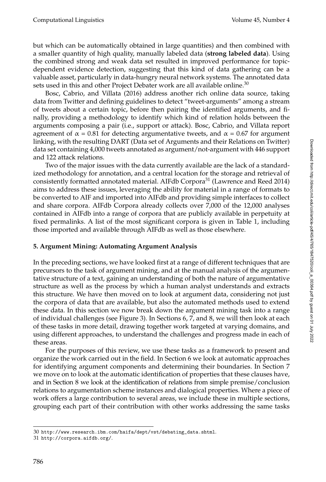but which can be automatically obtained in large quantities) and then combined with a smaller quantity of high quality, manually labeled data (**strong labeled data**). Using the combined strong and weak data set resulted in improved performance for topicdependent evidence detection, suggesting that this kind of data gathering can be a valuable asset, particularly in data-hungry neural network systems. The annotated data sets used in this and other Project Debater work are all available online.<sup>[30](#page-21-1)</sup>

[Bosc, Cabrio, and Villata \(2016\)](#page-0-0) address another rich online data source, taking data from Twitter and defining guidelines to detect "tweet-arguments" among a stream of tweets about a certain topic, before then pairing the identified arguments, and finally, providing a methodology to identify which kind of relation holds between the arguments composing a pair (i.e., support or attack). Bosc, Cabrio, and Villata report agreement of  $\alpha$  = 0.81 for detecting argumentative tweets, and  $\alpha$  = 0.67 for argument linking, with the resulting DART (Data set of Arguments and their Relations on Twitter) data set containing 4,000 tweets annotated as argument/not-argument with 446 support and 122 attack relations.

Two of the major issues with the data currently available are the lack of a standardized methodology for annotation, and a central location for the storage and retrieval of consistently formatted annotated material. AIFdb Corpora[31](#page-21-2) [\(Lawrence and Reed 2014\)](#page-0-0) aims to address these issues, leveraging the ability for material in a range of formats to be converted to AIF and imported into AIFdb and providing simple interfaces to collect and share corpora. AIFdb Corpora already collects over 7,000 of the 12,000 analyses contained in AIFdb into a range of corpora that are publicly available in perpetuity at fixed permalinks. A list of the most significant corpora is given in Table 1, including those imported and available through AIFdb as well as those elsewhere.

## <span id="page-21-0"></span>**5. Argument Mining: Automating Argument Analysis**

In the preceding sections, we have looked first at a range of different techniques that are precursors to the task of argument mining, and at the manual analysis of the argumentative structure of a text, gaining an understanding of both the nature of argumentative structure as well as the process by which a human analyst understands and extracts this structure. We have then moved on to look at argument data, considering not just the corpora of data that are available, but also the automated methods used to extend these data. In this section we now break down the argument mining task into a range of individual challenges (see Figure [3\)](#page-22-0). In Sections [6,](#page-23-0) [7,](#page-26-0) and [8,](#page-34-0) we will then look at each of these tasks in more detail, drawing together work targeted at varying domains, and using different approaches, to understand the challenges and progress made in each of these areas.

For the purposes of this review, we use these tasks as a framework to present and organize the work carried out in the field. In Section [6](#page-23-0) we look at automatic approaches for identifying argument components and determining their boundaries. In Section [7](#page-26-0) we move on to look at the automatic identification of properties that these clauses have, and in Section [8](#page-34-0) we look at the identification of relations from simple premise/conclusion relations to argumentation scheme instances and dialogical properties. Where a piece of work offers a large contribution to several areas, we include these in multiple sections, grouping each part of their contribution with other works addressing the same tasks

<span id="page-21-1"></span><sup>30</sup> [http://www.research.ibm.com/haifa/dept/vst/debating\\_data.shtml](http://www.research.ibm.com/haifa/dept/vst/debating_data.shtml).

<span id="page-21-2"></span><sup>31</sup> <http://corpora.aifdb.org/>.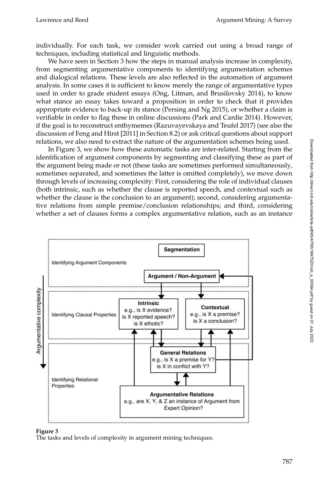individually. For each task, we consider work carried out using a broad range of techniques, including statistical and linguistic methods.

We have seen in Section [3](#page-9-0) how the steps in manual analysis increase in complexity, from segmenting argumentative components to identifying argumentation schemes and dialogical relations. These levels are also reflected in the automation of argument analysis. In some cases it is sufficient to know merely the range of argumentative types used in order to grade student essays [\(Ong, Litman, and Brusilovsky 2014\)](#page-0-0), to know what stance an essay takes toward a proposition in order to check that it provides appropriate evidence to back-up its stance [\(Persing and Ng 2015\)](#page-0-0), or whether a claim is verifiable in order to flag these in online discussions [\(Park and Cardie 2014\)](#page-0-0). However, if the goal is to reconstruct enthymemes [\(Razuvayevskaya and Teufel 2017\)](#page-0-0) (see also the discussion of [Feng and Hirst \[2011\]](#page-0-0) in Section [8.2\)](#page-37-0) or ask critical questions about support relations, we also need to extract the nature of the argumentation schemes being used.

In Figure [3,](#page-22-0) we show how these automatic tasks are inter-related. Starting from the identification of argument components by segmenting and classifying these as part of the argument being made or not (these tasks are sometimes performed simultaneously, sometimes separated, and sometimes the latter is omitted completely), we move down through levels of increasing complexity: First, considering the role of individual clauses (both intrinsic, such as whether the clause is reported speech, and contextual such as whether the clause is the conclusion to an argument); second, considering argumentative relations from simple premise/conclusion relationships; and third, considering whether a set of clauses forms a complex argumentative relation, such as an instance



#### **Figure 3**

<span id="page-22-0"></span>The tasks and levels of complexity in argument mining techniques.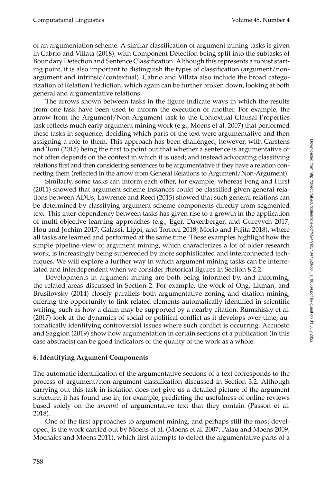of an argumentation scheme. A similar classification of argument mining tasks is given in [Cabrio and Villata \(2018\)](#page-0-0), with Component Detection being split into the subtasks of Boundary Detection and Sentence Classification. Although this represents a robust starting point, it is also important to distinguish the types of classification (argument/nonargument and intrinsic/contextual). Cabrio and Villata also include the broad categorization of Relation Prediction, which again can be further broken down, looking at both general and argumentative relations.

The arrows shown between tasks in the figure indicate ways in which the results from one task have been used to inform the execution of another. For example, the arrow from the Argument/Non-Argument task to the Contextual Clausal Properties task reflects much early argument mining work (e.g., Moens et al. [2007\)](#page-0-0) that performed these tasks in sequence; deciding which parts of the text were argumentative and then assigning a role to them. This approach has been challenged, however, with [Carstens](#page-0-0) [and Toni \(2015\)](#page-0-0) being the first to point out that whether a sentence is argumentative or not often depends on the context in which it is used; and instead advocating classifying relations first and then considering sentences to be argumentative if they have a relation connecting them (reflected in the arrow from General Relations to Argument/Non-Argument).

Similarly, some tasks can inform each other, for example, whereas [Feng and Hirst](#page-0-0) [\(2011\)](#page-0-0) showed that argument scheme instances could be classified given general relations between ADUs, [Lawrence and Reed \(2015\)](#page-0-0) showed that such general relations can be determined by classifying argument scheme components directly from segmented text. This inter-dependency between tasks has given rise to a growth in the application of multi-objective learning approaches (e.g., Eger, Daxenberger, and Gurevych [2017;](#page-0-0) Hou and Jochim [2017;](#page-0-0) Galassi, Lippi, and Torroni [2018;](#page-0-0) Morio and Fujita [2018\)](#page-0-0), where all tasks are learned and performed at the same time. These examples highlight how the simple pipeline view of argument mining, which characterizes a lot of older research work, is increasingly being superceded by more sophisticated and interconnected techniques. We will explore a further way in which argument mining tasks can be interrelated and interdependent when we consider rhetorical figures in Section [8.2.2.](#page-40-0)

Developments in argument mining are both being informed by, and informing, the related areas discussed in Section [2.](#page-2-0) For example, the work of [Ong, Litman, and](#page-0-0) [Brusilovsky \(2014\)](#page-0-0) closely parallels both argumentative zoning and citation mining, offering the opportunity to link related elements automatically identified in scientific writing, such as how a claim may be supported by a nearby citation. [Rumshisky et al.](#page-0-0) [\(2017\)](#page-0-0) look at the dynamics of social or political conflict as it develops over time, automatically identifying controversial issues where such conflict is occurring. [Accuosto](#page-0-0) [and Saggion \(2019\)](#page-0-0) show how argumentation in certain sections of a publication (in this case abstracts) can be good indicators of the quality of the work as a whole.

## <span id="page-23-0"></span>**6. Identifying Argument Components**

The automatic identification of the argumentative sections of a text corresponds to the process of argument/non-argument classification discussed in Section [3.2.](#page-11-0) Although carrying out this task in isolation does not give us a detailed picture of the argument structure, it has found use in, for example, predicting the usefulness of online reviews based solely on the *amount* of argumentative text that they contain [\(Passon et al.](#page-0-0) [2018\)](#page-0-0).

One of the first approaches to argument mining, and perhaps still the most developed, is the work carried out by Moens et al. [\(Moens et al. 2007; Palau and Moens 2009;](#page-0-0) [Mochales and Moens 2011\)](#page-0-0), which first attempts to detect the argumentative parts of a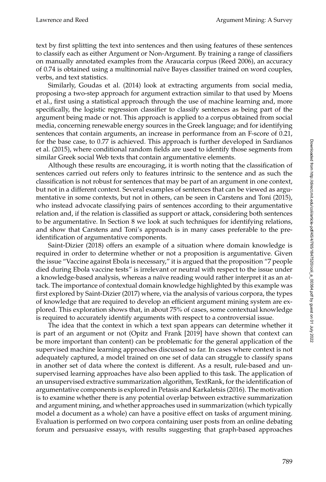text by first splitting the text into sentences and then using features of these sentences to classify each as either Argument or Non-Argument. By training a range of classifiers on manually annotated examples from the Araucaria corpus [\(Reed 2006\)](#page-0-0), an accuracy of 0.74 is obtained using a multinomial naïve Bayes classifier trained on word couples, verbs, and text statistics.

Similarly, [Goudas et al. \(2014\)](#page-0-0) look at extracting arguments from social media, proposing a two-step approach for argument extraction similar to that used by Moens et al., first using a statistical approach through the use of machine learning and, more specifically, the logistic regression classifier to classify sentences as being part of the argument being made or not. This approach is applied to a corpus obtained from social media, concerning renewable energy sources in the Greek language; and for identifying sentences that contain arguments, an increase in performance from an F-score of 0.21, for the base case, to 0.77 is achieved. This approach is further developed in [Sardianos](#page-0-0) [et al. \(2015\)](#page-0-0), where conditional random fields are used to identify those segments from similar Greek social Web texts that contain argumentative elements.

Although these results are encouraging, it is worth noting that the classification of sentences carried out refers only to features intrinsic to the sentence and as such the classification is not robust for sentences that may be part of an argument in one context, but not in a different context. Several examples of sentences that can be viewed as argumentative in some contexts, but not in others, can be seen in [Carstens and Toni \(2015\)](#page-0-0), who instead advocate classifying pairs of sentences according to their argumentative relation and, if the relation is classified as support or attack, considering both sentences to be argumentative. In Section [8](#page-34-0) we look at such techniques for identifying relations, and show that Carstens and Toni's approach is in many cases preferable to the preidentification of argumentative components.

[Saint-Dizier \(2018\)](#page-0-0) offers an example of a situation where domain knowledge is required in order to determine whether or not a proposition is argumentative. Given the issue "Vaccine against Ebola is necessary," it is argued that the proposition "7 people died during Ebola vaccine tests" is irrelevant or neutral with respect to the issue under a knowledge-based analysis, whereas a naïve reading would rather interpret it as an attack. The importance of contextual domain knowledge highlighted by this example was first explored by [Saint-Dizier \(2017\)](#page-0-0) where, via the analysis of various corpora, the types of knowledge that are required to develop an efficient argument mining system are explored. This exploration shows that, in about 75% of cases, some contextual knowledge is required to accurately identify arguments with respect to a controversial issue.

The idea that the context in which a text span appears can determine whether it is part of an argument or not [\(Opitz and Frank \[2019\]](#page-0-0) have shown that context can be more important than content) can be problematic for the general application of the supervised machine learning approaches discussed so far. In cases where context is not adequately captured, a model trained on one set of data can struggle to classify spans in another set of data where the context is different. As a result, rule-based and unsupervised learning approaches have also been applied to this task. The application of an unsupervised extractive summarization algorithm, TextRank, for the identification of argumentative components is explored in [Petasis and Karkaletsis \(2016\)](#page-0-0). The motivation is to examine whether there is any potential overlap between extractive summarization and argument mining, and whether approaches used in summarization (which typically model a document as a whole) can have a positive effect on tasks of argument mining. Evaluation is performed on two corpora containing user posts from an online debating forum and persuasive essays, with results suggesting that graph-based approaches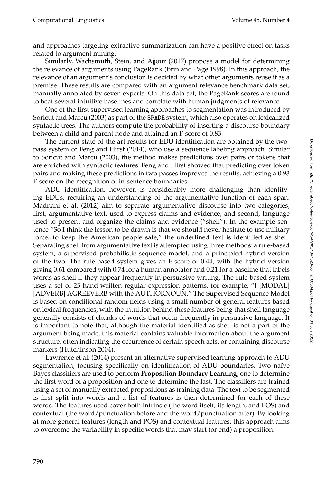and approaches targeting extractive summarization can have a positive effect on tasks related to argument mining.

Similarly, [Wachsmuth, Stein, and Ajjour \(2017\)](#page-0-0) propose a model for determining the relevance of arguments using PageRank [\(Brin and Page 1998\)](#page-0-0). In this approach, the relevance of an argument's conclusion is decided by what other arguments reuse it as a premise. These results are compared with an argument relevance benchmark data set, manually annotated by seven experts. On this data set, the PageRank scores are found to beat several intuitive baselines and correlate with human judgments of relevance.

One of the first supervised learning approaches to segmentation was introduced by [Soricut and Marcu \(2003\)](#page-0-0) as part of the SPADE system, which also operates on lexicalized syntactic trees. The authors compute the probability of inserting a discourse boundary between a child and parent node and attained an F-score of 0.83.

The current state-of-the-art results for EDU identification are obtained by the twopass system of [Feng and Hirst \(2014\)](#page-0-0), who use a sequence labeling approach. Similar to [Soricut and Marcu \(2003\)](#page-0-0), the method makes predictions over pairs of tokens that are enriched with syntactic features. Feng and Hirst showed that predicting over token pairs and making these predictions in two passes improves the results, achieving a 0.93 F-score on the recognition of in-sentence boundaries.

ADU identification, however, is considerably more challenging than identifying EDUs, requiring an understanding of the argumentative function of each span. [Madnani et al. \(2012\)](#page-0-0) aim to separate argumentative discourse into two categories; first, argumentative text, used to express claims and evidence, and second, language used to present and organize the claims and evidence ("shell"). In the example sentence "So I think the lesson to be drawn is that we should never hesitate to use military force...to keep the American people safe," the underlined text is identified as shell. Separating shell from argumentative text is attempted using three methods: a rule-based system, a supervised probabilistic sequence model, and a principled hybrid version of the two. The rule-based system gives an F-score of 0.44, with the hybrid version giving 0.61 compared with 0.74 for a human annotator and 0.21 for a baseline that labels words as shell if they appear frequently in persuasive writing. The rule-based system uses a set of 25 hand-written regular expression patterns, for example, "I [MODAL] [ADVERB] AGREEVERB with the AUTHORNOUN." The Supervised Sequence Model is based on conditional random fields using a small number of general features based on lexical frequencies, with the intuition behind these features being that shell language generally consists of chunks of words that occur frequently in persuasive language. It is important to note that, although the material identified as shell is not a part of the argument being made, this material contains valuable information about the argument structure, often indicating the occurrence of certain speech acts, or containing discourse markers [\(Hutchinson 2004\)](#page-0-0).

[Lawrence et al. \(2014\)](#page-0-0) present an alternative supervised learning approach to ADU segmentation, focusing specifically on identification of ADU boundaries. Two naïve Bayes classifiers are used to perform **Proposition Boundary Learning**, one to determine the first word of a proposition and one to determine the last. The classifiers are trained using a set of manually extracted propositions as training data. The text to be segmented is first split into words and a list of features is then determined for each of these words. The features used cover both intrinsic (the word itself, its length, and POS) and contextual (the word/punctuation before and the word/punctuation after). By looking at more general features (length and POS) and contextual features, this approach aims to overcome the variability in specific words that may start (or end) a proposition.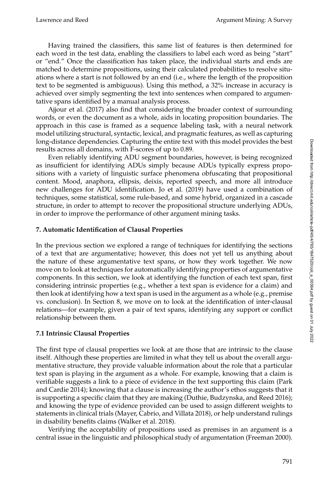Having trained the classifiers, this same list of features is then determined for each word in the test data, enabling the classifiers to label each word as being "start" or "end." Once the classification has taken place, the individual starts and ends are matched to determine propositions, using their calculated probabilities to resolve situations where a start is not followed by an end (i.e., where the length of the proposition text to be segmented is ambiguous). Using this method, a 32% increase in accuracy is achieved over simply segmenting the text into sentences when compared to argumentative spans identified by a manual analysis process.

[Ajjour et al. \(2017\)](#page-0-0) also find that considering the broader context of surrounding words, or even the document as a whole, aids in locating proposition boundaries. The approach in this case is framed as a sequence labeling task, with a neural network model utilizing structural, syntactic, lexical, and pragmatic features, as well as capturing long-distance dependencies. Capturing the entire text with this model provides the best results across all domains, with F-scores of up to 0.89.

Even reliably identifying ADU segment boundaries, however, is being recognized as insufficient for identifying ADUs simply because ADUs typically express propositions with a variety of linguistic surface phenomena obfuscating that propositional content. Mood, anaphora, ellipsis, deixis, reported speech, and more all introduce new challenges for ADU identification. [Jo et al. \(2019\)](#page-0-0) have used a combination of techniques, some statistical, some rule-based, and some hybrid, organized in a cascade structure, in order to attempt to recover the propositional structure underlying ADUs, in order to improve the performance of other argument mining tasks.

# <span id="page-26-0"></span>**7. Automatic Identification of Clausal Properties**

In the previous section we explored a range of techniques for identifying the sections of a text that are argumentative; however, this does not yet tell us anything about the nature of these argumentative text spans, or how they work together. We now move on to look at techniques for automatically identifying properties of argumentative components. In this section, we look at identifying the function of each text span, first considering intrinsic properties (e.g., whether a text span is evidence for a claim) and then look at identifying how a text span is used in the argument as a whole (e.g., premise vs. conclusion). In Section [8,](#page-34-0) we move on to look at the identification of inter-clausal relations—for example, given a pair of text spans, identifying any support or conflict relationship between them.

# **7.1 Intrinsic Clausal Properties**

The first type of clausal properties we look at are those that are intrinsic to the clause itself. Although these properties are limited in what they tell us about the overall argumentative structure, they provide valuable information about the role that a particular text span is playing in the argument as a whole. For example, knowing that a claim is verifiable suggests a link to a piece of evidence in the text supporting this claim [\(Park](#page-0-0) [and Cardie 2014\)](#page-0-0); knowing that a clause is increasing the author's ethos suggests that it is supporting a specific claim that they are making [\(Duthie, Budzynska, and Reed 2016\)](#page-0-0); and knowing the type of evidence provided can be used to assign different weights to statements in clinical trials [\(Mayer, Cabrio, and Villata 2018\)](#page-0-0), or help understand rulings in disability benefits claims [\(Walker et al. 2018\)](#page-0-0).

Verifying the acceptability of propositions used as premises in an argument is a central issue in the linguistic and philosophical study of argumentation [\(Freeman 2000\)](#page-0-0).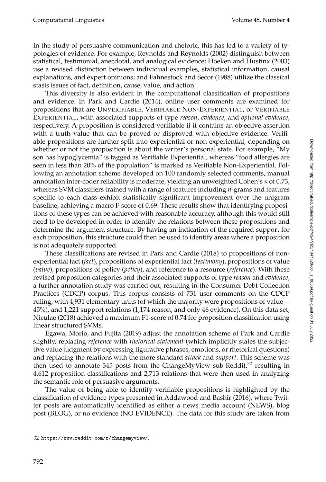In the study of persuasive communication and rhetoric, this has led to a variety of typologies of evidence. For example, [Reynolds and Reynolds \(2002\)](#page-0-0) distinguish between statistical, testimonial, anecdotal, and analogical evidence; [Hoeken and Hustinx \(2003\)](#page-0-0) use a revised distinction between individual examples, statistical information, causal explanations, and expert opinions; and [Fahnestock and Secor \(1988\)](#page-0-0) utilize the classical stasis issues of fact, definition, cause, value, and action.

This diversity is also evident in the computational classification of propositions and evidence. In [Park and Cardie \(2014\)](#page-0-0), online user comments are examined for propositions that are UNVERIFIABLE, VERIFIABLE NON-EXPERIENTIAL, or VERIFIABLE EXPERIENTIAL, with associated supports of type *reason*, *evidence*, and *optional evidence*, respectively. A proposition is considered verifiable if it contains an objective assertion with a truth value that can be proved or disproved with objective evidence. Verifiable propositions are further split into experiential or non-experiential, depending on whether or not the proposition is about the writer's personal state. For example, "My son has hypoglycemia" is tagged as Verifiable Experiential, whereas "food allergies are seen in less than 20% of the population" is marked as Verifiable Non-Experiential. Following an annotation scheme developed on 100 randomly selected comments, manual annotation inter-coder reliability is moderate, yielding an unweighted Cohen's κ of 0.73, whereas SVM classifiers trained with a range of features including *n*-grams and features specific to each class exhibit statistically significant improvement over the unigram baseline, achieving a macro F-score of 0.69. These results show that identifying propositions of these types can be achieved with reasonable accuracy, although this would still need to be developed in order to identify the relations between these propositions and determine the argument structure. By having an indication of the required support for each proposition, this structure could then be used to identify areas where a proposition is not adequately supported.

These classifications are revised in [Park and Cardie \(2018\)](#page-0-0) to propositions of nonexperiential fact (*fact*), propositions of experiential fact (*testimony*), propositions of value (*value*), propositions of policy (*policy*), and reference to a resource (*reference*). With these revised proposition categories and their associated supports of type *reason* and *evidence*, a further annotation study was carried out, resulting in the Consumer Debt Collection Practices (CDCP) corpus. This corpus consists of 731 user comments on the CDCP ruling, with 4,931 elementary units (of which the majority were propositions of value— 45%), and 1,221 support relations (1,174 reason, and only 46 evidence). On this data set, [Niculae \(2018\)](#page-0-0) achieved a maximum F1-score of 0.74 for proposition classification using linear structured SVMs.

[Egawa, Morio, and Fujita \(2019\)](#page-0-0) adjust the annotation scheme of Park and Cardie slightly, replacing *reference* with *rhetorical statement* (which implicitly states the subjective value judgment by expressing figurative phrases, emotions, or rhetorical questions) and replacing the relations with the more standard *attack* and *support*. This scheme was then used to annotate 345 posts from the ChangeMyView sub-Reddit, $3<sup>2</sup>$  resulting in 4,612 proposition classifications and 2,713 relations that were then used in analyzing the semantic role of persuasive arguments.

The value of being able to identify verifiable propositions is highlighted by the classification of evidence types presented in [Addawood and Bashir \(2016\)](#page-0-0), where Twitter posts are automatically identified as either a news media account (NEWS), blog post (BLOG), or no evidence (NO EVIDENCE). The data for this study are taken from

<span id="page-27-0"></span><sup>32</sup> <https://www.reddit.com/r/changemyview/>.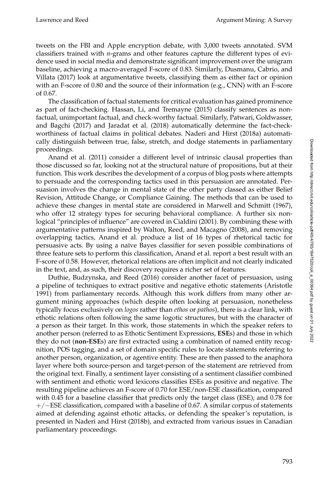tweets on the FBI and Apple encryption debate, with 3,000 tweets annotated. SVM classifiers trained with *n*-grams and other features capture the different types of evidence used in social media and demonstrate significant improvement over the unigram baseline, achieving a macro-averaged F-score of 0.83. Similarly, [Dusmanu, Cabrio, and](#page-0-0) [Villata \(2017\)](#page-0-0) look at argumentative tweets, classifying them as either fact or opinion with an F-score of 0.80 and the source of their information (e.g., CNN) with an F-score of 0.67.

The classification of factual statements for critical evaluation has gained prominence as part of fact-checking. [Hassan, Li, and Tremayne \(2015\)](#page-0-0) classify sentences as nonfactual, unimportant factual, and check-worthy factual. Similarly, [Patwari, Goldwasser,](#page-0-0) [and Bagchi \(2017\)](#page-0-0) and [Jaradat et al. \(2018\)](#page-0-0) automatically determine the fact-checkworthiness of factual claims in political debates. [Naderi and Hirst \(2018a\)](#page-0-0) automatically distinguish between true, false, stretch, and dodge statements in parliamentary proceedings.

[Anand et al. \(2011\)](#page-0-0) consider a different level of intrinsic clausal properties than those discussed so far, looking not at the structural nature of propositions, but at their function. This work describes the development of a corpus of blog posts where attempts to persuade and the corresponding tactics used in this persuasion are annotated. Persuasion involves the change in mental state of the other party classed as either Belief Revision, Attitude Change, or Compliance Gaining. The methods that can be used to achieve these changes in mental state are considered in [Marwell and Schmitt \(1967\)](#page-0-0), who offer 12 strategy types for securing behavioral compliance. A further six nonlogical "principles of influence" are covered in [Cialdini \(2001\)](#page-0-0). By combining these with argumentative patterns inspired by [Walton, Reed, and Macagno \(2008\)](#page-0-0), and removing overlapping tactics, Anand et al. produce a list of 16 types of rhetorical tactic for persuasive acts. By using a naïve Bayes classifier for seven possible combinations of three feature sets to perform this classification, Anand et al. report a best result with an F-score of 0.58. However, rhetorical relations are often implicit and not clearly indicated in the text, and, as such, their discovery requires a richer set of features.

[Duthie, Budzynska, and Reed \(2016\)](#page-0-0) consider another facet of persuasion, using a pipeline of techniques to extract positive and negative ethotic statements [\(Aristotle](#page-0-0) [1991\)](#page-0-0) from parliamentary records. Although this work differs from many other argument mining approaches (which despite often looking at persuasion, nonetheless typically focus exclusively on *logos* rather than *ethos* or *pathos*), there is a clear link, with ethotic relations often following the same logotic structures, but with the character of a person as their target. In this work, those statements in which the speaker refers to another person (referred to as Ethotic Sentiment Expressions, **ESE**s) and those in which they do not (**non-ESE**s) are first extracted using a combination of named entity recognition, POS tagging, and a set of domain specific rules to locate statements referring to another person, organization, or agentive entity. These are then passed to the anaphora layer where both source-person and target-person of the statement are retrieved from the original text. Finally, a sentiment layer consisting of a sentiment classifier combined with sentiment and ethotic word lexicons classifies ESEs as positive and negative. The resulting pipeline achieves an F-score of 0.70 for ESE/non-ESE classification, compared with 0.45 for a baseline classifier that predicts only the target class (ESE); and 0.78 for +/−ESE classification, compared with a baseline of 0.67. A similar corpus of statements aimed at defending against ethotic attacks, or defending the speaker's reputation, is presented in [Naderi and Hirst \(2018b\)](#page-0-0), and extracted from various issues in Canadian parliamentary proceedings.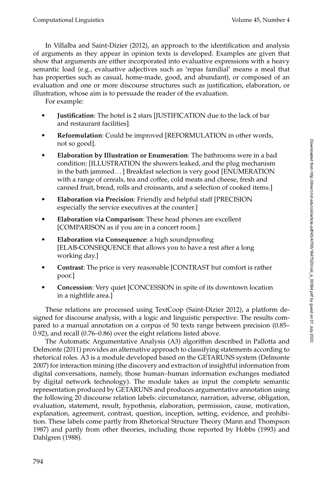In [Villalba and Saint-Dizier \(2012\)](#page-0-0), an approach to the identification and analysis of arguments as they appear in opinion texts is developed. Examples are given that show that arguments are either incorporated into evaluative expressions with a heavy semantic load (e.g., evaluative adjectives such as 'repas familial' means a meal that has properties such as casual, home-made, good, and abundant), or composed of an evaluation and one or more discourse structures such as justification, elaboration, or illustration, whose aim is to persuade the reader of the evaluation.

For example:

- **Justification**: The hotel is 2 stars [JUSTIFICATION due to the lack of bar and restaurant facilities].
- **Reformulation**: Could be improved [REFORMULATION in other words, not so good].
- **Elaboration by Illustration or Enumeration**: The bathrooms were in a bad condition: [ILLUSTRATION the showers leaked, and the plug mechanism in the bath jammed. . . ] Breakfast selection is very good [ENUMERATION with a range of cereals, tea and coffee, cold meats and cheese, fresh and canned fruit, bread, rolls and croissants, and a selection of cooked items.]
- **Elaboration via Precision**: Friendly and helpful staff [PRECISION especially the service executives at the counter.]
- **Elaboration via Comparison**: These head phones are excellent [COMPARISON as if you are in a concert room.]
- **Elaboration via Consequence**: a high soundproofing [ELAB-CONSEQUENCE that allows you to have a rest after a long working day.]
- **Contrast**: The price is very reasonable [CONTRAST but comfort is rather poor.]
- **Concession**: Very quiet [CONCESSION in spite of its downtown location in a nightlife area.]

These relations are processed using TextCoop [\(Saint-Dizier 2012\)](#page-0-0), a platform designed for discourse analysis, with a logic and linguistic perspective. The results compared to a manual annotation on a corpus of 50 texts range between precision (0.85– 0.92), and recall (0.76–0.86) over the eight relations listed above.

The Automatic Argumentative Analysis (A3) algorithm described in [Pallotta and](#page-0-0) [Delmonte \(2011\)](#page-0-0) provides an alternative approach to classifying statements according to rhetorical roles. A3 is a module developed based on the GETARUNS system [\(Delmonte](#page-0-0) [2007\)](#page-0-0) for interaction mining (the discovery and extraction of insightful information from digital conversations, namely, those human–human information exchanges mediated by digital network technology). The module takes as input the complete semantic representation produced by GETARUNS and produces argumentative annotation using the following 20 discourse relation labels: circumstance, narration, adverse, obligation, evaluation, statement, result, hypothesis, elaboration, permission, cause, motivation, explanation, agreement, contrast, question, inception, setting, evidence, and prohibition. These labels come partly from Rhetorical Structure Theory [\(Mann and Thompson](#page-0-0) [1987\)](#page-0-0) and partly from other theories, including those reported by [Hobbs \(1993\)](#page-0-0) and [Dahlgren \(1988\)](#page-0-0).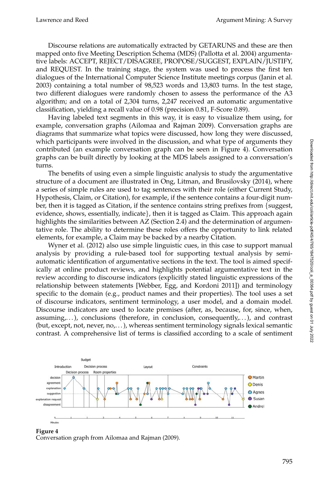Discourse relations are automatically extracted by GETARUNS and these are then mapped onto five Meeting Description Schema (MDS) [\(Pallotta et al. 2004\)](#page-0-0) argumentative labels: ACCEPT, REJECT/DISAGREE, PROPOSE/SUGGEST, EXPLAIN/JUSTIFY, and REQUEST. In the training stage, the system was used to process the first ten dialogues of the International Computer Science Institute meetings corpus [\(Janin et al.](#page-0-0) [2003\)](#page-0-0) containing a total number of 98,523 words and 13,803 turns. In the test stage, two different dialogues were randomly chosen to assess the performance of the A3 algorithm; and on a total of 2,304 turns, 2,247 received an automatic argumentative classification, yielding a recall value of 0.98 (precision 0.81, F-Score 0.89).

Having labeled text segments in this way, it is easy to visualize them using, for example, conversation graphs [\(Ailomaa and Rajman 2009\)](#page-0-0). Conversation graphs are diagrams that summarize what topics were discussed, how long they were discussed, which participants were involved in the discussion, and what type of arguments they contributed (an example conversation graph can be seen in Figure [4\)](#page-30-0). Conversation graphs can be built directly by looking at the MDS labels assigned to a conversation's turns.

The benefits of using even a simple linguistic analysis to study the argumentative structure of a document are illustrated in [Ong, Litman, and Brusilovsky \(2014\)](#page-0-0), where a series of simple rules are used to tag sentences with their role (either Current Study, Hypothesis, Claim, or Citation), for example, if the sentence contains a four-digit number, then it is tagged as Citation, if the sentence contains string prefixes from {suggest, evidence, shows, essentially, indicate}, then it is tagged as Claim. This approach again highlights the similarities between AZ (Section [2.4\)](#page-8-0) and the determination of argumentative role. The ability to determine these roles offers the opportunity to link related elements, for example, a Claim may be backed by a nearby Citation.

[Wyner et al. \(2012\)](#page-0-0) also use simple linguistic cues, in this case to support manual analysis by providing a rule-based tool for supporting textual analysis by semiautomatic identification of argumentative sections in the text. The tool is aimed specifically at online product reviews, and highlights potential argumentative text in the review according to discourse indicators (explicitly stated linguistic expressions of the relationship between statements [\[Webber, Egg, and Kordoni 2011\]](#page-0-0)) and terminology specific to the domain (e.g., product names and their properties). The tool uses a set of discourse indicators, sentiment terminology, a user model, and a domain model. Discourse indicators are used to locate premises (after, as, because, for, since, when, assuming, $\dots$ ), conclusions (therefore, in conclusion, consequently, $\dots$ ), and contrast (but, except, not, never, no,. . . ), whereas sentiment terminology signals lexical semantic contrast. A comprehensive list of terms is classified according to a scale of sentiment



<span id="page-30-0"></span>**Figure 4** Conversation graph from [Ailomaa and Rajman \(2009\)](#page-0-0).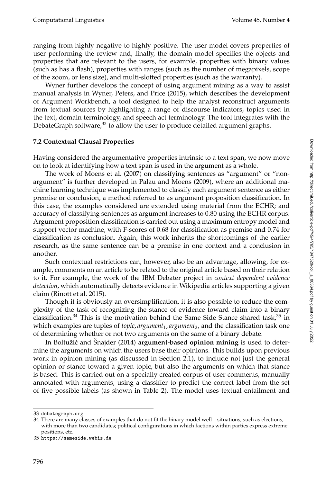ranging from highly negative to highly positive. The user model covers properties of user performing the review and, finally, the domain model specifies the objects and properties that are relevant to the users, for example, properties with binary values (such as has a flash), properties with ranges (such as the number of megapixels, scope of the zoom, or lens size), and multi-slotted properties (such as the warranty).

Wyner further develops the concept of using argument mining as a way to assist manual analysis in [Wyner, Peters, and Price \(2015\)](#page-0-0), which describes the development of Argument Workbench, a tool designed to help the analyst reconstruct arguments from textual sources by highlighting a range of discourse indicators, topics used in the text, domain terminology, and speech act terminology. The tool integrates with the DebateGraph software, $33$  to allow the user to produce detailed argument graphs.

## **7.2 Contextual Clausal Properties**

Having considered the argumentative properties intrinsic to a text span, we now move on to look at identifying how a text span is used in the argument as a whole.

The work of [Moens et al. \(2007\)](#page-0-0) on classifying sentences as "argument" or "nonargument" is further developed in [Palau and Moens \(2009\)](#page-0-0), where an additional machine learning technique was implemented to classify each argument sentence as either premise or conclusion, a method referred to as argument proposition classification. In this case, the examples considered are extended using material from the ECHR; and accuracy of classifying sentences as argument increases to 0.80 using the ECHR corpus. Argument proposition classification is carried out using a maximum entropy model and support vector machine, with F-scores of 0.68 for classification as premise and 0.74 for classification as conclusion. Again, this work inherits the shortcomings of the earlier research, as the same sentence can be a premise in one context and a conclusion in another.

Such contextual restrictions can, however, also be an advantage, allowing, for example, comments on an article to be related to the original article based on their relation to it. For example, the work of the IBM Debater project in *context dependent evidence detection*, which automatically detects evidence in Wikipedia articles supporting a given claim [\(Rinott et al. 2015\)](#page-0-0).

Though it is obviously an oversimplification, it is also possible to reduce the complexity of the task of recognizing the stance of evidence toward claim into a binary classification.<sup>[34](#page-31-1)</sup> This is the motivation behind the Same Side Stance shared task,<sup>[35](#page-31-2)</sup> in which examples are tuples of *topic, argument<sub>1</sub>, argument<sub>2</sub>,* and the classification task one of determining whether or not two arguments on the same of a binary debate.

In Boltužić and Šnajder (2014) **argument-based opinion mining** is used to determine the arguments on which the users base their opinions. This builds upon previous work in opinion mining (as discussed in Section [2.1\)](#page-2-1), to include not just the general opinion or stance toward a given topic, but also the arguments on which that stance is based. This is carried out on a specially created corpus of user comments, manually annotated with arguments, using a classifier to predict the correct label from the set of five possible labels (as shown in Table [2\)](#page-32-0). The model uses textual entailment and

Downloaded from http://direct.mit.edu/coli/article-pdf45/4/765/16917520/coli\_a\_00364.pdf by guest on 01 July 2022 Downloaded from http://direct.mit.edu/coli/article-pdf/45/4/765/1847520/coli\_a\_00364.pdf by guest on 01 July 2022

<span id="page-31-0"></span><sup>33</sup> <debategraph.org>.

<span id="page-31-1"></span><sup>34</sup> There are many classes of examples that do not fit the binary model well—situations, such as elections, with more than two candidates; political configurations in which factions within parties express extreme positions, etc.

<span id="page-31-2"></span><sup>35</sup> <https://sameside.webis.de>.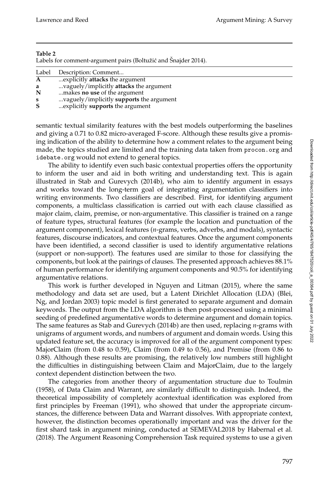#### **Table 2**

<span id="page-32-0"></span>Labels for comment-argument pairs (Boltužić and Šnajder 2014).

| Label        | Description: Comment                     |
|--------------|------------------------------------------|
| $\mathbf{A}$ | explicitly <b>attacks</b> the argument   |
| a            | vaguely/implicitly attacks the argument  |
| N            | makes no use of the argument             |
| ${\bf s}$    | vaguely/implicitly supports the argument |
| S            | explicitly <b>supports</b> the argument  |

semantic textual similarity features with the best models outperforming the baselines and giving a 0.71 to 0.82 micro-averaged F-score. Although these results give a promising indication of the ability to determine how a comment relates to the argument being made, the topics studied are limited and the training data taken from <procon.org> and <idebate.org> would not extend to general topics.

The ability to identify even such basic contextual properties offers the opportunity to inform the user and aid in both writing and understanding text. This is again illustrated in [Stab and Gurevych \(2014b\)](#page-0-0), who aim to identify argument in essays and works toward the long-term goal of integrating argumentation classifiers into writing environments. Two classifiers are described. First, for identifying argument components, a multiclass classification is carried out with each clause classified as major claim, claim, premise, or non-argumentative. This classifier is trained on a range of feature types, structural features (for example the location and punctuation of the argument component), lexical features (*n*-grams, verbs, adverbs, and modals), syntactic features, discourse indicators, and contextual features. Once the argument components have been identified, a second classifier is used to identify argumentative relations (support or non-support). The features used are similar to those for classifying the components, but look at the pairings of clauses. The presented approach achieves 88.1% of human performance for identifying argument components and 90.5% for identifying argumentative relations.

This work is further developed in [Nguyen and Litman \(2015\)](#page-0-0), where the same methodology and data set are used, but a Latent Dirichlet Allocation (LDA) [\(Blei,](#page-0-0) [Ng, and Jordan 2003\)](#page-0-0) topic model is first generated to separate argument and domain keywords. The output from the LDA algorithm is then post-processed using a minimal seeding of predefined argumentative words to determine argument and domain topics. The same features as [Stab and Gurevych \(2014b\)](#page-0-0) are then used, replacing *n*-grams with unigrams of argument words, and numbers of argument and domain words. Using this updated feature set, the accuracy is improved for all of the argument component types: MajorClaim (from 0.48 to 0.59), Claim (from 0.49 to 0.56), and Premise (from 0.86 to 0.88). Although these results are promising, the relatively low numbers still highlight the difficulties in distinguishing between Claim and MajorClaim, due to the largely context dependent distinction between the two.

The categories from another theory of argumentation structure due to [Toulmin](#page-0-0) [\(1958\)](#page-0-0), of Data Claim and Warrant, are similarly difficult to distinguish. Indeed, the theoretical impossibility of completely acontextual identification was explored from first principles by [Freeman \(1991\)](#page-0-0), who showed that under the appropriate circumstances, the difference between Data and Warrant dissolves. With appropriate context, however, the distinction becomes operationally important and was the driver for the first shard task in argument mining, conducted at SEMEVAL2018 by [Habernal et al.](#page-0-0) [\(2018\)](#page-0-0). The Argument Reasoning Comprehension Task required systems to use a given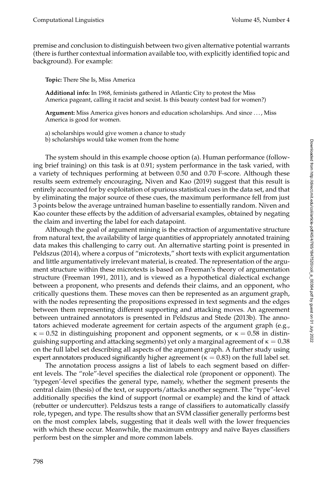premise and conclusion to distinguish between two given alternative potential warrants (there is further contextual information available too, with explicitly identified topic and background). For example:

**Topic:** There She Is, Miss America

**Additional info:** In 1968, feminists gathered in Atlantic City to protest the Miss America pageant, calling it racist and sexist. Is this beauty contest bad for women?)

**Argument:** Miss America gives honors and education scholarships. And since . . . , Miss America is good for women.

a) scholarships would give women a chance to study

b) scholarships would take women from the home

The system should in this example choose option (a). Human performance (following brief training) on this task is at 0.91; system performance in the task varied, with a variety of techniques performing at between 0.50 and 0.70 F-score. Although these results seem extremely encouraging, [Niven and Kao \(2019\)](#page-0-0) suggest that this result is entirely accounted for by exploitation of spurious statistical cues in the data set, and that by eliminating the major source of these cues, the maximum performance fell from just 3 points below the average untrained human baseline to essentially random. Niven and Kao counter these effects by the addition of adversarial examples, obtained by negating the claim and inverting the label for each datapoint.

Although the goal of argument mining is the extraction of argumentative structure from natural text, the availability of large quantities of appropriately annotated training data makes this challenging to carry out. An alternative starting point is presented in [Peldszus \(2014\)](#page-0-0), where a corpus of "microtexts," short texts with explicit argumentation and little argumentatively irrelevant material, is created. The representation of the argument structure within these microtexts is based on Freeman's theory of argumentation structure [\(Freeman 1991, 2011\)](#page-0-0), and is viewed as a hypothetical dialectical exchange between a proponent, who presents and defends their claims, and an opponent, who critically questions them. These moves can then be represented as an argument graph, with the nodes representing the propositions expressed in text segments and the edges between them representing different supporting and attacking moves. An agreement between untrained annotators is presented in [Peldszus and Stede \(2013b\)](#page-0-0). The annotators achieved moderate agreement for certain aspects of the argument graph (e.g.,  $\kappa = 0.52$  in distinguishing proponent and opponent segments, or  $\kappa = 0.58$  in distinguishing supporting and attacking segments) yet only a marginal agreement of  $\kappa = 0.38$ on the full label set describing all aspects of the argument graph. A further study using expert annotators produced significantly higher agreement ( $\kappa = 0.83$ ) on the full label set.

The annotation process assigns a list of labels to each segment based on different levels. The "role"-level specifies the dialectical role (proponent or opponent). The 'typegen'-level specifies the general type, namely, whether the segment presents the central claim (thesis) of the text, or supports/attacks another segment. The "type"-level additionally specifies the kind of support (normal or example) and the kind of attack (rebutter or undercutter). Peldszus tests a range of classifiers to automatically classify role, typegen, and type. The results show that an SVM classifier generally performs best on the most complex labels, suggesting that it deals well with the lower frequencies with which these occur. Meanwhile, the maximum entropy and naïve Bayes classifiers perform best on the simpler and more common labels.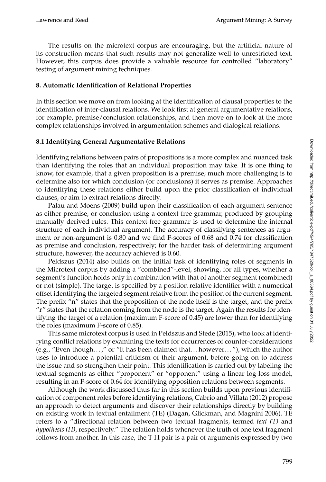The results on the microtext corpus are encouraging, but the artificial nature of its construction means that such results may not generalize well to unrestricted text. However, this corpus does provide a valuable resource for controlled "laboratory" testing of argument mining techniques.

## <span id="page-34-0"></span>**8. Automatic Identification of Relational Properties**

In this section we move on from looking at the identification of clausal properties to the identification of inter-clausal relations. We look first at general argumentative relations, for example, premise/conclusion relationships, and then move on to look at the more complex relationships involved in argumentation schemes and dialogical relations.

# **8.1 Identifying General Argumentative Relations**

Identifying relations between pairs of propositions is a more complex and nuanced task than identifying the roles that an individual proposition may take. It is one thing to know, for example, that a given proposition is a premise; much more challenging is to determine also for which conclusion (or conclusions) it serves as premise. Approaches to identifying these relations either build upon the prior classification of individual clauses, or aim to extract relations directly.

[Palau and Moens \(2009\)](#page-0-0) build upon their classification of each argument sentence as either premise, or conclusion using a context-free grammar, produced by grouping manually derived rules. This context-free grammar is used to determine the internal structure of each individual argument. The accuracy of classifying sentences as argument or non-argument is 0.80 and we find F-scores of 0.68 and 0.74 for classification as premise and conclusion, respectively; for the harder task of determining argument structure, however, the accuracy achieved is 0.60.

[Peldszus \(2014\)](#page-0-0) also builds on the initial task of identifying roles of segments in the Microtext corpus by adding a "combined"-level, showing, for all types, whether a segment's function holds only in combination with that of another segment (combined) or not (simple). The target is specified by a position relative identifier with a numerical offset identifying the targeted segment relative from the position of the current segment. The prefix "n" states that the proposition of the node itself is the target, and the prefix " $r$ " states that the relation coming from the node is the target. Again the results for identifying the target of a relation (maximum F-score of 0.45) are lower than for identifying the roles (maximum F-score of 0.85).

This same microtext corpus is used in [Peldszus and Stede \(2015\)](#page-0-0), who look at identifying conflict relations by examining the texts for occurrences of counter-considerations (e.g., "Even though. . . ," or "It has been claimed that. . . however. . . "), which the author uses to introduce a potential criticism of their argument, before going on to address the issue and so strengthen their point. This identification is carried out by labeling the textual segments as either "proponent" or "opponent" using a linear log-loss model, resulting in an F-score of 0.64 for identifying opposition relations between segments.

Although the work discussed thus far in this section builds upon previous identification of component roles before identifying relations, [Cabrio and Villata \(2012\)](#page-0-0) propose an approach to detect arguments and discover their relationships directly by building on existing work in textual entailment (TE) [\(Dagan, Glickman, and Magnini 2006\)](#page-0-0). TE refers to a "directional relation between two textual fragments, termed *text (T)* and *hypothesis (H)*, respectively." The relation holds whenever the truth of one text fragment follows from another. In this case, the T-H pair is a pair of arguments expressed by two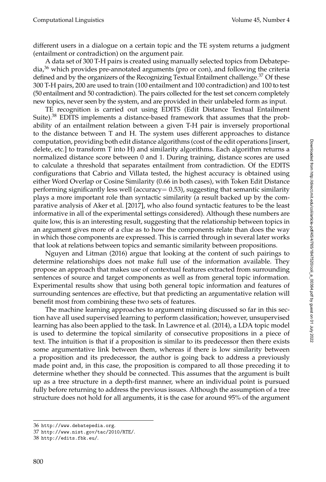different users in a dialogue on a certain topic and the TE system returns a judgment (entailment or contradiction) on the argument pair.

A data set of 300 T-H pairs is created using manually selected topics from Debatepe- $dia<sup>36</sup>$  $dia<sup>36</sup>$  $dia<sup>36</sup>$  which provides pre-annotated arguments (pro or con), and following the criteria defined and by the organizers of the Recognizing Textual Entailment challenge. $37$  Of these 300 T-H pairs, 200 are used to train (100 entailment and 100 contradiction) and 100 to test (50 entailment and 50 contradiction). The pairs collected for the test set concern completely new topics, never seen by the system, and are provided in their unlabeled form as input.

TE recognition is carried out using EDITS (Edit Distance Textual Entailment Suite).<sup>[38](#page-35-2)</sup> EDITS implements a distance-based framework that assumes that the probability of an entailment relation between a given T-H pair is inversely proportional to the distance between T and H. The system uses different approaches to distance computation, providing both edit distance algorithms (cost of the edit operations [insert, delete, etc.] to transform T into H) and similarity algorithms. Each algorithm returns a normalized distance score between 0 and 1. During training, distance scores are used to calculate a threshold that separates entailment from contradiction. Of the EDITS configurations that Cabrio and Villata tested, the highest accuracy is obtained using either Word Overlap or Cosine Similarity (0.66 in both cases), with Token Edit Distance performing significantly less well (accuracy  $= 0.53$ ), suggesting that semantic similarity plays a more important role than syntactic similarity (a result backed up by the comparative analysis of [Aker et al. \[2017\]](#page-0-0), who also found syntactic features to be the least informative in all of the experimental settings considered). Although these numbers are quite low, this is an interesting result, suggesting that the relationship between topics in an argument gives more of a clue as to how the components relate than does the way in which those components are expressed. This is carried through in several later works that look at relations between topics and semantic similarity between propositions.

[Nguyen and Litman \(2016\)](#page-0-0) argue that looking at the content of such pairings to determine relationships does not make full use of the information available. They propose an approach that makes use of contextual features extracted from surrounding sentences of source and target components as well as from general topic information. Experimental results show that using both general topic information and features of surrounding sentences are effective, but that predicting an argumentative relation will benefit most from combining these two sets of features.

The machine learning approaches to argument mining discussed so far in this section have all used supervised learning to perform classification; however, unsupervised learning has also been applied to the task. In [Lawrence et al. \(2014\)](#page-0-0), a LDA topic model is used to determine the topical similarity of consecutive propositions in a piece of text. The intuition is that if a proposition is similar to its predecessor then there exists some argumentative link between them, whereas if there is low similarity between a proposition and its predecessor, the author is going back to address a previously made point and, in this case, the proposition is compared to all those preceding it to determine whether they should be connected. This assumes that the argument is built up as a tree structure in a depth-first manner, where an individual point is pursued fully before returning to address the previous issues. Although the assumption of a tree structure does not hold for all arguments, it is the case for around 95% of the argument

<span id="page-35-0"></span><sup>36</sup> <http://www.debatepedia.org>.

<span id="page-35-1"></span><sup>37</sup> <http://www.nist.gov/tac/2010/RTE/>.

<span id="page-35-2"></span><sup>38</sup> <http://edits.fbk.eu/>.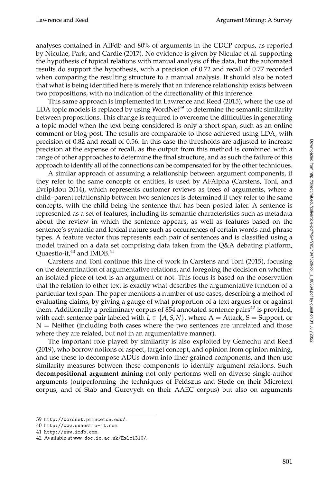analyses contained in AIFdb and 80% of arguments in the CDCP corpus, as reported by [Niculae, Park, and Cardie \(2017\)](#page-0-0). No evidence is given by Niculae et al. supporting the hypothesis of topical relations with manual analysis of the data, but the automated results do support the hypothesis, with a precision of 0.72 and recall of 0.77 recorded when comparing the resulting structure to a manual analysis. It should also be noted that what is being identified here is merely that an inference relationship exists between two propositions, with no indication of the directionality of this inference.

This same approach is implemented in [Lawrence and Reed \(2015\)](#page-0-0), where the use of LDA topic models is replaced by using WordNet<sup>[39](#page-36-0)</sup> to determine the semantic similarity between propositions. This change is required to overcome the difficulties in generating a topic model when the text being considered is only a short span, such as an online comment or blog post. The results are comparable to those achieved using LDA, with precision of 0.82 and recall of 0.56. In this case the thresholds are adjusted to increase precision at the expense of recall, as the output from this method is combined with a range of other approaches to determine the final structure, and as such the failure of this approach to identify all of the connections can be compensated for by the other techniques.

A similar approach of assuming a relationship between argument components, if they refer to the same concepts or entities, is used by AFAlpha [\(Carstens, Toni, and](#page-0-0) [Evripidou 2014\)](#page-0-0), which represents customer reviews as trees of arguments, where a child–parent relationship between two sentences is determined if they refer to the same concepts, with the child being the sentence that has been posted later. A sentence is represented as a set of features, including its semantic characteristics such as metadata about the review in which the sentence appears, as well as features based on the sentence's syntactic and lexical nature such as occurrences of certain words and phrase types. A feature vector thus represents each pair of sentences and is classified using a model trained on a data set comprising data taken from the Q&A debating platform, Quaestio-it, $40$  and IMDB. $41$ 

Carstens and Toni continue this line of work in [Carstens and Toni \(2015\)](#page-0-0), focusing on the determination of argumentative relations, and foregoing the decision on whether an isolated piece of text is an argument or not. This focus is based on the observation that the relation to other text is exactly what describes the argumentative function of a particular text span. The paper mentions a number of use cases, describing a method of evaluating claims, by giving a gauge of what proportion of a text argues for or against them. Additionally a preliminary corpus of 854 annotated sentence pairs $42$  is provided, with each sentence pair labeled with  $L \in \{A, S, N\}$ , where  $A =$  Attack,  $S =$  Support, or  $N =$  Neither (including both cases where the two sentences are unrelated and those where they are related, but not in an argumentative manner).

The important role played by similarity is also exploited by [Gemechu and Reed](#page-0-0) [\(2019\)](#page-0-0), who borrow notions of aspect, target concept, and opinion from opinion mining, and use these to decompose ADUs down into finer-grained components, and then use similarity measures between these components to identify argument relations. Such **decompositional argument mining** not only performs well on diverse single-author arguments (outperforming the techniques of Peldszus and Stede on their Microtext corpus, and of Stab and Gurevych on their AAEC corpus) but also on arguments

<span id="page-36-0"></span><sup>39</sup> <http://wordnet.princeton.edu/>.

<span id="page-36-1"></span><sup>40</sup> <http://www.quaestio-it.com>.

<span id="page-36-2"></span><sup>41</sup> <http://www.imdb.com>.

<span id="page-36-3"></span><sup>42</sup> Available at www.doc.ic.ac.uk/Ecelc1310/.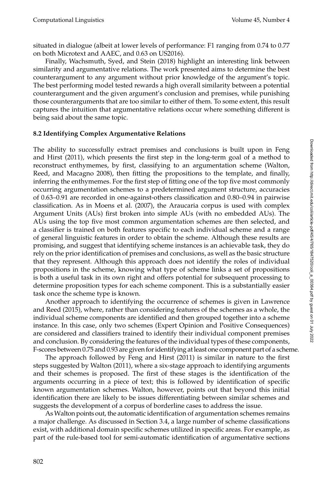situated in dialogue (albeit at lower levels of performance: F1 ranging from 0.74 to 0.77 on both Microtext and AAEC, and 0.63 on US2016).

Finally, [Wachsmuth, Syed, and Stein \(2018\)](#page-0-0) highlight an interesting link between similarity and argumentative relations. The work presented aims to determine the best counterargument to any argument without prior knowledge of the argument's topic. The best performing model tested rewards a high overall similarity between a potential counterargument and the given argument's conclusion and premises, while punishing those counterarguments that are too similar to either of them. To some extent, this result captures the intuition that argumentative relations occur where something different is being said about the same topic.

#### <span id="page-37-0"></span>**8.2 Identifying Complex Argumentative Relations**

The ability to successfully extract premises and conclusions is built upon in [Feng](#page-0-0) [and Hirst \(2011\)](#page-0-0), which presents the first step in the long-term goal of a method to reconstruct enthymemes, by first, classifying to an argumentation scheme [\(Walton,](#page-0-0) [Reed, and Macagno 2008\)](#page-0-0), then fitting the propositions to the template, and finally, inferring the enthymemes. For the first step of fitting one of the top five most commonly occurring argumentation schemes to a predetermined argument structure, accuracies of 0.63–0.91 are recorded in one-against-others classification and 0.80–0.94 in pairwise classification. As in [Moens et al. \(2007\)](#page-0-0), the Araucaria corpus is used with complex Argument Units (AUs) first broken into simple AUs (with no embedded AUs). The AUs using the top five most common argumentation schemes are then selected, and a classifier is trained on both features specific to each individual scheme and a range of general linguistic features in order to obtain the scheme. Although these results are promising, and suggest that identifying scheme instances is an achievable task, they do rely on the prior identification of premises and conclusions, as well as the basic structure that they represent. Although this approach does not identify the roles of individual propositions in the scheme, knowing what type of scheme links a set of propositions is both a useful task in its own right and offers potential for subsequent processing to determine proposition types for each scheme component. This is a substantially easier task once the scheme type is known.

Another approach to identifying the occurrence of schemes is given in [Lawrence](#page-0-0) [and Reed \(2015\)](#page-0-0), where, rather than considering features of the schemes as a whole, the individual scheme components are identified and then grouped together into a scheme instance. In this case, only two schemes (Expert Opinion and Positive Consequences) are considered and classifiers trained to identify their individual component premises and conclusion. By considering the features of the individual types of these components, F-scores between 0.75 and 0.93 are given for identifying at least one component part of a scheme.

The approach followed by [Feng and Hirst \(2011\)](#page-0-0) is similar in nature to the first steps suggested by [Walton \(2011\)](#page-0-0), where a six-stage approach to identifying arguments and their schemes is proposed. The first of these stages is the identification of the arguments occurring in a piece of text; this is followed by identification of specific known argumentation schemes. Walton, however, points out that beyond this initial identification there are likely to be issues differentiating between similar schemes and suggests the development of a corpus of borderline cases to address the issue.

AsWalton points out, the automatic identification of argumentation schemes remains a major challenge. As discussed in Section [3.4,](#page-14-0) a large number of scheme classifications exist, with additional domain specific schemes utilized in specific areas. For example, as part of the rule-based tool for semi-automatic identification of argumentative sections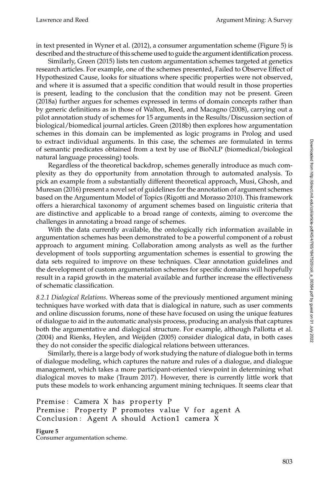in text presented in [Wyner et al. \(2012\)](#page-0-0), a consumer argumentation scheme (Figure [5\)](#page-38-0) is described and the structure of this scheme used to guide the argument identification process.

Similarly, [Green \(2015\)](#page-0-0) lists ten custom argumentation schemes targeted at genetics research articles. For example, one of the schemes presented, Failed to Observe Effect of Hypothesized Cause, looks for situations where specific properties were not observed, and where it is assumed that a specific condition that would result in those properties is present, leading to the conclusion that the condition may not be present. [Green](#page-0-0) [\(2018a\)](#page-0-0) further argues for schemes expressed in terms of domain concepts rather than by generic definitions as in those of [Walton, Reed, and Macagno \(2008\)](#page-0-0), carrying out a pilot annotation study of schemes for 15 arguments in the Results/Discussion section of biological/biomedical journal articles. [Green \(2018b\)](#page-0-0) then explores how argumentation schemes in this domain can be implemented as logic programs in Prolog and used to extract individual arguments. In this case, the schemes are formulated in terms of semantic predicates obtained from a text by use of BioNLP (biomedical/biological natural language processing) tools.

Regardless of the theoretical backdrop, schemes generally introduce as much complexity as they do opportunity from annotation through to automated analysis. To pick an example from a substantially different theoretical approach, [Musi, Ghosh, and](#page-0-0) [Muresan \(2016\)](#page-0-0) present a novel set of guidelines for the annotation of argument schemes based on the Argumentum Model of Topics [\(Rigotti and Morasso 2010\)](#page-0-0). This framework offers a hierarchical taxonomy of argument schemes based on linguistic criteria that are distinctive and applicable to a broad range of contexts, aiming to overcome the challenges in annotating a broad range of schemes.

With the data currently available, the ontologically rich information available in argumentation schemes has been demonstrated to be a powerful component of a robust approach to argument mining. Collaboration among analysts as well as the further development of tools supporting argumentation schemes is essential to growing the data sets required to improve on these techniques. Clear annotation guidelines and the development of custom argumentation schemes for specific domains will hopefully result in a rapid growth in the material available and further increase the effectiveness of schematic classification.

*8.2.1 Dialogical Relations.* Whereas some of the previously mentioned argument mining techniques have worked with data that is dialogical in nature, such as user comments and online discussion forums, none of these have focused on using the unique features of dialogue to aid in the automatic analysis process, producing an analysis that captures both the argumentative and dialogical structure. For example, although [Pallotta et al.](#page-0-0) [\(2004\)](#page-0-0) and [Rienks, Heylen, and Weijden \(2005\)](#page-0-0) consider dialogical data, in both cases they do not consider the specific dialogical relations between utterances.

Similarly, there is a large body of work studying the nature of dialogue both in terms of dialogue modeling, which captures the nature and rules of a dialogue, and dialogue management, which takes a more participant-oriented viewpoint in determining what dialogical moves to make [\(Traum 2017\)](#page-0-0). However, there is currently little work that puts these models to work enhancing argument mining techniques. It seems clear that

Premise: Camera X has property P Premise: Property P promotes value V for agent A Conclusion: Agent A should Action1 camera X

<span id="page-38-0"></span>**Figure 5** Consumer argumentation scheme.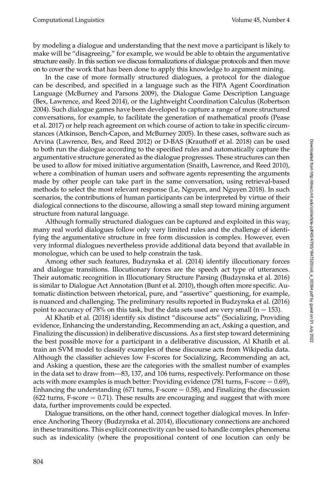by modeling a dialogue and understanding that the next move a participant is likely to make will be "disagreeing," for example, we would be able to obtain the argumentative structure easily. In this section we discuss formalizations of dialogue protocols and then move on to cover the work that has been done to apply this knowledge to argument mining.

In the case of more formally structured dialogues, a protocol for the dialogue can be described, and specified in a language such as the FIPA Agent Coordination Language [\(McBurney and Parsons 2009\)](#page-0-0), the Dialogue Game Description Language [\(Bex, Lawrence, and Reed 2014\)](#page-0-0), or the Lightweight Coordination Calculus [\(Robertson](#page-0-0) [2004\)](#page-0-0). Such dialogue games have been developed to capture a range of more structured conversations, for example, to facilitate the generation of mathematical proofs (Pease et al. [2017\)](#page-0-0) or help reach agreement on which course of action to take in specific circumstances [\(Atkinson, Bench-Capon, and McBurney 2005\)](#page-0-0). In these cases, software such as Arvina [\(Lawrence, Bex, and Reed 2012\)](#page-0-0) or D-BAS [\(Krauthoff et al. 2018\)](#page-0-0) can be used to both run the dialogue according to the specified rules and automatically capture the argumentative structure generated as the dialogue progresses. These structures can then be used to allow for mixed initiative argumentation [\(Snaith, Lawrence, and Reed 2010\)](#page-0-0), where a combination of human users and software agents representing the arguments made by other people can take part in the same conversation, using retrieval-based methods to select the most relevant response [\(Le, Nguyen, and Nguyen 2018\)](#page-0-0). In such scenarios, the contributions of human participants can be interpreted by virtue of their dialogical connections to the discourse, allowing a small step toward mining argument structure from natural language.

Although formally structured dialogues can be captured and exploited in this way, many real world dialogues follow only very limited rules and the challenge of identifying the argumentative structure in free form discussion is complex. However, even very informal dialogues nevertheless provide additional data beyond that available in monologue, which can be used to help constrain the task.

Among other such features, [Budzynska et al. \(2014\)](#page-0-0) identify illocutionary forces and dialogue transitions. Illocutionary forces are the speech act type of utterances. Their automatic recognition in Illocutionary Structure Parsing [\(Budzynska et al. 2016\)](#page-0-0) is similar to Dialogue Act Annotation [\(Bunt et al. 2010\)](#page-0-0), though often more specific. Automatic distinction between rhetorical, pure, and "assertive" questioning, for example, is nuanced and challenging. The preliminary results reported in [Budzynska et al. \(2016\)](#page-0-0) point to accuracy of 78% on this task, but the data sets used are very small ( $n = 153$ ).

[Al Khatib et al. \(2018\)](#page-0-0) identify six distinct "discourse acts" (Socializing, Providing evidence, Enhancing the understanding, Recommending an act, Asking a question, and Finalizing the discussion) in deliberative discussions. As a first step toward determining the best possible move for a participant in a deliberative discussion, Al Khatib et al. train an SVM model to classify examples of these discourse acts from Wikipedia data. Although the classifier achieves low F-scores for Socializing, Recommending an act, and Asking a question, these are the categories with the smallest number of examples in the data set to draw from—83, 137, and 106 turns, respectively. Performance on those acts with more examples is much better: Providing evidence (781 turns, F-score  $= 0.69$ ), Enhancing the understanding (671 turns, F-score  $= 0.58$ ), and Finalizing the discussion  $(622 \text{ turns}, \text{F-score} = 0.71)$ . These results are encouraging and suggest that with more data, further improvements could be expected.

Dialogue transitions, on the other hand, connect together dialogical moves. In Inference Anchoring Theory [\(Budzynska et al. 2014\)](#page-0-0), illocutionary connections are anchored in these transitions. This explicit connectivity can be used to handle complex phenomena such as indexicality (where the propositional content of one locution can only be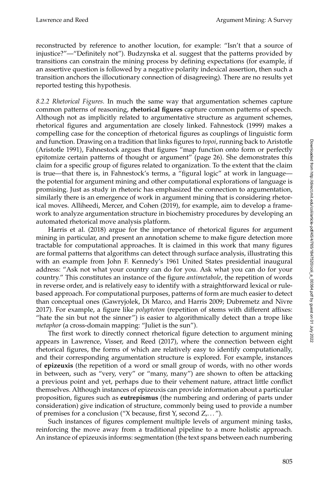reconstructed by reference to another locution, for example: "Isn't that a source of injustice?"—"Definitely not"). Budzynska et al. suggest that the patterns provided by transitions can constrain the mining process by defining expectations (for example, if an assertive question is followed by a negative polarity indexical assertion, then such a transition anchors the illocutionary connection of disagreeing). There are no results yet reported testing this hypothesis.

<span id="page-40-0"></span>*8.2.2 Rhetorical Figures.* In much the same way that argumentation schemes capture common patterns of reasoning, **rhetorical figures** capture common patterns of speech. Although not as implicitly related to argumentative structure as argument schemes, rhetorical figures and argumentation are closely linked. [Fahnestock \(1999\)](#page-0-0) makes a compelling case for the conception of rhetorical figures as couplings of linguistic form and function. Drawing on a tradition that links figures to *topoi*, running back to Aristotle [\(Aristotle 1991\)](#page-0-0), Fahnestock argues that figures "map function onto form or perfectly epitomize certain patterns of thought or argument" (page 26). She demonstrates this claim for a specific group of figures related to organization. To the extent that the claim is true—that there is, in Fahnestock's terms, a "figural logic" at work in language the potential for argument mining and other computational explorations of language is promising. Just as study in rhetoric has emphasized the connection to argumentation, similarly there is an emergence of work in argument mining that is considering rhetorical moves. [Alliheedi, Mercer, and Cohen \(2019\)](#page-0-0), for example, aim to develop a framework to analyze argumentation structure in biochemistry procedures by developing an automated rhetorical move analysis platform.

[Harris et al. \(2018\)](#page-0-0) argue for the importance of rhetorical figures for argument mining in particular, and present an annotation scheme to make figure detection more tractable for computational approaches. It is claimed in this work that many figures are formal patterns that algorithms can detect through surface analysis, illustrating this with an example from John F. Kennedy's 1961 United States presidential inaugural address: "Ask not what your country can do for you. Ask what you can do for your country." This constitutes an instance of the figure *antimetabole*, the repetition of words in reverse order, and is relatively easy to identify with a straightforward lexical or rulebased approach. For computational purposes, patterns of form are much easier to detect than conceptual ones [\(Gawryjolek, Di Marco, and Harris 2009; Dubremetz and Nivre](#page-0-0) [2017\)](#page-0-0). For example, a figure like *polyptoton* (repetition of stems with different affixes: "hate the sin but not the sinner") is easier to algorithmically detect than a trope like *metaphor* (a cross-domain mapping: "Juliet is the sun").

The first work to directly connect rhetorical figure detection to argument mining appears in [Lawrence, Visser, and Reed \(2017\)](#page-0-0), where the connection between eight rhetorical figures, the forms of which are relatively easy to identify computationally, and their corresponding argumentation structure is explored. For example, instances of **epizeuxis** (the repetition of a word or small group of words, with no other words in between, such as "very, very" or "many, many") are shown to often be attacking a previous point and yet, perhaps due to their vehement nature, attract little conflict themselves. Although instances of epizeuxis can provide information about a particular proposition, figures such as **eutrepismus** (the numbering and ordering of parts under consideration) give indication of structure, commonly being used to provide a number of premises for a conclusion ("X because, first Y, second Z,. . . ").

Such instances of figures complement multiple levels of argument mining tasks, reinforcing the move away from a traditional pipeline to a more holistic approach. An instance of epizeuxis informs: segmentation (the text spans between each numbering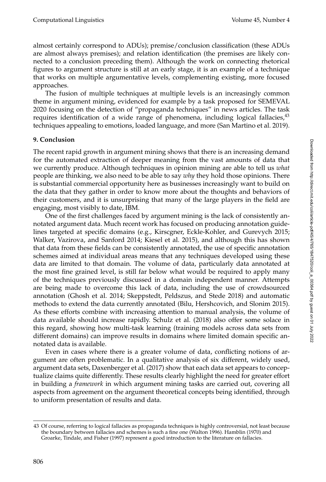almost certainly correspond to ADUs); premise/conclusion classification (these ADUs are almost always premises); and relation identification (the premises are likely connected to a conclusion preceding them). Although the work on connecting rhetorical figures to argument structure is still at an early stage, it is an example of a technique that works on multiple argumentative levels, complementing existing, more focused approaches.

The fusion of multiple techniques at multiple levels is an increasingly common theme in argument mining, evidenced for example by a task proposed for SEMEVAL 2020 focusing on the detection of "propaganda techniques" in news articles. The task requires identification of a wide range of phenomena, including logical fallacies, $43$ techniques appealing to emotions, loaded language, and more [\(San Martino et al. 2019\)](#page-0-0).

#### **9. Conclusion**

The recent rapid growth in argument mining shows that there is an increasing demand for the automated extraction of deeper meaning from the vast amounts of data that we currently produce. Although techniques in opinion mining are able to tell us *what* people are thinking, we also need to be able to say *why* they hold those opinions. There is substantial commercial opportunity here as businesses increasingly want to build on the data that they gather in order to know more about the thoughts and behaviors of their customers, and it is unsurprising that many of the large players in the field are engaging, most visibly to date, IBM.

One of the first challenges faced by argument mining is the lack of consistently annotated argument data. Much recent work has focused on producing annotation guidelines targeted at specific domains (e.g., Kirscgner, Eckle-Kohler, and Gurevych [2015;](#page-0-0) Walker, Vazirova, and Sanford [2014;](#page-0-0) Kiesel et al. [2015\)](#page-0-0), and although this has shown that data from these fields can be consistently annotated, the use of specific annotation schemes aimed at individual areas means that any techniques developed using these data are limited to that domain. The volume of data, particularly data annotated at the most fine grained level, is still far below what would be required to apply many of the techniques previously discussed in a domain independent manner. Attempts are being made to overcome this lack of data, including the use of crowdsourced annotation [\(Ghosh et al. 2014; Skeppstedt, Peldszus, and Stede 2018\)](#page-0-0) and automatic methods to extend the data currently annotated [\(Bilu, Hershcovich, and Slonim 2015\)](#page-0-0). As these efforts combine with increasing attention to manual analysis, the volume of data available should increase rapidly. [Schulz et al. \(2018\)](#page-0-0) also offer some solace in this regard, showing how multi-task learning (training models across data sets from different domains) can improve results in domains where limited domain specific annotated data is available.

Even in cases where there is a greater volume of data, conflicting notions of argument are often problematic. In a qualitative analysis of six different, widely used, argument data sets, [Daxenberger et al. \(2017\)](#page-0-0) show that each data set appears to conceptualize claims quite differently. These results clearly highlight the need for greater effort in building a *framework* in which argument mining tasks are carried out, covering all aspects from agreement on the argument theoretical concepts being identified, through to uniform presentation of results and data.

<span id="page-41-0"></span><sup>43</sup> Of course, referring to logical fallacies as propaganda techniques is highly controversial, not least because the boundary between fallacies and schemes is such a fine one [\(Walton 1996\)](#page-0-0). [Hamblin \(1970\)](#page-0-0) and [Groarke, Tindale, and Fisher \(1997\)](#page-0-0) represent a good introduction to the literature on fallacies.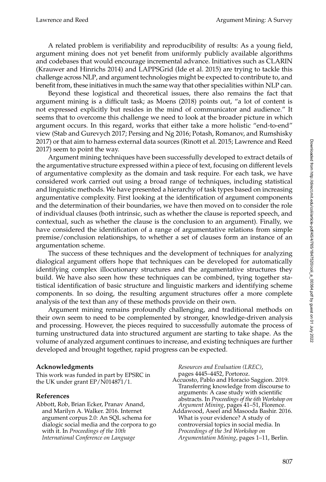A related problem is verifiability and reproducibility of results: As a young field, argument mining does not yet benefit from uniformly publicly available algorithms and codebases that would encourage incremental advance. Initiatives such as CLARIN [\(Krauwer and Hinrichs 2014\)](#page-0-0) and LAPPSGrid [\(Ide et al. 2015\)](#page-0-0) are trying to tackle this challenge across NLP, and argument technologies might be expected to contribute to, and benefit from, these initiatives in much the same way that other specialities within NLP can.

Beyond these logistical and theoretical issues, there also remains the fact that argument mining is a difficult task; as [Moens \(2018\)](#page-0-0) points out, "a lot of content is not expressed explicitly but resides in the mind of communicator and audience." It seems that to overcome this challenge we need to look at the broader picture in which argument occurs. In this regard, works that either take a more holistic "end-to-end" view [\(Stab and Gurevych 2017; Persing and Ng 2016; Potash, Romanov, and Rumshisky](#page-0-0) [2017\)](#page-0-0) or that aim to harness external data sources [\(Rinott et al. 2015; Lawrence and Reed](#page-0-0) [2017\)](#page-0-0) seem to point the way.

Argument mining techniques have been successfully developed to extract details of the argumentative structure expressed within a piece of text, focusing on different levels of argumentative complexity as the domain and task require. For each task, we have considered work carried out using a broad range of techniques, including statistical and linguistic methods. We have presented a hierarchy of task types based on increasing argumentative complexity. First looking at the identification of argument components and the determination of their boundaries, we have then moved on to consider the role of individual clauses (both intrinsic, such as whether the clause is reported speech, and contextual, such as whether the clause is the conclusion to an argument). Finally, we have considered the identification of a range of argumentative relations from simple premise/conclusion relationships, to whether a set of clauses form an instance of an argumentation scheme.

The success of these techniques and the development of techniques for analyzing dialogical argument offers hope that techniques can be developed for automatically identifying complex illocutionary structures and the argumentative structures they build. We have also seen how these techniques can be combined, tying together statistical identification of basic structure and linguistic markers and identifying scheme components. In so doing, the resulting argument structures offer a more complete analysis of the text than any of these methods provide on their own.

Argument mining remains profoundly challenging, and traditional methods on their own seem to need to be complemented by stronger, knowledge-driven analysis and processing. However, the pieces required to successfully automate the process of turning unstructured data into structured argument are starting to take shape. As the volume of analyzed argument continues to increase, and existing techniques are further developed and brought together, rapid progress can be expected.

## **Acknowledgments**

This work was funded in part by EPSRC in the UK under grant EP/N014871/1.

#### **References**

Abbott, Rob, Brian Ecker, Pranav Anand, and Marilyn A. Walker. 2016. Internet argument corpus 2.0: An SQL schema for dialogic social media and the corpora to go with it. In *Proceedings of the 10th International Conference on Language*

*Resources and Evaluation (LREC)*, pages 4445–4452, Portoroz.

- Accuosto, Pablo and Horacio Saggion. 2019. Transferring knowledge from discourse to arguments: A case study with scientific abstracts. In *Proceedings of the 6th Workshop on Argument Mining*, pages 41–51, Florence.
- Addawood, Aseel and Masooda Bashir. 2016. What is your evidence? A study of controversial topics in social media. In *Proceedings of the 3rd Workshop on Argumentation Mining*, pages 1–11, Berlin.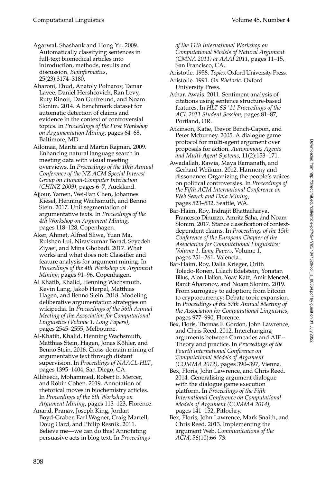- Agarwal, Shashank and Hong Yu. 2009. Automatically classifying sentences in full-text biomedical articles into introduction, methods, results and discussion. *Bioinformatics*, 25(23):3174–3180.
- Aharoni, Ehud, Anatoly Polnarov, Tamar Lavee, Daniel Hershcovich, Ran Levy, Ruty Rinott, Dan Gutfreund, and Noam Slonim. 2014. A benchmark dataset for automatic detection of claims and evidence in the context of controversial topics. In *Proceedings of the First Workshop on Argumentation Mining*, pages 64–68, Baltimore, MD.
- Ailomaa, Marita and Martin Rajman. 2009. Enhancing natural language search in meeting data with visual meeting overviews. In *Proceedings of the 10th Annual Conference of the NZ ACM Special Interest Group on Human-Computer Interaction (CHINZ 2009)*, pages 6–7, Auckland.
- Ajjour, Yamen, Wei-Fan Chen, Johannes Kiesel, Henning Wachsmuth, and Benno Stein. 2017. Unit segmentation of argumentative texts. In *Proceedings of the 4th Workshop on Argument Mining*, pages 118–128, Copenhagen.
- Aker, Ahmet, Alfred Sliwa, Yuan Ma, Ruishen Lui, Niravkumar Borad, Seyedeh Ziyaei, and Mina Ghobadi. 2017. What works and what does not: Classifier and feature analysis for argument mining. In *Proceedings of the 4th Workshop on Argument Mining*, pages 91–96, Copenhagen.
- Al Khatib, Khalid, Henning Wachsmuth, Kevin Lang, Jakob Herpel, Matthias Hagen, and Benno Stein. 2018. Modeling deliberative argumentation strategies on wikipedia. In *Proceedings of the 56th Annual Meeting of the Association for Computational Linguistics (Volume 1: Long Papers)*, pages 2545–2555, Melbourne.
- Al-Khatib, Khalid, Henning Wachsmuth, Matthias Stein, Hagen, Jonas Köhler, and Benno Stein. 2016. Cross-domain mining of argumentative text through distant supervision. In *Proceedings of NAACL-HLT*, pages 1395–1404, San Diego, CA.
- Alliheedi, Mohammed, Robert E. Mercer, and Robin Cohen. 2019. Annotation of rhetorical moves in biochemistry articles. In *Proceedings of the 6th Workshop on Argument Mining*, pages 113–123, Florence.
- Anand, Pranav, Joseph King, Jordan Boyd-Graber, Earl Wagner, Craig Martell, Doug Oard, and Philip Resnik. 2011. Believe me—we can do this! Annotating persuasive acts in blog text. In *Proceedings*

*of the 11th International Workshop on Computational Models of Natural Argument (CMNA 2011) at AAAI 2011*, pages 11–15, San Francisco, CA.

- Aristotle. 1958. *Topics*. Oxford University Press.
- Aristotle. 1991. *On Rhetoric*. Oxford University Press.
- Athar, Awais. 2011. Sentiment analysis of citations using sentence structure-based features. In *HLT-SS '11 Proceedings of the ACL 2011 Student Session*, pages 81–87, Portland, OR.
- Atkinson, Katie, Trevor Bench-Capon, and Peter Mcburney. 2005. A dialogue game protocol for multi-agent argument over proposals for action. *Autonomous Agents and Multi-Agent Systems*, 11(2):153–171.
- Awadallah, Rawia, Maya Ramanath, and Gerhard Weikum. 2012. Harmony and dissonance: Organizing the people's voices on political controversies. In *Proceedings of the Fifth ACM International Conference on Web Search and Data Mining*, pages 523–532, Seattle, WA.
- Bar-Haim, Roy, Indrajit Bhattacharya, Francesco Dinuzzo, Amrita Saha, and Noam Slonim. 2017. Stance classification of contextdependent claims. In *Proceedings of the 15th Conference of the European Chapter of the Association for Computational Linguistics: Volume 1, Long Papers*, Volume 1, pages 251–261, Valencia.
- Bar-Haim, Roy, Dalia Krieger, Orith Toledo-Ronen, Lilach Edelstein, Yonatan Bilus, Alon Halfon, Yoav Katz, Amir Menczel, Ranit Aharonov, and Noam Slonim. 2019. From surrogacy to adoption; from bitcoin to cryptocurrency: Debate topic expansion. In *Proceedings of the 57th Annual Meeting of the Association for Computational Linguistics*, pages 977–990, Florence.
- Bex, Floris, Thomas F. Gordon, John Lawrence, and Chris Reed. 2012. Interchanging arguments between Carneades and AIF – Theory and practice. In *Proceedings of the Fourth International Conference on Computational Models of Argument (COMMA 2012)*, pages 390–397, Vienna.
- Bex, Floris, John Lawrence, and Chris Reed. 2014. Generalising argument dialogue with the dialogue game execution platform. In *Proceedings of the Fifth International Conference on Computational Models of Argument (COMMA 2014)*, pages 141–152, Pitlochry.
- Bex, Floris, John Lawrence, Mark Snaith, and Chris Reed. 2013. Implementing the argument Web. *Communications of the ACM*, 56(10):66–73.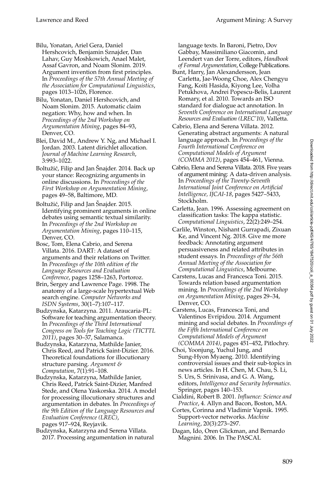Bilu, Yonatan, Ariel Gera, Daniel Hershcovich, Benjamin Sznajder, Dan Lahav, Guy Moshkowich, Anael Malet, Assaf Gavron, and Noam Slonim. 2019. Argument invention from first principles. In *Proceedings of the 57th Annual Meeting of the Association for Computational Linguistics*, pages 1013–1026, Florence.

Bilu, Yonatan, Daniel Hershcovich, and Noam Slonim. 2015. Automatic claim negation: Why, how and when. In *Proceedings of the 2nd Workshop on Argumentation Mining*, pages 84–93, Denver, CO.

Blei, David M., Andrew Y. Ng, and Michael I. Jordan. 2003. Latent dirichlet allocation. *Journal of Machine Learning Research*, 3:993–1022.

Boltužić, Filip and Jan Šnajder. 2014. Back up your stance: Recognizing arguments in online discussions. In *Proceedings of the First Workshop on Argumentation Mining*, pages 49–58, Baltimore, MD.

Boltužić, Filip and Jan Šnajder. 2015. Identifying prominent arguments in online debates using semantic textual similarity. In *Proceedings of the 2nd Workshop on Argumentation Mining*, pages 110–115, Denver, CO.

Bosc, Tom, Elena Cabrio, and Serena Villata. 2016. DART: A dataset of arguments and their relations on Twitter. In *Proceedings of the 10th edition of the Language Resources and Evaluation Conference*, pages 1258–1263, Portoroz.

Brin, Sergey and Lawrence Page. 1998. The anatomy of a large-scale hypertextual Web search engine. *Computer Networks and ISDN Systems*, 30(1–7):107–117.

Budzynska, Katarzyna. 2011. Araucaria-PL: Software for teaching argumentation theory. In *Proceedings of the Third International Congress on Tools for Teaching Logic (TICTTL 2011)*, pages 30–37, Salamanca.

Budzynska, Katarzyna, Mathilde Janier, Chris Reed, and Patrick Saint-Dizier. 2016. Theoretical foundations for illocutionary structure parsing. *Argument & Computation*, 7(1):91–108.

Budzynska, Katarzyna, Mathilde Janier, Chris Reed, Patrick Saint-Dizier, Manfred Stede, and Olena Yaskorska. 2014. A model for processing illocutionary structures and argumentation in debates. In *Proceedings of the 9th Edition of the Language Resources and Evaluation Conference (LREC)*, pages 917–924, Reyjavik.

Budzynska, Katarzyna and Serena Villata. 2017. Processing argumentation in natural language texts. In Baroni, Pietro, Dov Gabbay, Massimiliano Giacomin, and Leendert van der Torre, editors, *Handbook of Formal Argumentation*, College Publications.

- Bunt, Harry, Jan Alexandersson, Jean Carletta, Jae-Woong Choe, Alex Chengyu Fang, Koiti Hasida, Kiyong Lee, Volha Petukhova, Andrei Popescu-Belis, Laurent Romary, et al. 2010. Towards an ISO standard for dialogue act annotation. In *Seventh Conference on International Language Resources and Evaluation (LREC'10)*, Valletta.
- Cabrio, Elena and Serena Villata. 2012. Generating abstract arguments: A natural language approach. In *Proceedings of the Fourth International Conference on Computational Models of Argument (COMMA 2012)*, pages 454–461, Vienna.
- Cabrio, Elena and Serena Villata. 2018. Five years of argument mining: A data-driven analysis. In *Proceedings of the Twenty-Seventh International Joint Conference on Artificial Intelligence, IJCAI-18*, pages 5427–5433, Stockholm.
- Carletta, Jean. 1996. Assessing agreement on classification tasks: The kappa statistic. *Computational Linguistics*, 22(2):249–254.
- Carlile, Winston, Nishant Gurrapadi, Zixuan Ke, and Vincent Ng. 2018. Give me more feedback: Annotating argument persuasiveness and related attributes in student essays. In *Proceedings of the 56th Annual Meeting of the Association for Computational Linguistics*, Melbourne.
- Carstens, Lucas and Francesca Toni. 2015. Towards relation based argumentation mining. In *Proceedings of the 2nd Workshop on Argumentation Mining*, pages 29–34, Denver, CO.
- Carstens, Lucas, Francesca Toni, and Valentinos Evripidou. 2014. Argument mining and social debates. In *Proceedings of the Fifth International Conference on Computational Models of Argument (COMMA 2014)*, pages 451–452, Pitlochry.
- Choi, Yoonjung, Yuchul Jung, and Sung-Hyon Myaeng. 2010. Identifying controversial issues and their sub-topics in news articles. In H. Chen, M. Chau, S. Li, S. Urs, S. Srinivasa, and G. A. Wang, editors, *Intelligence and Security Informatics*. Springer, pages 140–153.
- Cialdini, Robert B. 2001. *Influence: Science and Practice*, 4. Allyn and Bacon, Boston, MA.
- Cortes, Corinna and Vladimir Vapnik. 1995. Support-vector networks. *Machine Learning*, 20(3):273–297.
- Dagan, Ido, Oren Glickman, and Bernardo Magnini. 2006. In The PASCAL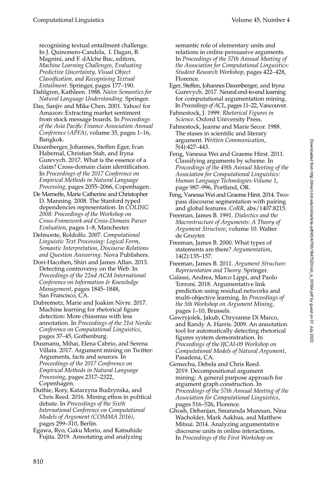recognising textual entailment challenge. In J. Quinonero-Candela, I. Dagan, B. Magnini, and F. dAlche Buc, editors, *Machine Learning Challenges, Evaluating Predictive Uncertainty, Visual Object Classification, and Recognising Textual Entailment*. Springer, pages 177–190.

Dahlgren, Kathleen. 1988. *Naive Semantics for Natural Language Understanding*. Springer.

Das, Sanjiv and Mike Chen. 2001. Yahoo! for Amazon: Extracting market sentiment from stock message boards. In *Proceedings of the Asia Pacific Finance Association Annual Conference (APFA)*, volume 35, pages 1–16, Bangkok.

Daxenberger, Johannes, Steffen Eger, Ivan Habernal, Christian Stab, and Iryna Gurevych. 2017. What is the essence of a claim? Cross-domain claim identification. In *Proceedings of the 2017 Conference on Empirical Methods in Natural Language Processing*, pages 2055–2066, Copenhagen.

De Marneffe, Marie Catherine and Christopher D. Manning. 2008. The Stanford typed dependencies representation. In *COLING 2008: Proceedings of the Workshop on Cross-Framework and Cross-Domain Parser Evaluation*, pages 1–8, Manchester.

Delmonte, Roldolfo. 2007. *Computational Linguistic Text Processing: Logical Form, Semantic Interpretation, Discourse Relations and Question Answering*. Nova Publishers.

Dori-Hacohen, Shiri and James Allan. 2013. Detecting controversy on the Web. In *Proceedings of the 22nd ACM International Conference on Information & Knowledge Management*, pages 1845–1848, San Francisco, CA.

Dubremetz, Marie and Joakim Nivre. 2017. Machine learning for rhetorical figure detection: More chiasmus with less annotation. In *Proceedings of the 21st Nordic Conference on Computational Linguistics*, pages 37–45, Gothenburg.

Dusmanu, Mihai, Elena Cabrio, and Serena Villata. 2017. Argument mining on Twitter: Arguments, facts and sources. In *Proceedings of the 2017 Conference on Empirical Methods in Natural Language Processing*, pages 2317–2322, Copenhagen.

Duthie, Rory, Katarzyna Budzynska, and Chris Reed. 2016. Mining ethos in political debate. In *Proceedings of the Sixth International Conference on Computational Models of Argument (COMMA 2016)*, pages 299–310, Berlin.

Egawa, Ryo, Gaku Morio, and Katsuhide Fujita. 2019. Annotating and analyzing semantic role of elementary units and relations in online persuasive arguments. In *Proceedings of the 57th Annual Meeting of the Association for Computational Linguistics: Student Research Workshop*, pages 422–428, Florence.

Eger, Steffen, Johannes Daxenberger, and Iryna Gurevych. 2017. Neural end-to-end learning for computational argumentation mining. In *Proceedings of ACL*, pages 11–22, Vancouver.

Fahnestock, J. 1999. *Rhetorical Figures in Science*. Oxford University Press.

Fahnestock, Jeanne and Marie Secor. 1988. The stases in scientific and literary argument. *Written Communication*, 5(4):427–443.

Feng, Vanessa Wei and Graeme Hirst. 2011. Classifying arguments by scheme. In *Proceedings of the 49th Annual Meeting of the Association for Computational Linguistics: Human Language Technologies-Volume 1*, page 987–996, Portland, OR.

Feng, VanessaWei and Graeme Hirst. 2014. Twopass discourse segmentation with pairing and global features. *CoRR*, abs/1407.8215.

Freeman, James B. 1991. *Dialectics and the Macrostructure of Arguments: A Theory of Argument Structure*, volume 10. Walter de Gruyter.

Freeman, James B. 2000. What types of statements are there? *Argumentation*, 14(2):135–157.

Freeman, James B. 2011. *Argument Structure: Representation and Theory*. Springer.

Galassi, Andrea, Marco Lippi, and Paolo Torroni. 2018. Argumentative link prediction using residual networks and multi-objective learning. In *Proceedings of the 5th Workshop on Argument Mining*, pages 1–10, Brussels.

Gawryjolek, Jakub, Chrysanne Di Marco, and Randy A. Harris. 2009. An annotation tool for automatically detecting rhetorical figures system demonstration. In *Proceedings of the IJCAI-09 Workshop on Computational Models of Natural Argument*, Pasadena, CA.

Gemechu, Debela and Chris Reed. 2019. Decompositional argument mining: A general purpose approach for argument graph construction. In *Proceedings of the 57th Annual Meeting of the Association for Computational Linguistics*, pages 516–526, Florence.

Ghosh, Debanjan, Smaranda Muresan, Nina Wacholder, Mark Aakhus, and Matthew Mitsui. 2014. Analyzing argumentative discourse units in online interactions. In *Proceedings of the First Workshop on*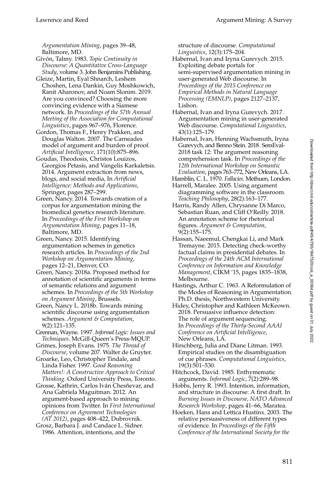*Argumentation Mining*, pages 39–48, Baltimore, MD.

- Givón, Talmy. 1983. Topic Continuity in *Discourse: A Quantitative Cross-Language Study*, volume 3. John Benjamins Publishing.
- Gleize, Martin, Eyal Shnarch, Leshem Choshen, Lena Dankin, Guy Moshkowich, Ranit Aharonov, and Noam Slonim. 2019. Are you convinced? Choosing the more convincing evidence with a Siamese network. In *Proceedings of the 57th Annual Meeting of the Association for Computational Linguistics*, pages 967–976, Florence.
- Gordon, Thomas F., Henry Prakken, and Douglas Walton. 2007. The Carneades model of argument and burden of proof. *Artificial Intelligence*, 171(10):875–896.
- Goudas, Theodosis, Christos Louizos, Georgios Petasis, and Vangelis Karkaletsis. 2014. Argument extraction from news, blogs, and social media, In *Artificial Intelligence: Methods and Applications*, Springer, pages 287–299.
- Green, Nancy. 2014. Towards creation of a corpus for argumentation mining the biomedical genetics research literature. In *Proceedings of the First Workshop on Argumentation Mining*, pages 11–18, Baltimore, MD.
- Green, Nancy. 2015. Identifying argumentation schemes in genetics research articles. In *Proceedings of the 2nd Workshop on Argumentation Mining*, pages 12–21, Denver, CO.
- Green, Nancy. 2018a. Proposed method for annotation of scientific arguments in terms of semantic relations and argument schemes. In *Proceedings of the 5th Workshop on Argument Mining*, Brussels.
- Green, Nancy L. 2018b. Towards mining scientific discourse using argumentation schemes. *Argument & Computation*, 9(2):121–135.
- Grennan, Wayne. 1997. *Informal Logic: Issues and Techniques*. McGill-Queen's Press-MQUP.
- Grimes, Joseph Evans. 1975. *The Thread of Discourse*, volume 207. Walter de Gruyter.
- Groarke, Leo, Christopher Tindale, and Linda Fisher. 1997. *Good Reasoning Matters!: A Constructive Approach to Critical Thinking*. Oxford University Press, Toronto.
- Grosse, Kathrin, Carlos Iván Chesñevar, and Ana Gabriela Maguitman. 2012. An argument-based approach to mining opinions from Twitter. In *First International Conference on Agreement Technologies (AT 2012)*, pages 408–422, Dubrovnik.
- Grosz, Barbara J. and Candace L. Sidner. 1986. Attention, intentions, and the

structure of discourse. *Computational Linguistics*, 12(3):175–204.

- Habernal, Ivan and Iryna Gurevych. 2015. Exploiting debate portals for semi-supervised argumentation mining in user-generated Web discourse. In *Proceedings of the 2015 Conference on Empirical Methods in Natural Language Processing (EMNLP)*, pages 2127–2137, Lisbon.
- Habernal, Ivan and Iryna Gurevych. 2017. Argumentation mining in user-generated Web discourse. *Computational Linguistics*, 43(1):125–179.
- Habernal, Ivan, Henning Wachsmuth, Iryna Gurevych, and Benno Stein. 2018. SemEval-2018 task 12: The argument reasoning comprehension task. In *Proceedings of the 12th International Workshop on Semantic Evaluation*, pages 763–772, New Orleans, LA.
- Hamblin, C. L. 1970. *Fallacies*. Methuen, London.
- Harrell, Maralee. 2005. Using argument diagramming software in the classroom. *Teaching Philosophy*, 28(2):163–177.
- Harris, Randy Allen, Chrysanne Di Marco, Sebastian Ruan, and Cliff O'Reilly. 2018. An annotation scheme for rhetorical figures. *Argument & Computation*, 9(2):155–175.
- Hassan, Naeemul, Chengkai Li, and Mark Tremayne. 2015. Detecting check-worthy factual claims in presidential debates. In *Proceedings of the 24th ACM International Conference on Information and Knowledge Management*, CIKM '15, pages 1835–1838, Melbourne.
- Hastings, Arthur C. 1963. A Reformulation of the Modes of Reasoning in Argumentation. Ph.D. thesis, Northwestern University.
- Hidey, Christopher and Kathleen McKeown. 2018. Persuasive influence detection: The role of argument sequencing. In *Proceedings of the Thirty-Second AAAI Conference on Artificial Intelligence*, New Orleans, LA.
- Hirschberg, Julia and Diane Litman. 1993. Empirical studies on the disambiguation of cue phrases. *Computational Linguistics*, 19(3):501–530.
- Hitchcock, David. 1985. Enthymematic arguments. *Informal Logic*, 7(2):289–98.
- Hobbs, Jerry R. 1993. Intention, information, and structure in discourse: A first draft. In *Burning Issues in Discourse, NATO Advanced Research Workshop*, pages 41–66, Maratea.
- Hoeken, Hans and Lettica Hustinx. 2003. The relative persuasiveness of different types of evidence. In *Proceedings of the Fifth Conference of the International Society for the*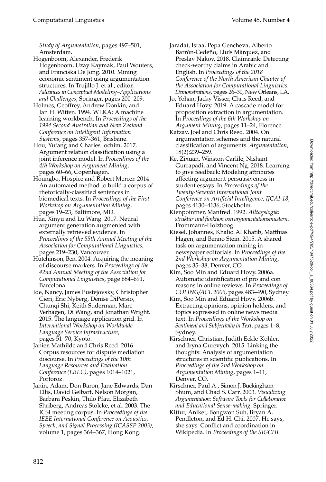*Study of Argumentation*, pages 497–501, Amsterdam.

- Hogenboom, Alexander, Frederik Hogenboom, Uzay Kaymak, Paul Wouters, and Franciska De Jong. 2010. Mining economic sentiment using argumentation structures. In Trujillo J. et al., editor, *Advances in Conceptual Modeling–Applications and Challenges*, Springer, pages 200–209.
- Holmes, Geoffrey, Andrew Donkin, and Ian H. Witten. 1994. WEKA: A machine learning workbench. In *Proceedings of the 1994 Second Australian and New Zealand Conference on Intelligent Information Systems*, pages 357–361, Brisbane.
- Hou, Yufang and Charles Jochim. 2017. Argument relation classification using a joint inference model. In *Proceedings of the 4th Workshop on Argument Mining*, pages 60–66, Copenhagen.
- Houngbo, Hospice and Robert Mercer. 2014. An automated method to build a corpus of rhetorically-classified sentences in biomedical texts. In *Proceedings of the First Workshop on Argumentation Mining*, pages 19–23, Baltimore, MD.
- Hua, Xinyu and Lu Wang. 2017. Neural argument generation augmented with externally retrieved evidence. In *Proceedings of the 55th Annual Meeting of the Association for Computational Linguistics*, pages 219–230, Vancouver.
- Hutchinson, Ben. 2004. Acquiring the meaning of discourse markers. In *Proceedings of the 42nd Annual Meeting of the Association for Computational Linguistics*, page 684–691, Barcelona.
- Ide, Nancy, James Pustejovsky, Christopher Cieri, Eric Nyberg, Denise DiPersio, Chunqi Shi, Keith Suderman, Marc Verhagen, Di Wang, and Jonathan Wright. 2015. The language application grid. In *International Workshop on Worldwide Language Service Infrastructure*, pages 51–70, Kyoto.
- Janier, Mathilde and Chris Reed. 2016. Corpus resources for dispute mediation discourse. In *Proceedings of the 10th Language Resources and Evaluation Conference (LREC)*, pages 1014–1021, Portoroz.
- Janin, Adam, Don Baron, Jane Edwards, Dan Ellis, David Gelbart, Nelson Morgan, Barbara Peskin, Thilo Pfau, Elizabeth Shriberg, Andreas Stolcke, et al. 2003. The ICSI meeting corpus. In *Proceedings of the IEEE International Conference on Acoustics, Speech, and Signal Processing (ICASSP 2003)*, volume 1, pages 364–367, Hong Kong.
- Jaradat, Israa, Pepa Gencheva, Alberto Barrón-Cedeño, Lluís Màrquez, and Preslav Nakov. 2018. Claimrank: Detecting check-worthy claims in Arabic and English. In *Proceedings of the 2018 Conference of the North American Chapter of the Association for Computational Linguistics: Demonstrations*, pages 26–30, New Orleans, LA.
- Jo, Yohan, Jacky Visser, Chris Reed, and Eduard Hovy. 2019. A cascade model for proposition extraction in argumentation. In *Proceedings of the 6th Workshop on Argument Mining*, pages 11–24, Florence.
- Katzav, Joel and Chris Reed. 2004. On argumentation schemes and the natural classification of arguments. *Argumentation*, 18(2):239–259.
- Ke, Zixuan, Winston Carlile, Nishant Gurrapadi, and Vincent Ng. 2018. Learning to give feedback: Modeling attributes affecting argument persuasiveness in student essays. In *Proceedings of the Twenty-Seventh International Joint Conference on Artificial Intelligence, IJCAI-18*, pages 4130–4136, Stockholm.
- Kienpointner, Manfred. 1992. *Alltagslogik: struktur und funktion von argumentationsmustern*. Frommann-Holzboog.
- Kiesel, Johannes, Khalid Al Khatib, Matthias Hagen, and Benno Stein. 2015. A shared task on argumentation mining in newspaper editorials. In *Proceedings of the 2nd Workshop on Argumentation Mining*, pages 35–38, Denver, CO.
- Kim, Soo Min and Eduard Hovy. 2006a. Automatic identification of pro and con reasons in online reviews. In *Proceedings of COLING/ACL 2006*, pages 483–490, Sydney.
- Kim, Soo Min and Eduard Hovy. 2006b. Extracting opinions, opinion holders, and topics expressed in online news media text. In *Proceedings of the Workshop on Sentiment and Subjectivity in Text*, pages 1–8, Sydney.
- Kirschner, Christian, Judith Eckle-Kohler, and Iryna Gurevych. 2015. Linking the thoughts: Analysis of argumentation structures in scientific publications. In *Proceedings of the 2nd Workshop on Argumentation Mining*, pages 1–11, Denver, CO.
- Kirschner, Paul A., Simon J. Buckingham-Shum, and Chad S. Carr. 2003. *Visualizing Argumentation: Software Tools for Collaborative and Educational Sense-making*. Springer.
- Kittur, Aniket, Bongwon Suh, Bryan A. Pendleton, and Ed H. Chi. 2007. He says, she says: Conflict and coordination in Wikipedia. In *Proceedings of the SIGCHI*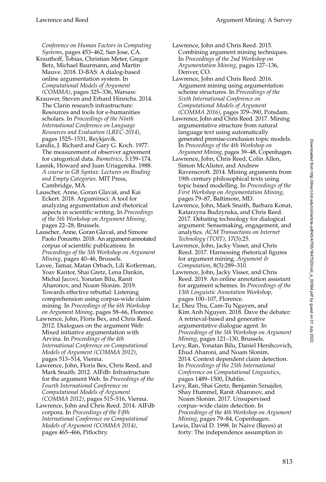*Conference on Human Factors in Computing Systems*, pages 453–462, San Jose, CA.

- Krauthoff, Tobias, Christian Meter, Gregor Betz, Michael Baurmann, and Martin Mauve. 2018. D-BAS: A dialog-based online argumentation system. In *Computational Models of Argument (COMMA)*, pages 325–336, Warsaw.
- Krauwer, Steven and Erhard Hinrichs. 2014. The Clarin research infrastructure: Resources and tools for e-humanities scholars. In *Proceedings of the Ninth International Conference on Language Resources and Evaluation (LREC-2014)*, pages 1525–1531, Reykjavik.
- Landis, J. Richard and Gary G. Koch. 1977. The measurement of observer agreement for categorical data. *Biometrics*, 3:159–174.
- Lasnik, Howard and Juan Uriagereka. 1988. *A course in GB Syntax: Lectures on Binding and Empty Categories*. MIT Press, Cambridge, MA.
- Lauscher, Anne, Goran Glavaš, and Kai Eckert. 2018. Arguminsci: A tool for analyzing argumentation and rhetorical aspects in scientific writing. In *Proceedings of the 5th Workshop on Argument Mining*, pages 22–28, Brussels.
- Lauscher, Anne, Goran Glavaš, and Simone Paolo Ponzetto. 2018. An argument-annotated corpus of scientific publications. In *Proceedings of the 5th Workshop on Argument Mining*, pages 40–46, Brussels.
- Lavee, Tamar, Matan Orbach, Lili Kotlerman, Yoav Kantor, Shai Gretz, Lena Dankin, Michal Jacovi, Yonatan Bilu, Ranit Aharonov, and Noam Slonim. 2019. Towards effective rebuttal: Listening comprehension using corpus-wide claim mining. In *Proceedings of the 6th Workshop on Argument Mining*, pages 58–66, Florence.
- Lawrence, John, Floris Bex, and Chris Reed. 2012. Dialogues on the argument Web: Mixed initiative argumentation with Arvina. In *Proceedings of the 4th International Conference on Computational Models of Argument (COMMA 2012)*, pages 513–514, Vienna.
- Lawrence, John, Floris Bex, Chris Reed, and Mark Snaith. 2012. AIFdb: Infrastructure for the argument Web. In *Proceedings of the Fourth International Conference on Computational Models of Argument (COMMA 2012)*, pages 515–516, Vienna.
- Lawrence, John and Chris Reed. 2014. AIFdb corpora. In *Proceedings of the Fifth International Conference on Computational Models of Argument (COMMA 2014)*, pages 465–466, Pitlochry.
- Lawrence, John and Chris Reed. 2015. Combining argument mining techniques. In *Proceedings of the 2nd Workshop on Argumentation Mining*, pages 127–136, Denver, CO.
- Lawrence, John and Chris Reed. 2016. Argument mining using argumentation scheme structures. In *Proceedings of the Sixth International Conference on Computational Models of Argument (COMMA 2016)*, pages 379–390, Potsdam.
- Lawrence, John and Chris Reed. 2017. Mining argumentative structure from natural language text using automatically generated premise-conclusion topic models. In *Proceedings of the 4th Workshop on Argument Mining*, pages 39–48, Copenhagen.
- Lawrence, John, Chris Reed, Colin Allen, Simon McAlister, and Andrew Ravenscroft. 2014. Mining arguments from 19th century philosophical texts using topic based modelling. In *Proceedings of the First Workshop on Argumentation Mining*, pages 79–87, Baltimore, MD.
- Lawrence, John, Mark Snaith, Barbara Konat, Katarzyna Budzynska, and Chris Reed. 2017. Debating technology for dialogical argument: Sensemaking, engagement, and analytics. *ACM Transactions on Internet Technology (TOIT)*, 17(3):25.
- Lawrence, John, Jacky Visser, and Chris Reed. 2017. Harnessing rhetorical figures for argument mining. *Argument & Computation*, 8(3):289–310.
- Lawrence, John, Jacky Visser, and Chris Reed. 2019. An online annotation assistant for argument schemes. In *Proceedings of the 13th Linguistic Annotation Workshop*, pages 100–107, Florence.
- Le, Dieu Thu, Cam-Tu Nguyen, and Kim Anh Nguyen. 2018. Dave the debater: A retrieval-based and generative argumentative dialogue agent. In *Proceedings of the 5th Workshop on Argument Mining*, pages 121–130, Brussels.
- Levy, Ran, Yonatan Bilu, Daniel Hershcovich, Ehud Aharoni, and Noam Slonim. 2014. Context dependent claim detection. In *Proceedings of the 25th International Conference on Computational Linguistics*, pages 1489–1500, Dublin.
- Levy, Ran, Shai Gretz, Benjamin Sznajder, Shay Hummel, Ranit Aharonov, and Noam Slonim. 2017. Unsupervised corpus–wide claim detection. In *Proceedings of the 4th Workshop on Argument Mining*, pages 79–84, Copenhagen.
- Lewis, David D. 1998. In Naive (Bayes) at forty: The independence assumption in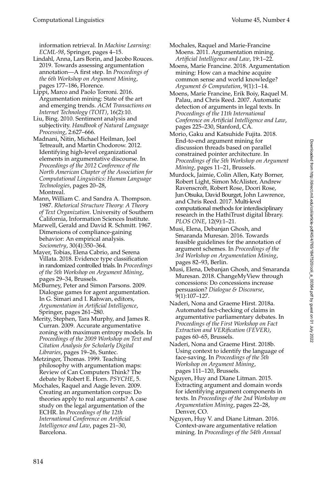information retrieval. In *Machine Learning: ECML-98*, Springer, pages 4–15.

- Lindahl, Anna, Lars Borin, and Jacobo Rouces. 2019. Towards assessing argumentation annotation—A first step. In *Proceedings of the 6th Workshop on Argument Mining*, pages 177–186, Florence.
- Lippi, Marco and Paolo Torroni. 2016. Argumentation mining: State of the art and emerging trends. *ACM Transactions on Internet Technology (TOIT)*, 16(2):10.
- Liu, Bing. 2010. Sentiment analysis and subjectivity. *Handbook of Natural Language Processing*, 2:627–666.
- Madnani, Nitin, Michael Heilman, Joel Tetreault, and Martin Chodorow. 2012. Identifying high-level organizational elements in argumentative discourse. In *Proceedings of the 2012 Conference of the North American Chapter of the Association for Computational Linguistics: Human Language Technologies*, pages 20–28, Montreal.
- Mann, William C. and Sandra A. Thompson. 1987. *Rhetorical Structure Theory: A Theory of Text Organization*. University of Southern California, Information Sciences Institute.
- Marwell, Gerald and David R. Schmitt. 1967. Dimensions of compliance-gaining behavior: An empirical analysis. *Sociometry*, 30(4):350–364.
- Mayer, Tobias, Elena Cabrio, and Serena Villata. 2018. Evidence type classification in randomized controlled trials. In *Proceedings of the 5th Workshop on Argument Mining*, pages 29–34, Brussels.
- McBurney, Peter and Simon Parsons. 2009. Dialogue games for agent argumentation. In G. Simari and I. Rahwan, editors, *Argumentation in Artificial Intelligence*, Springer, pages 261–280.
- Merity, Stephen, Tara Murphy, and James R. Curran. 2009. Accurate argumentative zoning with maximum entropy models. In *Proceedings of the 2009 Workshop on Text and Citation Analysis for Scholarly Digital Libraries*, pages 19–26, Suntec.
- Metzinger, Thomas. 1999. Teaching philosophy with argumentation maps: Review of Can Computers Think? The debate by Robert E. Horn. *PSYCHE*, 5.
- Mochales, Raquel and Aagje Ieven. 2009. Creating an argumentation corpus: Do theories apply to real arguments? A case study on the legal argumentation of the ECHR. In *Proceedings of the 12th International Conference on Artificial Intelligence and Law*, pages 21–30, Barcelona.
- Mochales, Raquel and Marie-Francine Moens. 2011. Argumentation mining. *Artificial Intelligence and Law*, 19:1–22.
- Moens, Marie Francine. 2018. Argumentation mining: How can a machine acquire common sense and world knowledge? *Argument & Computation*, 9(1):1–14.
- Moens, Marie Francine, Erik Boiy, Raquel M. Palau, and Chris Reed. 2007. Automatic detection of arguments in legal texts. In *Proceedings of the 11th International Conference on Artificial Intelligence and Law*, pages 225–230, Stanford, CA.
- Morio, Gaku and Katsuhide Fujita. 2018. End-to-end argument mining for discussion threads based on parallel constrained pointer architecture. In *Proceedings of the 5th Workshop on Argument Mining*, pages 11–21, Brussels.
- Murdock, Jaimie, Colin Allen, Katy Borner, Robert Light, Simon McAlister, Andrew Ravenscroft, Robert Rose, Doori Rose, Jun Otsuka, David Bourget, John Lawrence, and Chris Reed. 2017. Multi-level computational methods for interdisciplinary research in the HathiTrust digital library. *PLOS ONE*, 12(9):1–21.
- Musi, Elena, Debanjan Ghosh, and Smaranda Muresan. 2016. Towards feasible guidelines for the annotation of argument schemes. In *Proceedings of the 3rd Workshop on Argumentation Mining*, pages 82–93, Berlin.
- Musi, Elena, Debanjan Ghosh, and Smaranda Muresan. 2018. ChangeMyView through concessions: Do concessions increase persuasion? *Dialogue & Discourse*, 9(1):107–127.
- Naderi, Nona and Graeme Hirst. 2018a. Automated fact-checking of claims in argumentative parliamentary debates. In *Proceedings of the First Workshop on Fact Extraction and VERification (FEVER)*, pages 60–65, Brussels.
- Naderi, Nona and Graeme Hirst. 2018b. Using context to identify the language of face-saving. In *Proceedings of the 5th Workshop on Argument Mining*, pages 111–120, Brussels.
- Nguyen, Huy and Diane Litman. 2015. Extracting argument and domain words for identifying argument components in texts. In *Proceedings of the 2nd Workshop on Argumentation Mining*, pages 22–28, Denver, CO.
- Nguyen, Huy V. and Diane Litman. 2016. Context-aware argumentative relation mining. In *Proceedings of the 54th Annual*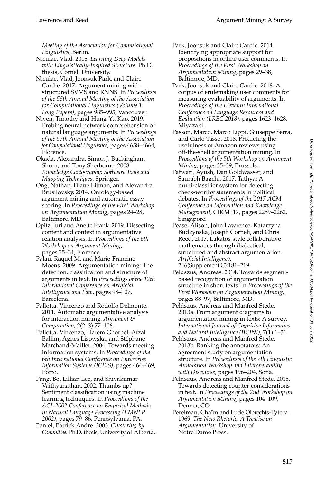*Meeting of the Association for Computational Linguistics*, Berlin.

Niculae, Vlad. 2018. *Learning Deep Models with Linguistically-Inspired Structure*. Ph.D. thesis, Cornell University.

Niculae, Vlad, Joonsuk Park, and Claire Cardie. 2017. Argument mining with structured SVMS and RNNS. In *Proceedings of the 55th Annual Meeting of the Association for Computational Linguistics (Volume 1: Long Papers)*, pages 985–995, Vancouver.

Niven, Timothy and Hung-Yu Kao. 2019. Probing neural network comprehension of natural language arguments. In *Proceedings of the 57th Annual Meeting of the Association for Computational Linguistics*, pages 4658–4664, Florence.

Okada, Alexandra, Simon J. Buckingham Shum, and Tony Sherborne. 2008. *Knowledge Cartography: Software Tools and Mapping Techniques*. Springer.

Ong, Nathan, Diane Litman, and Alexandra Brusilovsky. 2014. Ontology-based argument mining and automatic essay scoring. In *Proceedings of the First Workshop on Argumentation Mining*, pages 24–28, Baltimore, MD.

Opitz, Juri and Anette Frank. 2019. Dissecting content and context in argumentative relation analysis. In *Proceedings of the 6th Workshop on Argument Mining*, pages 25–34, Florence.

Palau, Raquel M. and Marie-Francine Moens. 2009. Argumentation mining: The detection, classification and structure of arguments in text. In *Proceedings of the 12th International Conference on Artificial Intelligence and Law*, pages 98–107, Barcelona.

Pallotta, Vincenzo and Rodolfo Delmonte. 2011. Automatic argumentative analysis for interaction mining. *Argument & Computation*, 2(2–3):77–106.

Pallotta, Vincenzo, Hatem Ghorbel, Afzal Ballim, Agnes Lisowska, and Stéphane Marchand-Maillet. 2004. Towards meeting information systems. In *Proceedings of the 6th International Conference on Enterprise Information Systems (ICEIS)*, pages 464–469, Porto.

Pang, Bo, Lillian Lee, and Shivakumar Vaithyanathan. 2002. Thumbs up? Sentiment classification using machine learning techniques. In *Proceedings of the ACL 2002 Conference on Empirical Methods in Natural Language Processing (EMNLP 2002)*, pages 79–86, Pennsylvania, PA.

Pantel, Patrick Andre. 2003. *Clustering by Committee*. Ph.D. thesis, University of Alberta. Park, Joonsuk and Claire Cardie. 2014. Identifying appropriate support for propositions in online user comments. In *Proceedings of the First Workshop on Argumentation Mining*, pages 29–38, Baltimore, MD.

Park, Joonsuk and Claire Cardie. 2018. A corpus of erulemaking user comments for measuring evaluability of arguments. In *Proceedings of the Eleventh International Conference on Language Resources and Evaluation (LREC 2018)*, pages 1623–1628, Miyazaki.

Passon, Marco, Marco Lippi, Giuseppe Serra, and Carlo Tasso. 2018. Predicting the usefulness of Amazon reviews using off-the-shelf argumentation mining. In *Proceedings of the 5th Workshop on Argument Mining*, pages 35–39, Brussels.

Patwari, Ayush, Dan Goldwasser, and Saurabh Bagchi. 2017. Tathya: A multi-classifier system for detecting check-worthy statements in political debates. In *Proceedings of the 2017 ACM Conference on Information and Knowledge Management*, CIKM '17, pages 2259–2262, Singapore.

Pease, Alison, John Lawrence, Katarzyna Budzynska, Joseph Corneli, and Chris Reed. 2017. Lakatos-style collaborative mathematics through dialectical, structured and abstract argumentation. *Artificial Intelligence*, 246(Supplement C):181–219.

Peldszus, Andreas. 2014. Towards segmentbased recognition of argumentation structure in short texts. In *Proceedings of the First Workshop on Argumentation Mining*, pages 88–97, Baltimore, MD.

Peldszus, Andreas and Manfred Stede. 2013a. From argument diagrams to argumentation mining in texts: A survey. *International Journal of Cognitive Informatics and Natural Intelligence (IJCINI)*, 7(1):1–31.

Peldszus, Andreas and Manfred Stede. 2013b. Ranking the annotators: An agreement study on argumentation structure. In *Proceedings of the 7th Linguistic Annotation Workshop and Interoperability with Discourse*, pages 196–204, Sofia.

Peldszus, Andreas and Manfred Stede. 2015. Towards detecting counter-considerations in text. In *Proceedings of the 2nd Workshop on Argumentation Mining*, pages 104–109, Denver, CO.

Perelman, Chaïm and Lucie Olbrechts-Tyteca. 1969. *The New Rhetoric: A Treatise on Argumentation*. University of Notre Dame Press.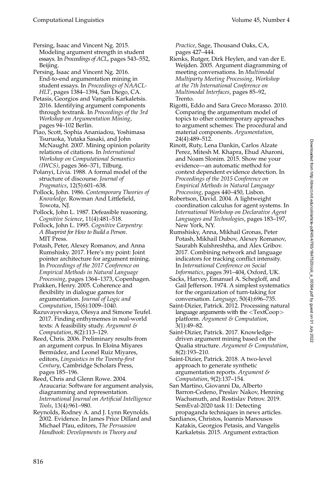Persing, Isaac and Vincent Ng. 2015. Modeling argument strength in student essays. In *Proceedings of ACL*, pages 543–552, Beijing.

Persing, Isaac and Vincent Ng. 2016. End-to-end argumentation mining in student essays. In *Proceedings of NAACL-HLT*, pages 1384–1394, San Diego, CA.

Petasis, Georgios and Vangelis Karkaletsis. 2016. Identifying argument components through textrank. In *Proceedings of the 3rd Workshop on Argumentation Mining*, pages 94–102 Berlin.

Piao, Scott, Sophia Ananiadou, Yoshimasa Tsuruoka, Yutaka Sasaki, and John McNaught. 2007. Mining opinion polarity relations of citations. In *International Workshop on Computational Semantics (IWCS)*, pages 366–371, Tilburg.

Polanyi, Livia. 1988. A formal model of the structure of discourse. *Journal of Pragmatics*, 12(5):601–638.

Pollock, John. 1986. *Contemporary Theories of Knowledge*. Rowman And Littlefield, Towota, NJ.

Pollock, John L. 1987. Defeasible reasoning. *Cognitive Science*, 11(4):481–518.

Pollock, John L. 1995. *Cognitive Carpentry: A Blueprint for How to Build a Person*. MIT Press.

Potash, Peter, Alexey Romanov, and Anna Rumshisky. 2017. Here's my point: Joint pointer architecture for argument mining. In *Proceedings of the 2017 Conference on Empirical Methods in Natural Language Processing*, pages 1364–1373, Copenhagen.

Prakken, Henry. 2005. Coherence and flexibility in dialogue games for argumentation. *Journal of Logic and Computation*, 15(6):1009–1040.

Razuvayevskaya, Olesya and Simone Teufel. 2017. Finding enthymemes in real-world texts: A feasibility study. *Argument & Computation*, 8(2):113–129.

Reed, Chris. 2006. Preliminary results from an argument corpus. In Eloína Miyares Bermúdez, and Leonel Ruiz Miyares, editors, *Linguistics in the Twenty-first Century*, Cambridge Scholars Press, pages 185–196.

Reed, Chris and Glenn Rowe. 2004. Araucaria: Software for argument analysis, diagramming and representation. *International Journal on Artificial Intelligence Tools*, 13(4):961–980.

Reynolds, Rodney A. and J. Lynn Reynolds. 2002. Evidence. In James Price Dillard and Michael Pfau, editors, *The Persuasion Handbook: Developments in Theory and*

*Practice*, Sage, Thousand Oaks, CA, pages 427–444.

Rienks, Rutger, Dirk Heylen, and van der E. Weijden. 2005. Argument diagramming of meeting conversations. In *Multimodal Multiparty Meeting Processing, Workshop at the 7th International Conference on Multimodal Interfaces*, pages 85–92, Trento.

Rigotti, Eddo and Sara Greco Morasso. 2010. Comparing the argumentum model of topics to other contemporary approaches to argument schemes: The procedural and material components. *Argumentation*, 24(4):489–512.

Rinott, Ruty, Lena Dankin, Carlos Alzate Perez, Mitesh M. Khapra, Ehud Aharoni, and Noam Slonim. 2015. Show me your evidence—an automatic method for context dependent evidence detection. In *Proceedings of the 2015 Conference on Empirical Methods in Natural Language Processing*, pages 440–450, Lisbon.

Robertson, David. 2004. A lightweight coordination calculus for agent systems. In *International Workshop on Declarative Agent Languages and Technologies*, pages 183–197, New York, NY.

Rumshisky, Anna, Mikhail Gronas, Peter Potash, Mikhail Dubov, Alexey Romanov, Saurabh Kulshreshtha, and Alex Gribov. 2017. Combining network and language indicators for tracking conflict intensity. In *International Conference on Social Informatics*, pages 391–404, Oxford, UK.

Sacks, Harvey, Emanuel A. Schegloff, and Gail Jefferson. 1974. A simplest systematics for the organization of turn-taking for conversation. *Language*, 50(4):696–735.

Saint-Dizier, Patrick. 2012. Processing natural language arguments with the <TextCoop> platform. *Argument & Computation*, 3(1):49–82.

Saint-Dizier, Patrick. 2017. Knowledgedriven argument mining based on the Qualia structure. *Argument & Computation*, 8(2):193–210.

Saint-Dizier, Patrick. 2018. A two-level approach to generate synthetic argumentation reports. *Argument & Computation*, 9(2):137–154.

San Martino, Giovanni Da, Alberto Barron-Cedeno, Preslav Nakov, Henning Wachsmuth, and Rostislav Petrov. 2019. SemEval-2020 task 11: Detecting propaganda techniques in news articles.

Sardianos, Christos, Ioannis Manousos Katakis, Georgios Petasis, and Vangelis Karkaletsis. 2015. Argument extraction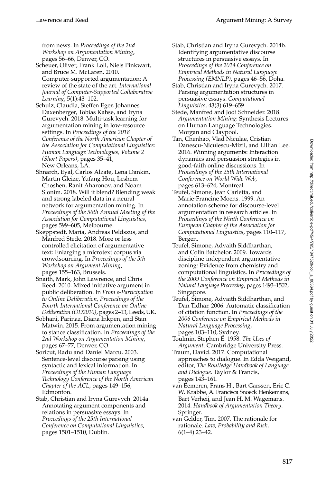from news. In *Proceedings of the 2nd Workshop on Argumentation Mining*, pages 56–66, Denver, CO.

- Scheuer, Oliver, Frank Loll, Niels Pinkwart, and Bruce M. McLaren. 2010. Computer-supported argumentation: A review of the state of the art. *International Journal of Computer-Supported Collaborative Learning*, 5(1):43–102.
- Schulz, Claudia, Steffen Eger, Johannes Daxenberger, Tobias Kahse, and Iryna Gurevych. 2018. Multi-task learning for argumentation mining in low-resource settings. In *Proceedings of the 2018 Conference of the North American Chapter of the Association for Computational Linguistics: Human Language Technologies, Volume 2 (Short Papers)*, pages 35–41, New Orleans, LA.
- Shnarch, Eyal, Carlos Alzate, Lena Dankin, Martin Gleize, Yufang Hou, Leshem Choshen, Ranit Aharonov, and Noam Slonim. 2018. Will it blend? Blending weak and strong labeled data in a neural network for argumentation mining. In *Proceedings of the 56th Annual Meeting of the Association for Computational Linguistics*, pages 599–605, Melbourne.
- Skeppstedt, Maria, Andreas Peldszus, and Manfred Stede. 2018. More or less controlled elicitation of argumentative text: Enlarging a microtext corpus via crowdsourcing. In *Proceedings of the 5th Workshop on Argument Mining*, pages 155–163, Brussels.
- Snaith, Mark, John Lawrence, and Chris Reed. 2010. Mixed initiative argument in public deliberation. In *From e-Participation to Online Deliberation, Proceedings of the Fourth International Conference on Online Deliberation (OD2010)*, pages 2–13, Leeds, UK.
- Sobhani, Parinaz, Diana Inkpen, and Stan Matwin. 2015. From argumentation mining to stance classification. In *Proceedings of the 2nd Workshop on Argumentation Mining*, pages 67–77, Denver, CO.
- Soricut, Radu and Daniel Marcu. 2003. Sentence-level discourse parsing using syntactic and lexical information. In *Proceedings of the Human Language Technology Conference of the North American Chapter of the ACL*, pages 149–156, Edmonton.
- Stab, Christian and Iryna Gurevych. 2014a. Annotating argument components and relations in persuasive essays. In *Proceedings of the 25th International Conference on Computational Linguistics*, pages 1501–1510, Dublin.
- Stab, Christian and Iryna Gurevych. 2014b. Identifying argumentative discourse structures in persuasive essays. In *Proceedings of the 2014 Conference on Empirical Methods in Natural Language Processing (EMNLP)*, pages 46–56, Doha.
- Stab, Christian and Iryna Gurevych. 2017. Parsing argumentation structures in persuasive essays. *Computational Linguistics*, 43(3):619–659.
- Stede, Manfred and Jodi Schneider. 2018. *Argumentation Mining*: Synthesis Lectures on Human Language Technologies. Morgan and Claypool.
- Tan, Chenhao, Vlad Niculae, Cristian Danescu-Niculescu-Mizil, and Lillian Lee. 2016. Winning arguments: Interaction dynamics and persuasion strategies in good-faith online discussions. In *Proceedings of the 25th International Conference on World Wide Web*, pages 613–624, Montreal.
- Teufel, Simone, Jean Carletta, and Marie-Francine Moens. 1999. An annotation scheme for discourse-level argumentation in research articles. In *Proceedings of the Ninth Conference on European Chapter of the Association for Computational Linguistics*, pages 110–117, Bergen.
- Teufel, Simone, Advaith Siddharthan, and Colin Batchelor. 2009. Towards discipline-independent argumentative zoning: Evidence from chemistry and computational linguistics. In *Proceedings of the 2009 Conference on Empirical Methods in Natural Language Processing*, pages 1493–1502, Singapore.
- Teufel, Simone, Advaith Siddharthan, and Dan Tidhar. 2006. Automatic classification of citation function. In *Proceedings of the 2006 Conference on Empirical Methods in Natural Language Processing*, pages 103–110, Sydney.
- Toulmin, Stephen E. 1958. *The Uses of Argument*. Cambridge University Press.
- Traum, David. 2017. Computational approaches to dialogue. In Edda Weigand, editor, *The Routledge Handbook of Language and Dialogue*. Taylor & Francis, pages 143–161.
- van Eemeren, Frans H., Bart Garssen, Eric C. W. Krabbe, A. Francisca Snoeck Henkemans, Bart Verheij, and Jean H. M. Wagemans. 2014. *Handbook of Argumentation Theory*. Springer.
- van Gelder, Tim. 2007. The rationale for rationale. *Law, Probability and Risk*, 6(1–4):23–42.